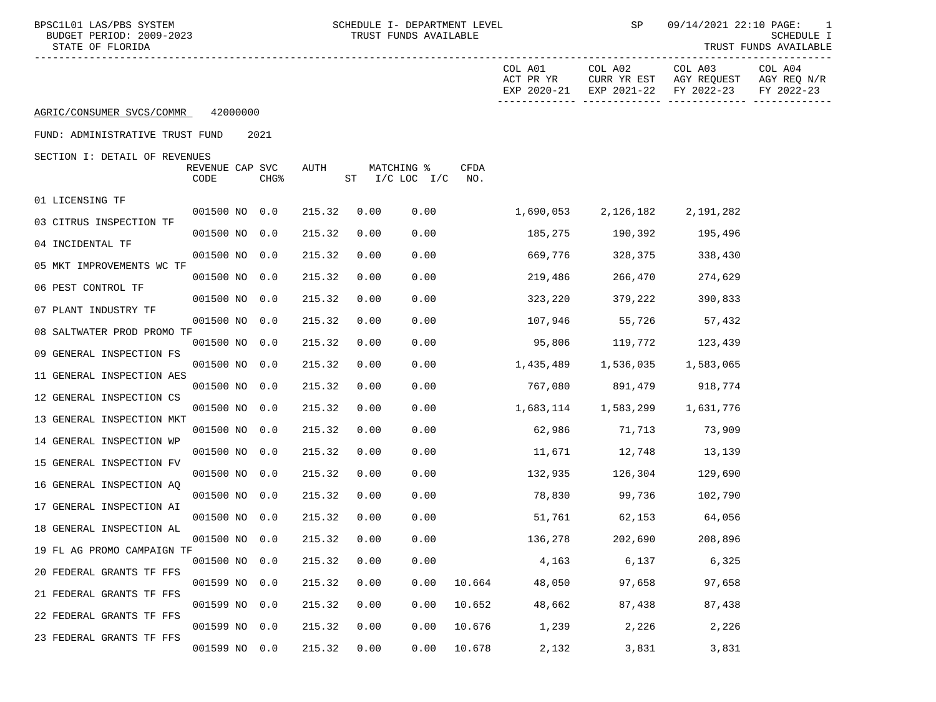| BPSC1L01 LAS/PBS SYSTEM<br>BUDGET PERIOD: 2009-2023<br>STATE OF FLORIDA |                         |                  |        |      | SCHEDULE I- DEPARTMENT LEVEL<br>TRUST FUNDS AVAILABLE |             |                                     | SP                     | 09/14/2021 22:10 PAGE:<br>1<br>SCHEDULE I<br>TRUST FUNDS AVAILABLE |                                      |
|-------------------------------------------------------------------------|-------------------------|------------------|--------|------|-------------------------------------------------------|-------------|-------------------------------------|------------------------|--------------------------------------------------------------------|--------------------------------------|
|                                                                         |                         |                  |        |      |                                                       |             | COL A01<br>ACT PR YR<br>EXP 2020-21 | COL A02<br>EXP 2021-22 | COL A03<br>CURR YR EST AGY REQUEST<br>FY 2022-23                   | COL A04<br>AGY REQ N/R<br>FY 2022-23 |
| AGRIC/CONSUMER SVCS/COMMR                                               | 42000000                |                  |        |      |                                                       |             |                                     |                        |                                                                    |                                      |
| FUND: ADMINISTRATIVE TRUST FUND                                         |                         | 2021             |        |      |                                                       |             |                                     |                        |                                                                    |                                      |
| SECTION I: DETAIL OF REVENUES                                           | REVENUE CAP SVC<br>CODE | CHG <sup>8</sup> | AUTH   |      | MATCHING %<br>$ST$ $I/C$ LOC $I/C$                    | CFDA<br>NO. |                                     |                        |                                                                    |                                      |
| 01 LICENSING TF                                                         | 001500 NO 0.0           |                  | 215.32 | 0.00 |                                                       |             |                                     |                        |                                                                    |                                      |
| 03 CITRUS INSPECTION TF                                                 |                         |                  |        |      | 0.00                                                  |             | 1,690,053                           | 2,126,182              | 2,191,282                                                          |                                      |
| 04 INCIDENTAL TF                                                        | 001500 NO 0.0           |                  | 215.32 | 0.00 | 0.00                                                  |             | 185,275                             | 190,392                | 195,496                                                            |                                      |
| 05 MKT IMPROVEMENTS WC TF                                               | 001500 NO 0.0           |                  | 215.32 | 0.00 | 0.00                                                  |             | 669,776                             | 328,375                | 338,430                                                            |                                      |
| 06 PEST CONTROL TF                                                      | 001500 NO 0.0           |                  | 215.32 | 0.00 | 0.00                                                  |             | 219,486                             | 266,470                | 274,629                                                            |                                      |
|                                                                         | 001500 NO 0.0           |                  | 215.32 | 0.00 | 0.00                                                  |             | 323,220                             | 379,222                | 390,833                                                            |                                      |
| 07 PLANT INDUSTRY TF                                                    | 001500 NO 0.0           |                  | 215.32 | 0.00 | 0.00                                                  |             | 107,946                             | 55,726                 | 57,432                                                             |                                      |
| 08 SALTWATER PROD PROMO TF                                              | 001500 NO 0.0           |                  | 215.32 | 0.00 | 0.00                                                  |             | 95,806                              | 119,772                | 123,439                                                            |                                      |
| 09 GENERAL INSPECTION FS                                                | 001500 NO 0.0           |                  | 215.32 | 0.00 | 0.00                                                  |             | 1,435,489                           | 1,536,035              | 1,583,065                                                          |                                      |
| 11 GENERAL INSPECTION AES                                               | 001500 NO 0.0           |                  | 215.32 | 0.00 | 0.00                                                  |             | 767,080                             | 891,479                | 918,774                                                            |                                      |
| 12 GENERAL INSPECTION CS                                                |                         |                  |        |      |                                                       |             |                                     |                        |                                                                    |                                      |
| 13 GENERAL INSPECTION MKT                                               | 001500 NO 0.0           |                  | 215.32 | 0.00 | 0.00                                                  |             | 1,683,114                           | 1,583,299              | 1,631,776                                                          |                                      |
| 14 GENERAL INSPECTION WP                                                | 001500 NO 0.0           |                  | 215.32 | 0.00 | 0.00                                                  |             | 62,986                              | 71,713                 | 73,909                                                             |                                      |
| 15 GENERAL INSPECTION FV                                                | 001500 NO 0.0           |                  | 215.32 | 0.00 | 0.00                                                  |             |                                     | 11,671 12,748          | 13,139                                                             |                                      |
| 16 GENERAL INSPECTION AQ                                                | 001500 NO 0.0           |                  | 215.32 | 0.00 | 0.00                                                  |             | 132,935                             | 126,304                | 129,690                                                            |                                      |
|                                                                         | 001500 NO 0.0           |                  | 215.32 | 0.00 | 0.00                                                  |             |                                     | 78,830 99,736          | 102,790                                                            |                                      |
| 17 GENERAL INSPECTION AI                                                | 001500 NO 0.0           |                  | 215.32 | 0.00 | 0.00                                                  |             | 51,761                              | 62,153                 | 64,056                                                             |                                      |
| 18 GENERAL INSPECTION AL                                                | 001500 NO 0.0           |                  | 215.32 | 0.00 | 0.00                                                  |             | 136,278                             | 202,690                | 208,896                                                            |                                      |
| 19 FL AG PROMO CAMPAIGN TF                                              | 001500 NO 0.0           |                  | 215.32 | 0.00 | 0.00                                                  |             | 4,163                               | 6,137                  | 6,325                                                              |                                      |
| 20 FEDERAL GRANTS TF FFS                                                |                         |                  |        |      |                                                       |             |                                     |                        |                                                                    |                                      |
| 21 FEDERAL GRANTS TF FFS                                                | 001599 NO 0.0           |                  | 215.32 | 0.00 | 0.00                                                  | 10.664      | 48,050                              | 97,658                 | 97,658                                                             |                                      |
| 22 FEDERAL GRANTS TF FFS                                                | 001599 NO 0.0           |                  | 215.32 | 0.00 | 0.00                                                  | 10.652      | 48,662                              | 87,438                 | 87,438                                                             |                                      |

001599 NO 0.0 215.32 0.00 0.00 10.676 1,239 2,226 2,226

001599 NO 0.0 215.32 0.00 0.00 10.678 2,132 3,831 3,831

23 FEDERAL GRANTS TF FFS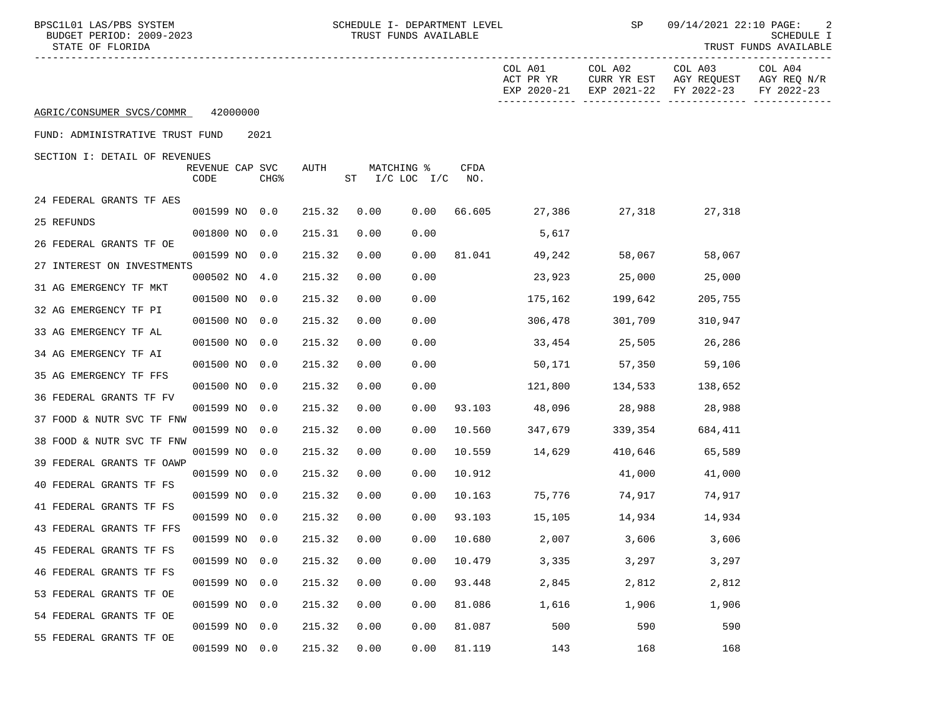| BPSC1L01 LAS/PBS SYSTEM<br>BUDGET PERIOD: 2009-2023<br>STATE OF FLORIDA |                         |                  |        |      | SCHEDULE I- DEPARTMENT LEVEL<br>TRUST FUNDS AVAILABLE |                    |                      | SP                     | 09/14/2021 22:10 PAGE:<br>2<br>SCHEDULE I<br>TRUST FUNDS AVAILABLE |                                      |
|-------------------------------------------------------------------------|-------------------------|------------------|--------|------|-------------------------------------------------------|--------------------|----------------------|------------------------|--------------------------------------------------------------------|--------------------------------------|
|                                                                         |                         |                  |        |      |                                                       |                    | COL A01<br>ACT PR YR | COL A02<br>CURR YR EST | COL A03<br>AGY REQUEST<br>EXP 2020-21 EXP 2021-22 FY 2022-23       | COL A04<br>AGY REQ N/R<br>FY 2022-23 |
| AGRIC/CONSUMER SVCS/COMMR                                               | 42000000                |                  |        |      |                                                       |                    |                      |                        |                                                                    |                                      |
| FUND: ADMINISTRATIVE TRUST FUND                                         |                         | 2021             |        |      |                                                       |                    |                      |                        |                                                                    |                                      |
| SECTION I: DETAIL OF REVENUES                                           | REVENUE CAP SVC<br>CODE | CHG <sup>8</sup> | AUTH   |      | MATCHING %<br>$ST$ $I/C$ LOC $I/C$                    | <b>CFDA</b><br>NO. |                      |                        |                                                                    |                                      |
| 24 FEDERAL GRANTS TF AES                                                |                         |                  |        |      |                                                       |                    |                      |                        |                                                                    |                                      |
| 25 REFUNDS                                                              | 001599 NO 0.0           |                  | 215.32 | 0.00 | 0.00                                                  |                    | 66.605 27,386        |                        | 27,318 27,318                                                      |                                      |
| 26 FEDERAL GRANTS TF OE                                                 | 001800 NO 0.0           |                  | 215.31 | 0.00 | 0.00                                                  |                    | 5,617                |                        |                                                                    |                                      |
| 27 INTEREST ON INVESTMENTS                                              | 001599 NO 0.0           |                  | 215.32 | 0.00 | 0.00                                                  |                    | 81.041 49,242        |                        | 58,067 58,067                                                      |                                      |
| 31 AG EMERGENCY TF MKT                                                  | 000502 NO 4.0           |                  | 215.32 | 0.00 | 0.00                                                  |                    | 23,923               | 25,000                 | 25,000                                                             |                                      |
| 32 AG EMERGENCY TF PI                                                   | 001500 NO 0.0           |                  | 215.32 | 0.00 | 0.00                                                  |                    | 175,162              | 199,642                | 205,755                                                            |                                      |
| 33 AG EMERGENCY TF AL                                                   | 001500 NO 0.0           |                  | 215.32 | 0.00 | 0.00                                                  |                    | 306,478              | 301,709                | 310,947                                                            |                                      |
| 34 AG EMERGENCY TF AI                                                   | 001500 NO 0.0           |                  | 215.32 | 0.00 | 0.00                                                  |                    | 33,454               | 25,505                 | 26,286                                                             |                                      |
|                                                                         | 001500 NO 0.0           |                  | 215.32 | 0.00 | 0.00                                                  |                    |                      | 50,171 57,350          | 59,106                                                             |                                      |
| 35 AG EMERGENCY TF FFS                                                  | 001500 NO 0.0           |                  | 215.32 | 0.00 | 0.00                                                  |                    | 121,800              | 134,533                | 138,652                                                            |                                      |
| 36 FEDERAL GRANTS TF FV                                                 | 001599 NO 0.0           |                  | 215.32 | 0.00 | 0.00                                                  | 93.103             | 48,096               | 28,988                 | 28,988                                                             |                                      |
| 37 FOOD & NUTR SVC TF FNW                                               | 001599 NO 0.0           |                  | 215.32 | 0.00 | 0.00                                                  | 10.560             | 347,679              | 339,354                | 684,411                                                            |                                      |
| 38 FOOD & NUTR SVC TF FNW                                               | 001599 NO 0.0           |                  | 215.32 | 0.00 | 0.00                                                  | 10.559             | 14,629               |                        | 410,646 65,589                                                     |                                      |
| 39 FEDERAL GRANTS TF OAWP                                               | 001599 NO 0.0           |                  | 215.32 | 0.00 | 0.00                                                  | 10.912             |                      |                        | 41,000 41,000                                                      |                                      |
| 40 FEDERAL GRANTS TF FS                                                 | 001599 NO 0.0           |                  | 215.32 | 0.00 | 0.00                                                  | 10.163             |                      | 75,776 74,917 74,917   |                                                                    |                                      |
| 41 FEDERAL GRANTS TF FS                                                 | 001599 NO 0.0           |                  | 215.32 | 0.00 | 0.00                                                  | 93.103             | 15,105               | 14,934                 | 14,934                                                             |                                      |
| 43 FEDERAL GRANTS TF FFS                                                |                         |                  |        | 0.00 |                                                       |                    |                      | 3,606                  |                                                                    |                                      |
| 45 FEDERAL GRANTS TF FS                                                 | 001599 NO 0.0           |                  | 215.32 |      | 0.00                                                  | 10.680             | 2,007                |                        | 3,606                                                              |                                      |
| 46 FEDERAL GRANTS TF FS                                                 | 001599 NO 0.0           |                  | 215.32 | 0.00 | 0.00                                                  | 10.479             | 3,335                | 3,297                  | 3,297                                                              |                                      |
| 53 FEDERAL GRANTS TF OE                                                 | 001599 NO 0.0           |                  | 215.32 | 0.00 | 0.00                                                  | 93.448             | 2,845                | 2,812                  | 2,812                                                              |                                      |
| 54 FEDERAL GRANTS TF OE                                                 | 001599 NO 0.0           |                  | 215.32 | 0.00 | 0.00                                                  | 81.086             | 1,616                | 1,906                  | 1,906                                                              |                                      |
| 55 FEDERAL GRANTS TF OE                                                 | 001599 NO 0.0           |                  | 215.32 | 0.00 | 0.00                                                  | 81.087             | 500                  | 590                    | 590                                                                |                                      |
|                                                                         | 001599 NO 0.0           |                  | 215.32 | 0.00 | 0.00                                                  | 81.119             | 143                  | 168                    | 168                                                                |                                      |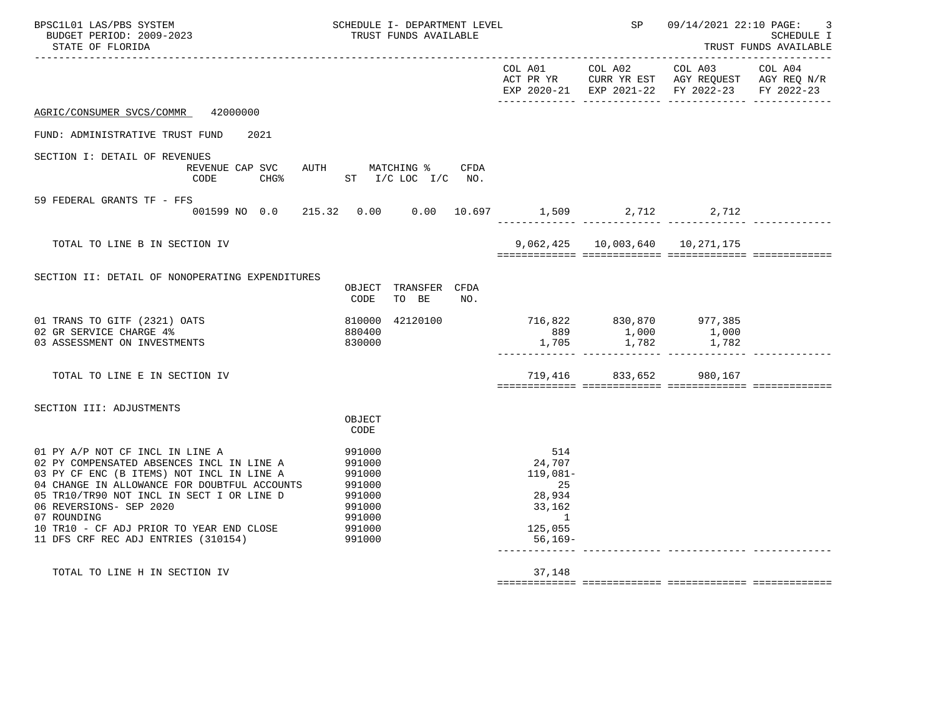| BPSC1L01 LAS/PBS SYSTEM<br>BUDGET PERIOD: 2009-2023<br>STATE OF FLORIDA                                                                                                                                                                                                                                                                             |                                                                                        | SCHEDULE I- DEPARTMENT LEVEL<br>TRUST FUNDS AVAILABLE |     |                                                                                           |                                     | SP 09/14/2021 22:10 PAGE:<br>3<br><b>SCHEDULE I</b><br>TRUST FUNDS AVAILABLE<br>-------------                                         |  |  |
|-----------------------------------------------------------------------------------------------------------------------------------------------------------------------------------------------------------------------------------------------------------------------------------------------------------------------------------------------------|----------------------------------------------------------------------------------------|-------------------------------------------------------|-----|-------------------------------------------------------------------------------------------|-------------------------------------|---------------------------------------------------------------------------------------------------------------------------------------|--|--|
|                                                                                                                                                                                                                                                                                                                                                     |                                                                                        |                                                       |     |                                                                                           | COL A01 COL A02                     | COL A03 COL A04<br>ACT PR YR $\,$ CURR YR EST $\,$ AGY REQUEST $\,$ AGY REQ N/R $\,$<br>EXP 2020-21 EXP 2021-22 FY 2022-23 FY 2022-23 |  |  |
| AGRIC/CONSUMER SVCS/COMMR<br>42000000                                                                                                                                                                                                                                                                                                               |                                                                                        |                                                       |     |                                                                                           |                                     |                                                                                                                                       |  |  |
| FUND: ADMINISTRATIVE TRUST FUND<br>2021                                                                                                                                                                                                                                                                                                             |                                                                                        |                                                       |     |                                                                                           |                                     |                                                                                                                                       |  |  |
| SECTION I: DETAIL OF REVENUES<br>REVENUE CAP SVC<br>CHG% ST I/C LOC I/C NO.<br>CODE                                                                                                                                                                                                                                                                 |                                                                                        | AUTH MATCHING % CFDA                                  |     |                                                                                           |                                     |                                                                                                                                       |  |  |
| 59 FEDERAL GRANTS TF - FFS<br>001599 NO 0.0 215.32 0.00 0.00 10.697 1,509 2,712 2,712                                                                                                                                                                                                                                                               |                                                                                        |                                                       |     |                                                                                           |                                     |                                                                                                                                       |  |  |
| TOTAL TO LINE B IN SECTION IV                                                                                                                                                                                                                                                                                                                       |                                                                                        |                                                       |     |                                                                                           | 9,062,425   10,003,640   10,271,175 |                                                                                                                                       |  |  |
| SECTION II: DETAIL OF NONOPERATING EXPENDITURES                                                                                                                                                                                                                                                                                                     | CODE                                                                                   | OBJECT TRANSFER CFDA<br>TO BE                         | NO. |                                                                                           |                                     |                                                                                                                                       |  |  |
| 01 TRANS TO GITF (2321) OATS<br>02 GR SERVICE CHARGE 4%<br>03 ASSESSMENT ON INVESTMENTS                                                                                                                                                                                                                                                             | 880400<br>830000                                                                       | 810000 42120100                                       |     | 716,822 830,870 977,385<br>889 1,000 1,000<br>1,705 1,782 1,782                           |                                     |                                                                                                                                       |  |  |
| TOTAL TO LINE E IN SECTION IV                                                                                                                                                                                                                                                                                                                       |                                                                                        |                                                       |     |                                                                                           | 719,416 833,652 980,167             |                                                                                                                                       |  |  |
| SECTION III: ADJUSTMENTS                                                                                                                                                                                                                                                                                                                            | OBJECT<br>CODE                                                                         |                                                       |     |                                                                                           |                                     |                                                                                                                                       |  |  |
| 01 PY A/P NOT CF INCL IN LINE A<br>02 PY COMPENSATED ABSENCES INCL IN LINE A<br>03 PY CF ENC (B ITEMS) NOT INCL IN LINE A<br>04 CHANGE IN ALLOWANCE FOR DOUBTFUL ACCOUNTS<br>05 TR10/TR90 NOT INCL IN SECT I OR LINE D<br>06 REVERSIONS- SEP 2020<br>07 ROUNDING<br>10 TR10 - CF ADJ PRIOR TO YEAR END CLOSE<br>11 DFS CRF REC ADJ ENTRIES (310154) | 991000<br>991000<br>991000<br>991000<br>991000<br>991000<br>991000<br>991000<br>991000 |                                                       |     | 514<br>24,707<br>$119,081-$<br>25<br>28,934<br>33,162<br>$\sim$ 1<br>125,055<br>$56,169-$ |                                     |                                                                                                                                       |  |  |
| TOTAL TO LINE H IN SECTION IV                                                                                                                                                                                                                                                                                                                       |                                                                                        |                                                       |     | 37,148                                                                                    |                                     |                                                                                                                                       |  |  |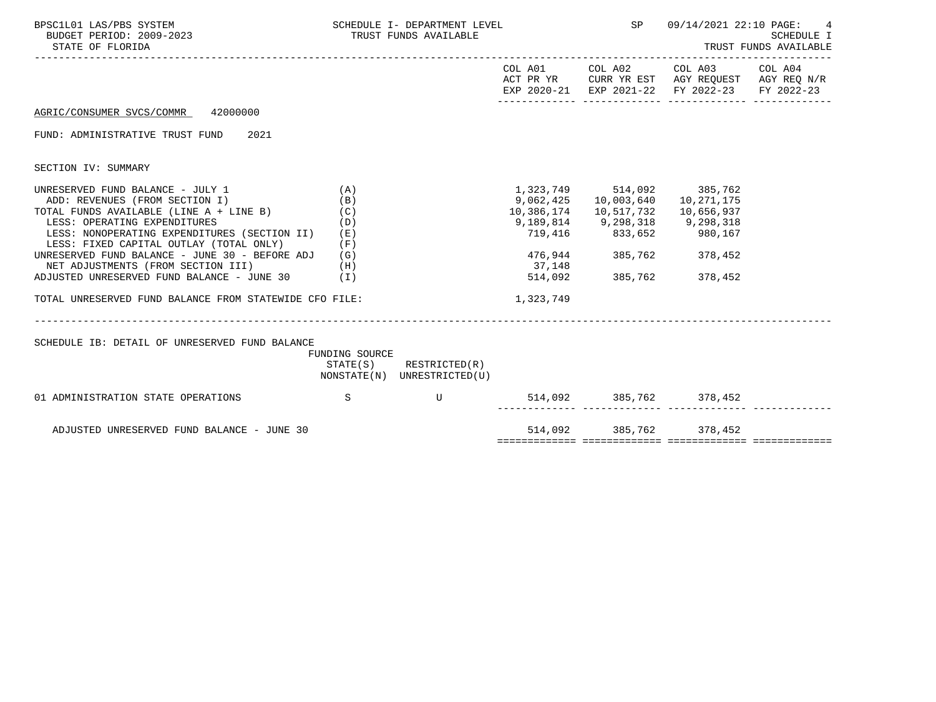| BPSC1L01 LAS/PBS SYSTEM<br>BUDGET PERIOD: 2009-2023<br>STATE OF FLORIDA                                                                                                                                                                                                                                                                                                                                                                                  |                                 | SCHEDULE I- DEPARTMENT LEVEL<br>TRUST FUNDS AVAILABLE |                                                                                        | SP                                                                                                                                     | 09/14/2021 22:10 PAGE:<br>SCHEDULE I<br>TRUST FUNDS AVAILABLE                                    |  |  |
|----------------------------------------------------------------------------------------------------------------------------------------------------------------------------------------------------------------------------------------------------------------------------------------------------------------------------------------------------------------------------------------------------------------------------------------------------------|---------------------------------|-------------------------------------------------------|----------------------------------------------------------------------------------------|----------------------------------------------------------------------------------------------------------------------------------------|--------------------------------------------------------------------------------------------------|--|--|
|                                                                                                                                                                                                                                                                                                                                                                                                                                                          |                                 |                                                       |                                                                                        |                                                                                                                                        | ACT PR YR CURR YR EST AGY REQUEST AGY REQ $N/R$<br>EXP 2020-21 EXP 2021-22 FY 2022-23 FY 2022-23 |  |  |
| AGRIC/CONSUMER SVCS/COMMR 42000000                                                                                                                                                                                                                                                                                                                                                                                                                       |                                 |                                                       |                                                                                        |                                                                                                                                        |                                                                                                  |  |  |
| FUND: ADMINISTRATIVE TRUST FUND 2021                                                                                                                                                                                                                                                                                                                                                                                                                     |                                 |                                                       |                                                                                        |                                                                                                                                        |                                                                                                  |  |  |
| SECTION IV: SUMMARY                                                                                                                                                                                                                                                                                                                                                                                                                                      |                                 |                                                       |                                                                                        |                                                                                                                                        |                                                                                                  |  |  |
| UNRESERVED FUND BALANCE - JULY 1<br>ADD: REVENUES (FROM SECTION I)<br>TOTAL FUNDS AVAILABLE (LINE A + LINE B)<br>LESS: OPERATING EXPENDITURES<br>LESS: NONOPERATING EXPENDITURES (SECTION II) (E)<br>LESS: FIXED CAPITAL OUTLAY (TOTAL ONLY)<br>UNRESERVED FUND BALANCE - JUNE 30 - BEFORE ADJ (G)<br>NET ADJUSTMENTS (FROM SECTION III) (H)<br>ADJUSTED UNRESERVED FUND BALANCE - JUNE 30 (I)<br>TOTAL UNRESERVED FUND BALANCE FROM STATEWIDE CFO FILE: | (A)<br>(B)<br>(C)<br>(D)<br>(F) |                                                       | 1,323,749 514,092 385,762<br>9,062,425<br>10,386,174<br>37,148<br>514,092<br>1,323,749 | 10,003,640<br>10,517,732<br>9,189,814    9,298,318    9,298,318<br>719,416    833,652    980,167<br>476,944 385,762 378,452<br>385,762 | 10,271,175<br>10,656,937<br>378,452                                                              |  |  |
| SCHEDULE IB: DETAIL OF UNRESERVED FUND BALANCE                                                                                                                                                                                                                                                                                                                                                                                                           | FUNDING SOURCE                  | $STATE(S)$ RESTRICTED $(R)$                           |                                                                                        |                                                                                                                                        |                                                                                                  |  |  |
|                                                                                                                                                                                                                                                                                                                                                                                                                                                          |                                 | NONSTATE(N) UNRESTRICTED(U)                           |                                                                                        |                                                                                                                                        |                                                                                                  |  |  |
| $\mathbf S$<br>01 ADMINISTRATION STATE OPERATIONS                                                                                                                                                                                                                                                                                                                                                                                                        |                                 | <b>Example 19</b>                                     |                                                                                        |                                                                                                                                        | 514,092 385,762 378,452                                                                          |  |  |
| ADJUSTED UNRESERVED FUND BALANCE - JUNE 30                                                                                                                                                                                                                                                                                                                                                                                                               |                                 |                                                       |                                                                                        | 514,092 385,762 378,452                                                                                                                |                                                                                                  |  |  |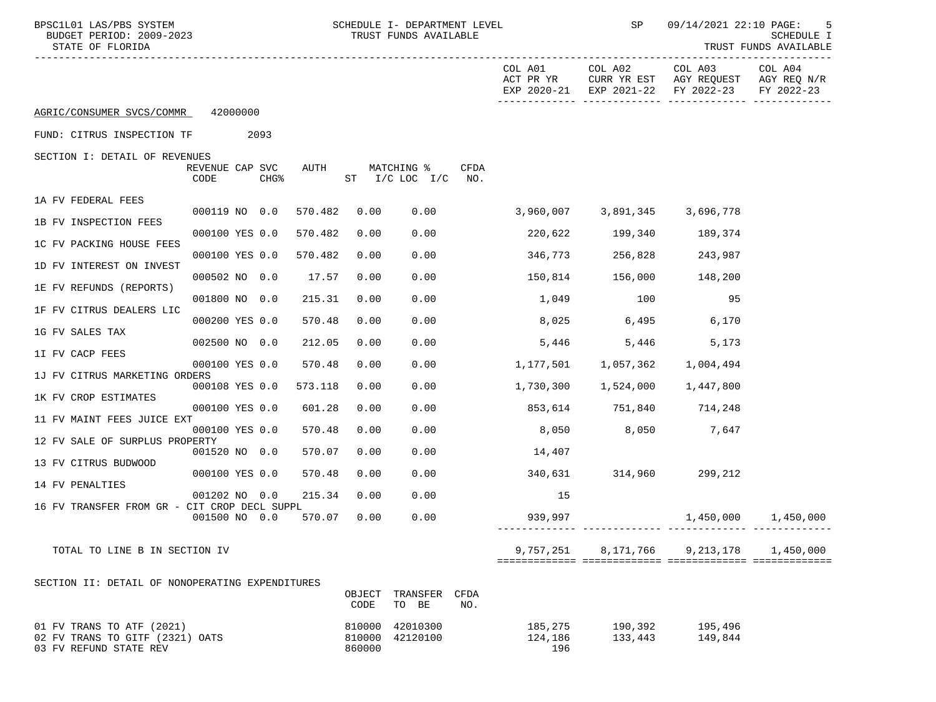| BPSC1L01 LAS/PBS SYSTEM<br>BUDGET PERIOD: 2009-2023<br>STATE OF FLORIDA |                 |                  | SCHEDULE I- DEPARTMENT LEVEL<br>TRUST FUNDS AVAILABLE |                          |             | SP                   | 09/14/2021 22:10 PAGE:<br>5<br>SCHEDULE I<br>TRUST FUNDS AVAILABLE |                                                              |                       |
|-------------------------------------------------------------------------|-----------------|------------------|-------------------------------------------------------|--------------------------|-------------|----------------------|--------------------------------------------------------------------|--------------------------------------------------------------|-----------------------|
|                                                                         |                 |                  |                                                       |                          |             | COL A01<br>ACT PR YR | COL A02<br>EXP 2020-21 EXP 2021-22                                 | COL A03<br>CURR YR EST AGY REQUEST AGY REQ N/R<br>FY 2022-23 | COL A04<br>FY 2022-23 |
| AGRIC/CONSUMER SVCS/COMMR 42000000                                      |                 |                  |                                                       |                          |             |                      |                                                                    |                                                              |                       |
| FUND: CITRUS INSPECTION TF                                              |                 | 2093             |                                                       |                          |             |                      |                                                                    |                                                              |                       |
| SECTION I: DETAIL OF REVENUES                                           | REVENUE CAP SVC | AUTH             |                                                       | MATCHING %               | <b>CFDA</b> |                      |                                                                    |                                                              |                       |
|                                                                         | CODE            | CHG <sup>8</sup> |                                                       | ST $I/C$ LOC $I/C$       | NO.         |                      |                                                                    |                                                              |                       |
| 1A FV FEDERAL FEES                                                      | 000119 NO 0.0   | 570.482          | 0.00                                                  | 0.00                     |             |                      | 3,960,007 3,891,345                                                | 3,696,778                                                    |                       |
| 1B FV INSPECTION FEES                                                   |                 |                  |                                                       |                          |             |                      |                                                                    |                                                              |                       |
| 1C FV PACKING HOUSE FEES                                                | 000100 YES 0.0  | 570.482          | 0.00                                                  | 0.00                     |             | 220,622              | 199,340                                                            | 189,374                                                      |                       |
|                                                                         | 000100 YES 0.0  | 570.482          | 0.00                                                  | 0.00                     |             | 346,773              | 256,828                                                            | 243,987                                                      |                       |
| 1D FV INTEREST ON INVEST                                                | 000502 NO 0.0   | 17.57            | 0.00                                                  | 0.00                     |             | 150,814              | 156,000                                                            | 148,200                                                      |                       |
| 1E FV REFUNDS (REPORTS)                                                 | 001800 NO 0.0   | 215.31           | 0.00                                                  | 0.00                     |             | 1,049                | 100                                                                | 95                                                           |                       |
| 1F FV CITRUS DEALERS LIC                                                | 000200 YES 0.0  | 570.48           | 0.00                                                  | 0.00                     |             | 8,025                | 6,495                                                              | 6,170                                                        |                       |
| 1G FV SALES TAX                                                         |                 |                  |                                                       |                          |             |                      |                                                                    |                                                              |                       |
| 1I FV CACP FEES                                                         | 002500 NO 0.0   | 212.05           | 0.00                                                  | 0.00                     |             | 5,446                | 5,446                                                              | 5,173                                                        |                       |
| 1J FV CITRUS MARKETING ORDERS                                           | 000100 YES 0.0  | 570.48           | 0.00                                                  | 0.00                     |             | 1,177,501            | 1,057,362                                                          | 1,004,494                                                    |                       |
|                                                                         | 000108 YES 0.0  | 573.118          | 0.00                                                  | 0.00                     |             | 1,730,300            | 1,524,000                                                          | 1,447,800                                                    |                       |
| 1K FV CROP ESTIMATES                                                    | 000100 YES 0.0  | 601.28           | 0.00                                                  | 0.00                     |             |                      | 853,614 751,840 714,248                                            |                                                              |                       |
| 11 FV MAINT FEES JUICE EXT                                              | 000100 YES 0.0  | 570.48           | 0.00                                                  | 0.00                     |             | 8,050                | 8,050 7,647                                                        |                                                              |                       |
| 12 FV SALE OF SURPLUS PROPERTY                                          |                 |                  |                                                       |                          |             |                      |                                                                    |                                                              |                       |
| 13 FV CITRUS BUDWOOD                                                    | 001520 NO 0.0   | 570.07           | 0.00                                                  | 0.00                     |             | 14,407               |                                                                    |                                                              |                       |
| 14 FV PENALTIES                                                         | 000100 YES 0.0  | 570.48           | 0.00                                                  | 0.00                     |             | 340,631              | 314,960 299,212                                                    |                                                              |                       |
| 16 FV TRANSFER FROM GR - CIT CROP DECL SUPPL                            | 001202 NO 0.0   | 215.34           | 0.00                                                  | 0.00                     |             | 15                   |                                                                    |                                                              |                       |
|                                                                         | 001500 NO 0.0   | 570.07           | 0.00                                                  | 0.00                     |             | 939,997              |                                                                    | 1,450,000                                                    | 1,450,000             |
| TOTAL TO LINE B IN SECTION IV                                           |                 |                  |                                                       |                          |             | 9,757,251            | 8,171,766                                                          | 9,213,178                                                    | 1,450,000             |
| SECTION II: DETAIL OF NONOPERATING EXPENDITURES                         |                 |                  |                                                       |                          |             |                      |                                                                    |                                                              |                       |
|                                                                         |                 |                  | CODE                                                  | OBJECT TRANSFER<br>TO BE | CFDA<br>NO. |                      |                                                                    |                                                              |                       |
| 01 FV TRANS TO ATF (2021)                                               |                 |                  |                                                       | 810000 42010300          |             | 185,275              | 190,392                                                            | 195,496                                                      |                       |

02 FV TRANS TO GITF (2321) OATS 810000 42120100 124,186 133,443 149,844

03 FV REFUND STATE REV 196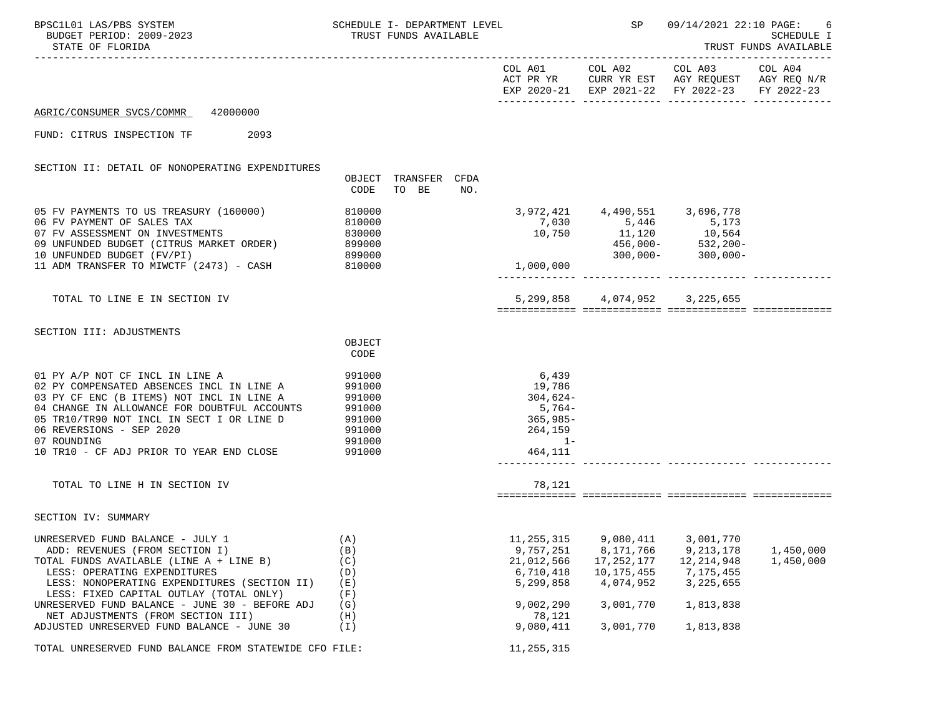| BPSC1L01 LAS/PBS SYSTEM<br>BUDGET PERIOD: 2009-2023<br>STATE OF FLORIDA                                                                                                                                                                                                                                       | SCHEDULE I- DEPARTMENT LEVEL<br>TRUST FUNDS AVAILABLE                        |                                                                                    | <b>SP</b>                                                                      | 09/14/2021 22:10 PAGE:<br>6<br><b>SCHEDULE I</b><br>TRUST FUNDS AVAILABLE                                                         |                        |  |
|---------------------------------------------------------------------------------------------------------------------------------------------------------------------------------------------------------------------------------------------------------------------------------------------------------------|------------------------------------------------------------------------------|------------------------------------------------------------------------------------|--------------------------------------------------------------------------------|-----------------------------------------------------------------------------------------------------------------------------------|------------------------|--|
|                                                                                                                                                                                                                                                                                                               |                                                                              |                                                                                    |                                                                                | COL A01 COL A02 COL A03 COL A04<br>ACT PR YR CURR YR EST AGY REQUEST AGY REQ N/R<br>EXP 2020-21 EXP 2021-22 FY 2022-23 FY 2022-23 |                        |  |
| 42000000<br>AGRIC/CONSUMER SVCS/COMMR                                                                                                                                                                                                                                                                         |                                                                              |                                                                                    |                                                                                |                                                                                                                                   |                        |  |
| FUND: CITRUS INSPECTION TF<br>2093                                                                                                                                                                                                                                                                            |                                                                              |                                                                                    |                                                                                |                                                                                                                                   |                        |  |
| SECTION II: DETAIL OF NONOPERATING EXPENDITURES                                                                                                                                                                                                                                                               | OBJECT TRANSFER CFDA<br>CODE<br>TO BE<br>NO.                                 |                                                                                    |                                                                                |                                                                                                                                   |                        |  |
| 05 FV PAYMENTS TO US TREASURY (160000)<br>06 FV PAYMENT OF SALES TAX<br>07 FV ASSESSMENT ON INVESTMENTS<br>09 UNFUNDED BUDGET (CITRUS MARKET ORDER)<br>10 UNFUNDED BUDGET (FV/PI)<br>11 ADM TRANSFER TO MIWCTF (2473) - CASH                                                                                  | 810000<br>810000<br>830000<br>899000<br>899000<br>810000                     | 1,000,000                                                                          | 3,972,421 4,490,551 3,696,778<br>7,030 5,446 5,173                             | $10,750$ $11,120$ $10,564$<br>$456,000 532,200-$<br>$300,000 - 300,000 -$                                                         |                        |  |
| TOTAL TO LINE E IN SECTION IV                                                                                                                                                                                                                                                                                 |                                                                              |                                                                                    | 5, 299, 858 4, 074, 952 3, 225, 655                                            |                                                                                                                                   |                        |  |
| SECTION III: ADJUSTMENTS                                                                                                                                                                                                                                                                                      | OBJECT<br>CODE                                                               |                                                                                    |                                                                                |                                                                                                                                   |                        |  |
| 01 PY A/P NOT CF INCL IN LINE A<br>02 PY COMPENSATED ABSENCES INCL IN LINE A<br>03 PY CF ENC (B ITEMS) NOT INCL IN LINE A<br>04 CHANGE IN ALLOWANCE FOR DOUBTFUL ACCOUNTS<br>05 TR10/TR90 NOT INCL IN SECT I OR LINE D<br>06 REVERSIONS - SEP 2020<br>07 ROUNDING<br>10 TR10 - CF ADJ PRIOR TO YEAR END CLOSE | 991000<br>991000<br>991000<br>991000<br>991000<br>991000<br>991000<br>991000 | 6,439<br>19,786<br>304,624-<br>5,764–<br>$365,985-$<br>264,159<br>$1 -$<br>464,111 |                                                                                |                                                                                                                                   |                        |  |
| TOTAL TO LINE H IN SECTION IV                                                                                                                                                                                                                                                                                 |                                                                              | 78,121                                                                             |                                                                                |                                                                                                                                   |                        |  |
| SECTION IV: SUMMARY                                                                                                                                                                                                                                                                                           |                                                                              |                                                                                    |                                                                                |                                                                                                                                   |                        |  |
| UNRESERVED FUND BALANCE - JULY 1<br>ADD: REVENUES (FROM SECTION I)<br>TOTAL FUNDS AVAILABLE (LINE A + LINE B)<br>LESS: OPERATING EXPENDITURES<br>LESS: NONOPERATING EXPENDITURES (SECTION II)<br>LESS: FIXED CAPITAL OUTLAY (TOTAL ONLY)<br>UNRESERVED FUND BALANCE - JUNE 30 - BEFORE ADJ                    | (A)<br>(B)<br>(C)<br>(D)<br>(E)<br>(F)<br>(G)                                | 11, 255, 315<br>9,757,251<br>21,012,566<br>6,710,418<br>5,299,858<br>9,002,290     | 9,080,411<br>8,171,766<br>17, 252, 177<br>10,175,455<br>4,074,952<br>3,001,770 | 3,001,770<br>9,213,178<br>12, 214, 948<br>7,175,455<br>3, 225, 655<br>1,813,838                                                   | 1,450,000<br>1,450,000 |  |
| NET ADJUSTMENTS (FROM SECTION III)<br>ADJUSTED UNRESERVED FUND BALANCE - JUNE 30                                                                                                                                                                                                                              | (H)<br>(I)                                                                   | 78,121<br>9,080,411                                                                | 3,001,770                                                                      | 1,813,838                                                                                                                         |                        |  |
| TOTAL UNRESERVED FUND BALANCE FROM STATEWIDE CFO FILE:                                                                                                                                                                                                                                                        |                                                                              | 11, 255, 315                                                                       |                                                                                |                                                                                                                                   |                        |  |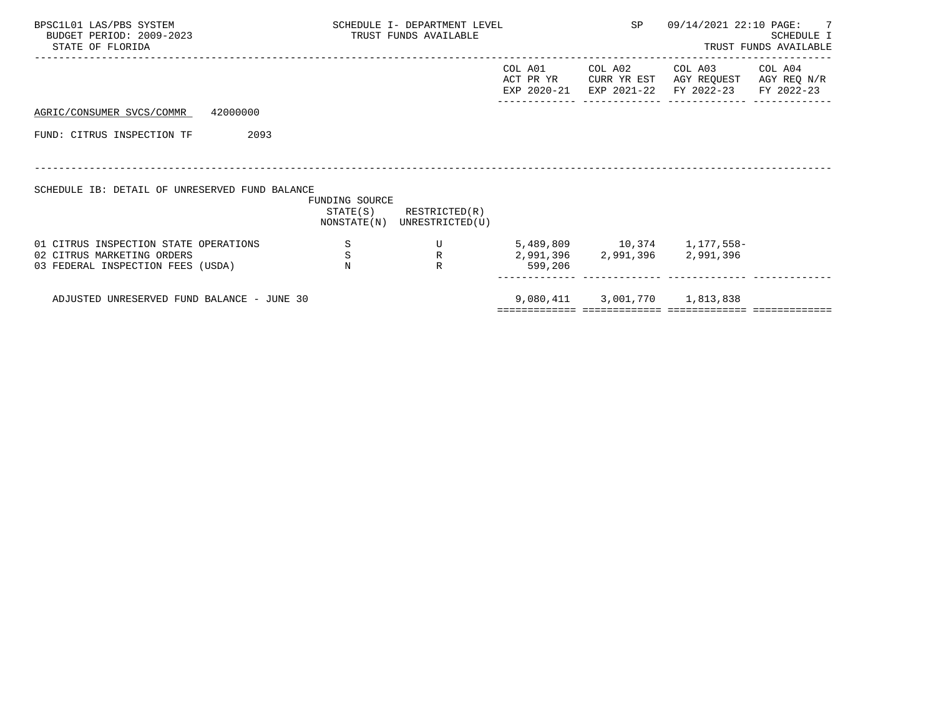| BPSC1L01 LAS/PBS SYSTEM<br>BUDGET PERIOD: 2009-2023<br>STATE OF FLORIDA                                  |                                         | SCHEDULE I- DEPARTMENT LEVEL<br>TRUST FUNDS AVAILABLE      |         | SP                            | 09/14/2021 22:10 PAGE: 7<br><b>SCHEDULE I</b><br>TRUST FUNDS AVAILABLE                                    |         |  |
|----------------------------------------------------------------------------------------------------------|-----------------------------------------|------------------------------------------------------------|---------|-------------------------------|-----------------------------------------------------------------------------------------------------------|---------|--|
|                                                                                                          |                                         |                                                            | COL A01 | COL A02                       | COL A03<br>ACT PR YR CURR YR EST AGY REQUEST AGY REQ N/R<br>EXP 2020-21 EXP 2021-22 FY 2022-23 FY 2022-23 | COL A04 |  |
| AGRIC/CONSUMER SVCS/COMMR 42000000                                                                       |                                         |                                                            |         |                               |                                                                                                           |         |  |
| 2093<br>FUND: CITRUS INSPECTION TF                                                                       |                                         |                                                            |         |                               |                                                                                                           |         |  |
| SCHEDULE IB: DETAIL OF UNRESERVED FUND BALANCE                                                           | FUNDING SOURCE                          | $STATE(S)$ RESTRICTED $(R)$<br>NONSTATE(N) UNRESTRICTED(U) |         |                               |                                                                                                           |         |  |
| 01 CITRUS INSPECTION STATE OPERATIONS<br>02 CITRUS MARKETING ORDERS<br>03 FEDERAL INSPECTION FEES (USDA) | $\mathbf S$<br>$_\mathrm{N}^\mathrm{S}$ | $\mathbf U$<br>R<br>$\mathbb{R}$                           | 599,206 | 2,991,396 2,991,396 2,991,396 | 5,489,809 10,374 1,177,558-                                                                               |         |  |
| ADJUSTED UNRESERVED FUND BALANCE - JUNE 30                                                               |                                         |                                                            |         | 9,080,411 3,001,770 1,813,838 |                                                                                                           |         |  |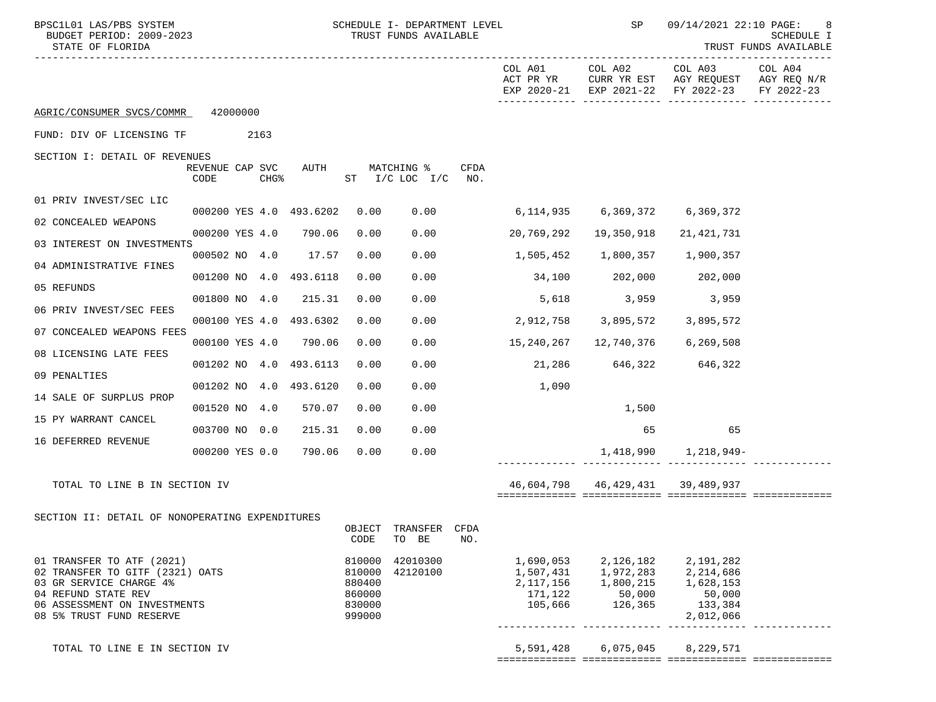| COL A02<br>COL A03<br>COL A04<br>COL A01<br>ACT PR YR CURR YR EST AGY REQUEST AGY REQ N/R<br>EXP 2020-21 EXP 2021-22 FY 2022-23<br>FY 2022-23<br>AGRIC/CONSUMER SVCS/COMMR 42000000<br>FUND: DIV OF LICENSING TF<br>2163<br>SECTION I: DETAIL OF REVENUES<br>AUTH<br>CFDA<br>REVENUE CAP SVC<br>MATCHING %<br>ST $I/C$ LOC $I/C$<br>CODE<br><b>CHG&amp;</b><br>NO.<br>01 PRIV INVEST/SEC LIC<br>000200 YES 4.0 493.6202<br>0.00<br>0.00<br>02 CONCEALED WEAPONS<br>000200 YES 4.0 790.06<br>0.00<br>0.00<br>19,350,918<br>20,769,292<br>21,421,731<br>03 INTEREST ON INVESTMENTS<br>000502 NO 4.0 17.57<br>0.00<br>0.00<br>04 ADMINISTRATIVE FINES<br>001200 NO 4.0 493.6118<br>0.00<br>34,100 202,000 202,000<br>0.00<br>05 REFUNDS<br>0.00<br>5,618 3,959 3,959<br>001800 NO 4.0<br>215.31<br>0.00<br>06 PRIV INVEST/SEC FEES<br>000100 YES 4.0 493.6302<br>0.00<br>0.00<br>3,895,572<br>2,912,758<br>3,895,572<br>07 CONCEALED WEAPONS FEES<br>000100 YES 4.0<br>790.06<br>0.00<br>0.00<br>08 LICENSING LATE FEES<br>21,286 646,322 646,322<br>001202 NO 4.0 493.6113<br>0.00<br>0.00<br>09 PENALTIES<br>001202 NO 4.0 493.6120<br>0.00<br>0.00<br>1,090<br>14 SALE OF SURPLUS PROP<br>570.07<br>0.00<br>001520 NO 4.0<br>0.00<br>1,500<br>15 PY WARRANT CANCEL<br>0.00<br>65<br>003700 NO 0.0<br>215.31<br>0.00<br>65<br>16 DEFERRED REVENUE<br>000200 YES 0.0<br>0.00<br>1,418,990 1,218,949-<br>790.06<br>0.00<br>TOTAL TO LINE B IN SECTION IV<br>46,604,798 46,429,431 39,489,937<br>SECTION II: DETAIL OF NONOPERATING EXPENDITURES<br>OBJECT TRANSFER CFDA<br>CODE<br>TO BE<br>NO.<br>01 TRANSFER TO ATF (2021)<br>42010300<br>1,690,053<br>2,126,182<br>2,191,282<br>810000<br>1,972,283 2,214,686<br>42120100<br>02 TRANSFER TO GITF (2321) OATS<br>810000<br>1,507,431<br>2,117,156<br>1,800,215<br>50.000<br>1,628,153<br>50.000<br>03 GR SERVICE CHARGE 4%<br>880400<br>04 REFUND STATE REV<br>171,122<br>50,000<br>50,000<br>860000<br>126,365<br>133,384<br>105,666<br>06 ASSESSMENT ON INVESTMENTS<br>830000<br>08 5% TRUST FUND RESERVE<br>2,012,066<br>999000 | BPSC1L01 LAS/PBS SYSTEM<br>BUDGET PERIOD: 2009-2023<br>STATE OF FLORIDA |  |  |  |  | SCHEDULE I- DEPARTMENT LEVEL<br>TRUST FUNDS AVAILABLE |  | SP | 09/14/2021 22:10 PAGE:<br>-8<br>SCHEDULE I<br>TRUST FUNDS AVAILABLE |  |  |
|-----------------------------------------------------------------------------------------------------------------------------------------------------------------------------------------------------------------------------------------------------------------------------------------------------------------------------------------------------------------------------------------------------------------------------------------------------------------------------------------------------------------------------------------------------------------------------------------------------------------------------------------------------------------------------------------------------------------------------------------------------------------------------------------------------------------------------------------------------------------------------------------------------------------------------------------------------------------------------------------------------------------------------------------------------------------------------------------------------------------------------------------------------------------------------------------------------------------------------------------------------------------------------------------------------------------------------------------------------------------------------------------------------------------------------------------------------------------------------------------------------------------------------------------------------------------------------------------------------------------------------------------------------------------------------------------------------------------------------------------------------------------------------------------------------------------------------------------------------------------------------------------------------------------------------------------------------------------------------------------------------------------------------------------------------------------------------------|-------------------------------------------------------------------------|--|--|--|--|-------------------------------------------------------|--|----|---------------------------------------------------------------------|--|--|
|                                                                                                                                                                                                                                                                                                                                                                                                                                                                                                                                                                                                                                                                                                                                                                                                                                                                                                                                                                                                                                                                                                                                                                                                                                                                                                                                                                                                                                                                                                                                                                                                                                                                                                                                                                                                                                                                                                                                                                                                                                                                                   |                                                                         |  |  |  |  |                                                       |  |    |                                                                     |  |  |
|                                                                                                                                                                                                                                                                                                                                                                                                                                                                                                                                                                                                                                                                                                                                                                                                                                                                                                                                                                                                                                                                                                                                                                                                                                                                                                                                                                                                                                                                                                                                                                                                                                                                                                                                                                                                                                                                                                                                                                                                                                                                                   |                                                                         |  |  |  |  |                                                       |  |    |                                                                     |  |  |
|                                                                                                                                                                                                                                                                                                                                                                                                                                                                                                                                                                                                                                                                                                                                                                                                                                                                                                                                                                                                                                                                                                                                                                                                                                                                                                                                                                                                                                                                                                                                                                                                                                                                                                                                                                                                                                                                                                                                                                                                                                                                                   |                                                                         |  |  |  |  |                                                       |  |    |                                                                     |  |  |
|                                                                                                                                                                                                                                                                                                                                                                                                                                                                                                                                                                                                                                                                                                                                                                                                                                                                                                                                                                                                                                                                                                                                                                                                                                                                                                                                                                                                                                                                                                                                                                                                                                                                                                                                                                                                                                                                                                                                                                                                                                                                                   |                                                                         |  |  |  |  |                                                       |  |    |                                                                     |  |  |
|                                                                                                                                                                                                                                                                                                                                                                                                                                                                                                                                                                                                                                                                                                                                                                                                                                                                                                                                                                                                                                                                                                                                                                                                                                                                                                                                                                                                                                                                                                                                                                                                                                                                                                                                                                                                                                                                                                                                                                                                                                                                                   |                                                                         |  |  |  |  |                                                       |  |    |                                                                     |  |  |
|                                                                                                                                                                                                                                                                                                                                                                                                                                                                                                                                                                                                                                                                                                                                                                                                                                                                                                                                                                                                                                                                                                                                                                                                                                                                                                                                                                                                                                                                                                                                                                                                                                                                                                                                                                                                                                                                                                                                                                                                                                                                                   |                                                                         |  |  |  |  |                                                       |  |    |                                                                     |  |  |
|                                                                                                                                                                                                                                                                                                                                                                                                                                                                                                                                                                                                                                                                                                                                                                                                                                                                                                                                                                                                                                                                                                                                                                                                                                                                                                                                                                                                                                                                                                                                                                                                                                                                                                                                                                                                                                                                                                                                                                                                                                                                                   |                                                                         |  |  |  |  |                                                       |  |    |                                                                     |  |  |
|                                                                                                                                                                                                                                                                                                                                                                                                                                                                                                                                                                                                                                                                                                                                                                                                                                                                                                                                                                                                                                                                                                                                                                                                                                                                                                                                                                                                                                                                                                                                                                                                                                                                                                                                                                                                                                                                                                                                                                                                                                                                                   |                                                                         |  |  |  |  |                                                       |  |    |                                                                     |  |  |
|                                                                                                                                                                                                                                                                                                                                                                                                                                                                                                                                                                                                                                                                                                                                                                                                                                                                                                                                                                                                                                                                                                                                                                                                                                                                                                                                                                                                                                                                                                                                                                                                                                                                                                                                                                                                                                                                                                                                                                                                                                                                                   |                                                                         |  |  |  |  |                                                       |  |    |                                                                     |  |  |
|                                                                                                                                                                                                                                                                                                                                                                                                                                                                                                                                                                                                                                                                                                                                                                                                                                                                                                                                                                                                                                                                                                                                                                                                                                                                                                                                                                                                                                                                                                                                                                                                                                                                                                                                                                                                                                                                                                                                                                                                                                                                                   |                                                                         |  |  |  |  |                                                       |  |    |                                                                     |  |  |
|                                                                                                                                                                                                                                                                                                                                                                                                                                                                                                                                                                                                                                                                                                                                                                                                                                                                                                                                                                                                                                                                                                                                                                                                                                                                                                                                                                                                                                                                                                                                                                                                                                                                                                                                                                                                                                                                                                                                                                                                                                                                                   |                                                                         |  |  |  |  |                                                       |  |    |                                                                     |  |  |
|                                                                                                                                                                                                                                                                                                                                                                                                                                                                                                                                                                                                                                                                                                                                                                                                                                                                                                                                                                                                                                                                                                                                                                                                                                                                                                                                                                                                                                                                                                                                                                                                                                                                                                                                                                                                                                                                                                                                                                                                                                                                                   |                                                                         |  |  |  |  |                                                       |  |    |                                                                     |  |  |
|                                                                                                                                                                                                                                                                                                                                                                                                                                                                                                                                                                                                                                                                                                                                                                                                                                                                                                                                                                                                                                                                                                                                                                                                                                                                                                                                                                                                                                                                                                                                                                                                                                                                                                                                                                                                                                                                                                                                                                                                                                                                                   |                                                                         |  |  |  |  |                                                       |  |    |                                                                     |  |  |
|                                                                                                                                                                                                                                                                                                                                                                                                                                                                                                                                                                                                                                                                                                                                                                                                                                                                                                                                                                                                                                                                                                                                                                                                                                                                                                                                                                                                                                                                                                                                                                                                                                                                                                                                                                                                                                                                                                                                                                                                                                                                                   |                                                                         |  |  |  |  |                                                       |  |    |                                                                     |  |  |
|                                                                                                                                                                                                                                                                                                                                                                                                                                                                                                                                                                                                                                                                                                                                                                                                                                                                                                                                                                                                                                                                                                                                                                                                                                                                                                                                                                                                                                                                                                                                                                                                                                                                                                                                                                                                                                                                                                                                                                                                                                                                                   |                                                                         |  |  |  |  |                                                       |  |    |                                                                     |  |  |
|                                                                                                                                                                                                                                                                                                                                                                                                                                                                                                                                                                                                                                                                                                                                                                                                                                                                                                                                                                                                                                                                                                                                                                                                                                                                                                                                                                                                                                                                                                                                                                                                                                                                                                                                                                                                                                                                                                                                                                                                                                                                                   |                                                                         |  |  |  |  |                                                       |  |    |                                                                     |  |  |
|                                                                                                                                                                                                                                                                                                                                                                                                                                                                                                                                                                                                                                                                                                                                                                                                                                                                                                                                                                                                                                                                                                                                                                                                                                                                                                                                                                                                                                                                                                                                                                                                                                                                                                                                                                                                                                                                                                                                                                                                                                                                                   |                                                                         |  |  |  |  |                                                       |  |    |                                                                     |  |  |
|                                                                                                                                                                                                                                                                                                                                                                                                                                                                                                                                                                                                                                                                                                                                                                                                                                                                                                                                                                                                                                                                                                                                                                                                                                                                                                                                                                                                                                                                                                                                                                                                                                                                                                                                                                                                                                                                                                                                                                                                                                                                                   |                                                                         |  |  |  |  |                                                       |  |    |                                                                     |  |  |
|                                                                                                                                                                                                                                                                                                                                                                                                                                                                                                                                                                                                                                                                                                                                                                                                                                                                                                                                                                                                                                                                                                                                                                                                                                                                                                                                                                                                                                                                                                                                                                                                                                                                                                                                                                                                                                                                                                                                                                                                                                                                                   |                                                                         |  |  |  |  |                                                       |  |    |                                                                     |  |  |
|                                                                                                                                                                                                                                                                                                                                                                                                                                                                                                                                                                                                                                                                                                                                                                                                                                                                                                                                                                                                                                                                                                                                                                                                                                                                                                                                                                                                                                                                                                                                                                                                                                                                                                                                                                                                                                                                                                                                                                                                                                                                                   |                                                                         |  |  |  |  |                                                       |  |    |                                                                     |  |  |

TOTAL TO LINE E IN SECTION IV 6,075,045 8,229,571 ============= ============= ============= =============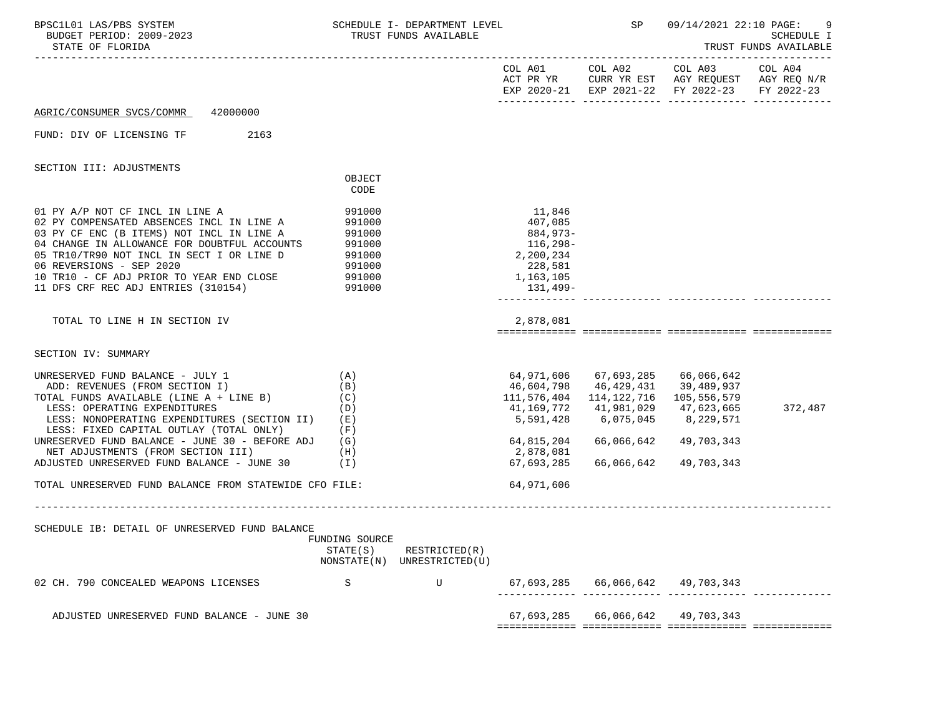| BPSC1L01 LAS/PBS SYSTEM<br>BUDGET PERIOD: 2009-2023<br>STATE OF FLORIDA                                                                                                                                                                                                                                                                                                                                                                      | SCHEDULE I- DEPARTMENT LEVEL<br>TRUST FUNDS AVAILABLE                      |                                                                                            |                                                                                                                                                                              | SP 09/14/2021 22:10 PAGE:                                                                                                 | 9<br><b>SCHEDULE I</b><br>TRUST FUNDS AVAILABLE |
|----------------------------------------------------------------------------------------------------------------------------------------------------------------------------------------------------------------------------------------------------------------------------------------------------------------------------------------------------------------------------------------------------------------------------------------------|----------------------------------------------------------------------------|--------------------------------------------------------------------------------------------|------------------------------------------------------------------------------------------------------------------------------------------------------------------------------|---------------------------------------------------------------------------------------------------------------------------|-------------------------------------------------|
|                                                                                                                                                                                                                                                                                                                                                                                                                                              |                                                                            |                                                                                            |                                                                                                                                                                              | COL A01 COL A02 COL A03<br>ACT PR YR CURR YR EST AGY REQUEST AGY REQ N/R<br>EXP 2020-21 EXP 2021-22 FY 2022-23 FY 2022-23 | COL A04                                         |
| AGRIC/CONSUMER SVCS/COMMR<br>42000000                                                                                                                                                                                                                                                                                                                                                                                                        |                                                                            |                                                                                            |                                                                                                                                                                              |                                                                                                                           |                                                 |
| FUND: DIV OF LICENSING TF<br>2163                                                                                                                                                                                                                                                                                                                                                                                                            |                                                                            |                                                                                            |                                                                                                                                                                              |                                                                                                                           |                                                 |
| SECTION III: ADJUSTMENTS                                                                                                                                                                                                                                                                                                                                                                                                                     |                                                                            |                                                                                            |                                                                                                                                                                              |                                                                                                                           |                                                 |
|                                                                                                                                                                                                                                                                                                                                                                                                                                              | OBJECT<br>CODE                                                             |                                                                                            |                                                                                                                                                                              |                                                                                                                           |                                                 |
| 01 PY A/P NOT CF INCL IN LINE A<br>02 PY COMPENSATED ABSENCES INCL IN LINE A<br>03 PY CF ENC (B ITEMS) NOT INCL IN LINE A<br>04 CHANGE IN ALLOWANCE FOR DOUBTFUL ACCOUNTS<br>05 TR10/TR90 NOT INCL IN SECT I OR LINE D<br>06 REVERSIONS - SEP 2020<br>10 TR10 - CF ADJ PRIOR TO YEAR END CLOSE 991000<br>11 DFS CRF REC ADJ ENTRIES (310154)                                                                                                 | 991000<br>991000<br>991000<br>991000<br>991000<br>991000<br>991000         | 11,846<br>407,085<br>884,973-<br>116,298-<br>2,200,234<br>228,581<br>1,163,105<br>131,499– |                                                                                                                                                                              |                                                                                                                           |                                                 |
| TOTAL TO LINE H IN SECTION IV                                                                                                                                                                                                                                                                                                                                                                                                                |                                                                            | 2,878,081                                                                                  |                                                                                                                                                                              |                                                                                                                           |                                                 |
| SECTION IV: SUMMARY                                                                                                                                                                                                                                                                                                                                                                                                                          |                                                                            |                                                                                            |                                                                                                                                                                              |                                                                                                                           |                                                 |
| UNRESERVED FUND BALANCE - JULY 1<br>ADD: REVENUES (FROM SECTION I)<br>TOTAL FUNDS AVAILABLE (LINE A + LINE B)<br>LESS: OPERATING EXPENDITURES<br>LESS: NONOPERATING EXPENDITURES (SECTION II)<br>LESS: FIXED CAPITAL OUTLAY (TOTAL ONLY)<br>UNRESERVED FUND BALANCE - JUNE 30 - BEFORE ADJ (G)<br>NET ADJUSTMENTS (FROM SECTION III)<br>ADJUSTED UNRESERVED FUND BALANCE - JUNE 30<br>TOTAL UNRESERVED FUND BALANCE FROM STATEWIDE CFO FILE: | (A)<br>(B)<br>(C)<br>(D)<br>(E)<br>(F)<br>(H)<br>$(\lrcorner)$             | 41,169,772  41,981,029  47,623,665<br>64,815,204<br>2,878,081<br>67,693,285<br>64,971,606  | 64,971,606 67,693,285 66,066,642<br>46,604,798 46,429,431 39,489,937<br>111,576,404   114,122,716   105,556,579<br>5,591,428 6,075,045 8,229,571<br>66,066,642<br>66,066,642 | 49,703,343<br>49,703,343                                                                                                  | 372,487                                         |
|                                                                                                                                                                                                                                                                                                                                                                                                                                              |                                                                            |                                                                                            |                                                                                                                                                                              |                                                                                                                           |                                                 |
| SCHEDULE IB: DETAIL OF UNRESERVED FUND BALANCE                                                                                                                                                                                                                                                                                                                                                                                               | FUNDING SOURCE<br>RESTRICTED(R)<br>STATE(S)<br>NONSTATE(N) UNRESTRICTED(U) |                                                                                            |                                                                                                                                                                              |                                                                                                                           |                                                 |
| 02 CH. 790 CONCEALED WEAPONS LICENSES                                                                                                                                                                                                                                                                                                                                                                                                        | S<br>U                                                                     |                                                                                            | 67,693,285 66,066,642 49,703,343                                                                                                                                             |                                                                                                                           |                                                 |
| ADJUSTED UNRESERVED FUND BALANCE - JUNE 30                                                                                                                                                                                                                                                                                                                                                                                                   |                                                                            | 67,693,285                                                                                 | 66,066,642                                                                                                                                                                   | 49,703,343                                                                                                                |                                                 |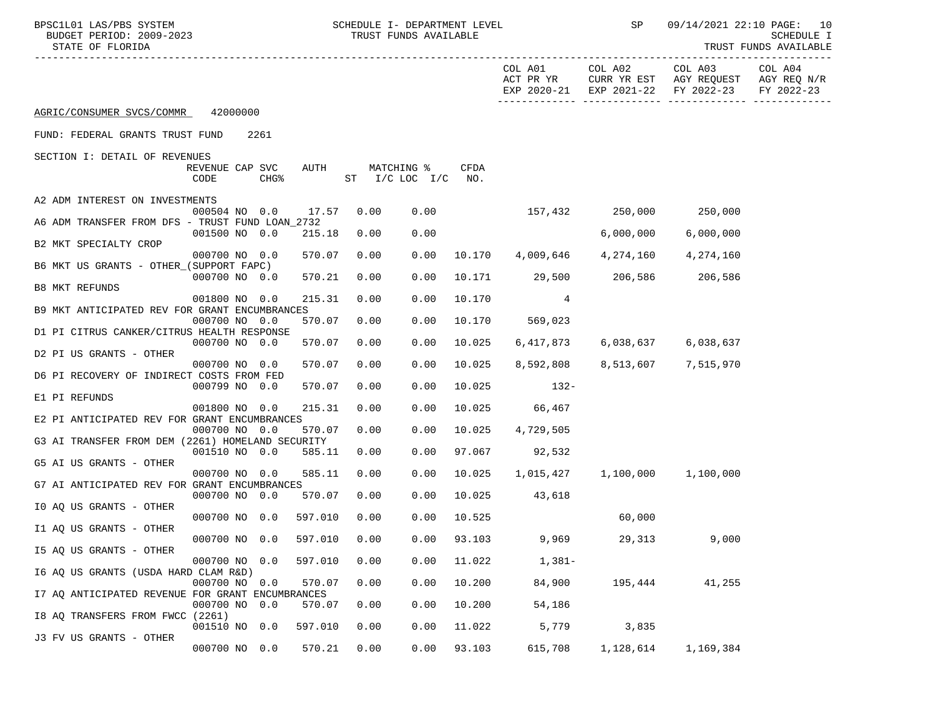| BPSC1L01 LAS/PBS SYSTEM<br>BUDGET PERIOD: 2009-2023<br>STATE OF FLORIDA |                         |                  |         |      | SCHEDULE I- DEPARTMENT LEVEL<br>TRUST FUNDS AVAILABLE |                    |                      | SP        | 09/14/2021 22:10 PAGE: 10<br>SCHEDULE I<br>TRUST FUNDS AVAILABLE                     |                       |
|-------------------------------------------------------------------------|-------------------------|------------------|---------|------|-------------------------------------------------------|--------------------|----------------------|-----------|--------------------------------------------------------------------------------------|-----------------------|
|                                                                         |                         |                  |         |      |                                                       |                    | COL A01<br>ACT PR YR | COL A02   | COL A03<br>CURR YR EST AGY REQUEST AGY REQ N/R<br>EXP 2020-21 EXP 2021-22 FY 2022-23 | COL A04<br>FY 2022-23 |
| AGRIC/CONSUMER SVCS/COMMR                                               | 42000000                |                  |         |      |                                                       |                    |                      |           |                                                                                      |                       |
| FUND: FEDERAL GRANTS TRUST FUND                                         |                         | 2261             |         |      |                                                       |                    |                      |           |                                                                                      |                       |
| SECTION I: DETAIL OF REVENUES                                           |                         |                  |         |      |                                                       |                    |                      |           |                                                                                      |                       |
|                                                                         | REVENUE CAP SVC<br>CODE | CHG <sup>8</sup> | AUTH    |      | MATCHING %<br>$ST$ $I/C$ LOC $I/C$                    | <b>CFDA</b><br>NO. |                      |           |                                                                                      |                       |
| A2 ADM INTEREST ON INVESTMENTS                                          |                         |                  |         |      |                                                       |                    |                      |           |                                                                                      |                       |
| A6 ADM TRANSFER FROM DFS - TRUST FUND LOAN 2732                         | 000504 NO 0.0           |                  | 17.57   | 0.00 | 0.00                                                  |                    |                      |           | 157,432 250,000 250,000                                                              |                       |
| B2 MKT SPECIALTY CROP                                                   | 001500 NO 0.0           |                  | 215.18  | 0.00 | 0.00                                                  |                    |                      | 6,000,000 | 6,000,000                                                                            |                       |
|                                                                         | 000700 NO 0.0           |                  | 570.07  | 0.00 | 0.00                                                  |                    | 10.170 4,009,646     |           | 4, 274, 160 4, 274, 160                                                              |                       |
| B6 MKT US GRANTS - OTHER (SUPPORT FAPC)                                 | 000700 NO 0.0           |                  | 570.21  | 0.00 | 0.00                                                  | 10.171             |                      |           | 29,500 206,586 206,586                                                               |                       |
| <b>B8 MKT REFUNDS</b>                                                   |                         |                  |         |      |                                                       |                    |                      |           |                                                                                      |                       |
| B9 MKT ANTICIPATED REV FOR GRANT ENCUMBRANCES                           | 001800 NO 0.0           |                  | 215.31  | 0.00 | 0.00                                                  | 10.170             | 4                    |           |                                                                                      |                       |
| D1 PI CITRUS CANKER/CITRUS HEALTH RESPONSE                              | 000700 NO 0.0           |                  | 570.07  | 0.00 | 0.00                                                  | 10.170             | 569,023              |           |                                                                                      |                       |
|                                                                         | 000700 NO 0.0           |                  | 570.07  | 0.00 | 0.00                                                  | 10.025             | 6,417,873            | 6,038,637 | 6,038,637                                                                            |                       |
| D2 PI US GRANTS - OTHER                                                 | 000700 NO 0.0           |                  | 570.07  | 0.00 | 0.00                                                  | 10.025             | 8,592,808            |           | 8,513,607 7,515,970                                                                  |                       |
| D6 PI RECOVERY OF INDIRECT COSTS FROM FED                               |                         |                  |         |      |                                                       |                    |                      |           |                                                                                      |                       |
| E1 PI REFUNDS                                                           | 000799 NO 0.0           |                  | 570.07  | 0.00 | 0.00                                                  | 10.025             | $132 -$              |           |                                                                                      |                       |
|                                                                         | 001800 NO 0.0           |                  | 215.31  | 0.00 | 0.00                                                  | 10.025             | 66,467               |           |                                                                                      |                       |
| E2 PI ANTICIPATED REV FOR GRANT ENCUMBRANCES                            | 000700 NO 0.0           |                  | 570.07  | 0.00 | 0.00                                                  | 10.025             | 4,729,505            |           |                                                                                      |                       |
| G3 AI TRANSFER FROM DEM (2261) HOMELAND SECURITY                        |                         |                  |         |      |                                                       |                    |                      |           |                                                                                      |                       |
| G5 AI US GRANTS - OTHER                                                 | 001510 NO 0.0           |                  | 585.11  | 0.00 | 0.00                                                  | 97.067             | 92,532               |           |                                                                                      |                       |
|                                                                         | 000700 NO 0.0           |                  | 585.11  | 0.00 | 0.00                                                  | 10.025             | 1,015,427            |           | 1,100,000 1,100,000                                                                  |                       |
| G7 AI ANTICIPATED REV FOR GRANT ENCUMBRANCES                            | 000700 NO 0.0           |                  | 570.07  | 0.00 | 0.00                                                  | 10.025             | 43,618               |           |                                                                                      |                       |
| IO AQ US GRANTS - OTHER                                                 |                         |                  |         |      |                                                       |                    |                      |           |                                                                                      |                       |
|                                                                         | 000700 NO 0.0           |                  | 597.010 | 0.00 | 0.00                                                  | 10.525             |                      | 60,000    |                                                                                      |                       |
| I1 AQ US GRANTS - OTHER                                                 | 000700 NO 0.0           |                  | 597.010 | 0.00 | 0.00                                                  | 93.103             | 9,969                | 29,313    | 9,000                                                                                |                       |
| I5 AQ US GRANTS - OTHER                                                 |                         |                  |         |      |                                                       |                    |                      |           |                                                                                      |                       |
| I6 AQ US GRANTS (USDA HARD CLAM R&D)                                    | 000700 NO               | 0.0              | 597.010 | 0.00 | 0.00                                                  | 11.022             | $1,381-$             |           |                                                                                      |                       |
|                                                                         | 000700 NO 0.0           |                  | 570.07  | 0.00 | 0.00                                                  | 10.200             | 84,900               | 195,444   | 41,255                                                                               |                       |
| I7 AQ ANTICIPATED REVENUE FOR GRANT ENCUMBRANCES                        | 000700 NO 0.0           |                  | 570.07  | 0.00 | 0.00                                                  | 10.200             | 54,186               |           |                                                                                      |                       |
| 18 AQ TRANSFERS FROM FWCC (2261)                                        |                         |                  |         |      |                                                       |                    |                      |           |                                                                                      |                       |
| J3 FV US GRANTS - OTHER                                                 | 001510 NO               | 0.0              | 597.010 | 0.00 | 0.00                                                  | 11.022             | 5,779                | 3,835     |                                                                                      |                       |
|                                                                         | 000700 NO 0.0           |                  | 570.21  | 0.00 | 0.00                                                  | 93.103             | 615,708              | 1,128,614 | 1,169,384                                                                            |                       |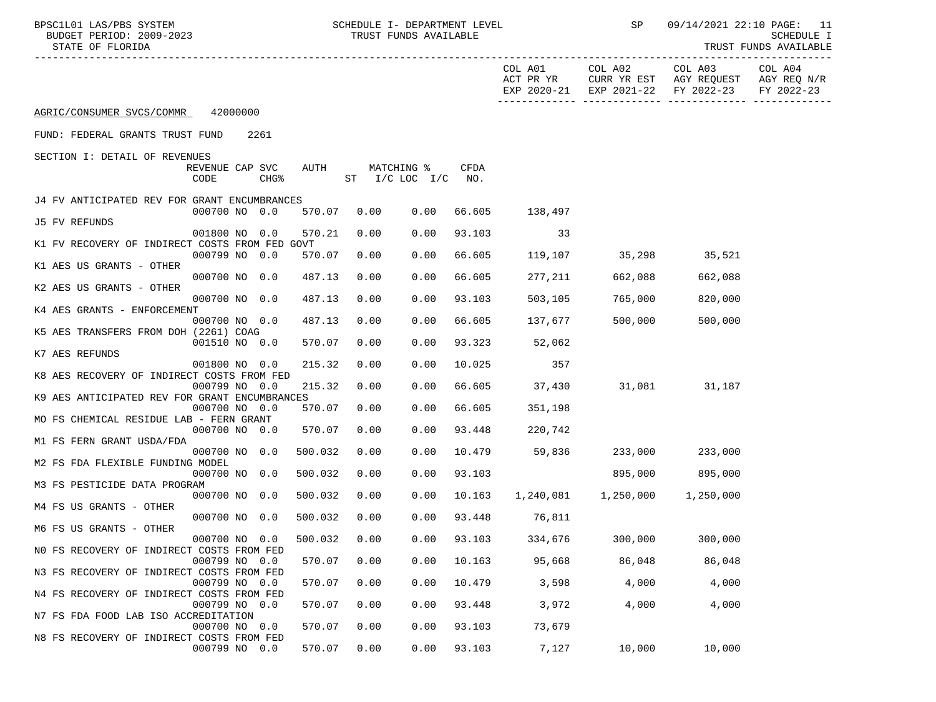|                                                |                 |                  |         |             |                    |        | COL A01<br>ACT PR YR | COL A02                        | COL A03<br>CURR YR EST AGY REQUEST<br>EXP 2020-21 EXP 2021-22 FY 2022-23 | COL A04<br>AGY REQ N/R<br>FY 2022-23 |
|------------------------------------------------|-----------------|------------------|---------|-------------|--------------------|--------|----------------------|--------------------------------|--------------------------------------------------------------------------|--------------------------------------|
| AGRIC/CONSUMER SVCS/COMMR 42000000             |                 |                  |         |             |                    |        |                      |                                |                                                                          |                                      |
| FUND: FEDERAL GRANTS TRUST FUND                |                 | 2261             |         |             |                    |        |                      |                                |                                                                          |                                      |
| SECTION I: DETAIL OF REVENUES                  |                 |                  |         |             |                    |        |                      |                                |                                                                          |                                      |
|                                                | REVENUE CAP SVC |                  | AUTH    |             | MATCHING %         | CFDA   |                      |                                |                                                                          |                                      |
|                                                | CODE            | CHG <sup>8</sup> |         |             | ST I/C LOC I/C NO. |        |                      |                                |                                                                          |                                      |
|                                                |                 |                  |         |             |                    |        |                      |                                |                                                                          |                                      |
| J4 FV ANTICIPATED REV FOR GRANT ENCUMBRANCES   |                 |                  |         |             |                    |        |                      |                                |                                                                          |                                      |
|                                                | 000700 NO 0.0   |                  |         | 570.07 0.00 | 0.00               | 66.605 | 138,497              |                                |                                                                          |                                      |
| J5 FV REFUNDS                                  |                 |                  | 570.21  | 0.00        | 0.00               | 93.103 | 33                   |                                |                                                                          |                                      |
| K1 FV RECOVERY OF INDIRECT COSTS FROM FED GOVT | 001800 NO 0.0   |                  |         |             |                    |        |                      |                                |                                                                          |                                      |
|                                                | 000799 NO 0.0   |                  | 570.07  | 0.00        | 0.00               | 66.605 | 119,107              | 35,298                         | 35,521                                                                   |                                      |
| K1 AES US GRANTS - OTHER                       |                 |                  |         |             |                    |        |                      |                                |                                                                          |                                      |
|                                                | 000700 NO 0.0   |                  | 487.13  | 0.00        | 0.00               | 66.605 | 277,211              | 662,088                        | 662,088                                                                  |                                      |
| K2 AES US GRANTS - OTHER                       |                 |                  |         |             |                    |        |                      |                                |                                                                          |                                      |
|                                                | 000700 NO 0.0   |                  | 487.13  | 0.00        | 0.00               | 93.103 | 503,105              | 765,000                        | 820,000                                                                  |                                      |
| K4 AES GRANTS - ENFORCEMENT                    |                 |                  |         |             |                    |        |                      |                                |                                                                          |                                      |
|                                                | 000700 NO 0.0   |                  | 487.13  | 0.00        | 0.00               | 66.605 | 137,677              | 500,000                        | 500,000                                                                  |                                      |
| K5 AES TRANSFERS FROM DOH (2261) COAG          |                 |                  |         |             |                    |        |                      |                                |                                                                          |                                      |
|                                                | 001510 NO 0.0   |                  | 570.07  | 0.00        | 0.00               | 93.323 | 52,062               |                                |                                                                          |                                      |
| K7 AES REFUNDS                                 |                 |                  |         |             |                    |        |                      |                                |                                                                          |                                      |
|                                                | 001800 NO 0.0   |                  | 215.32  | 0.00        | 0.00               | 10.025 | 357                  |                                |                                                                          |                                      |
| K8 AES RECOVERY OF INDIRECT COSTS FROM FED     |                 |                  |         |             |                    |        |                      |                                |                                                                          |                                      |
| K9 AES ANTICIPATED REV FOR GRANT ENCUMBRANCES  | 000799 NO 0.0   |                  | 215.32  | 0.00        | 0.00               | 66.605 | 37,430               | 31,081 31,187                  |                                                                          |                                      |
|                                                | 000700 NO 0.0   |                  | 570.07  | 0.00        | 0.00               | 66.605 | 351,198              |                                |                                                                          |                                      |
| MO FS CHEMICAL RESIDUE LAB - FERN GRANT        |                 |                  |         |             |                    |        |                      |                                |                                                                          |                                      |
|                                                | 000700 NO 0.0   |                  | 570.07  | 0.00        | 0.00               | 93.448 | 220,742              |                                |                                                                          |                                      |
| M1 FS FERN GRANT USDA/FDA                      |                 |                  |         |             |                    |        |                      |                                |                                                                          |                                      |
|                                                | 000700 NO 0.0   |                  | 500.032 | 0.00        | 0.00               | 10.479 | 59,836               | 233,000                        | 233,000                                                                  |                                      |
| M2 FS FDA FLEXIBLE FUNDING MODEL               |                 |                  |         |             |                    |        |                      |                                |                                                                          |                                      |
|                                                | 000700 NO 0.0   |                  | 500.032 | 0.00        | 0.00               | 93.103 |                      | 895,000                        | 895,000                                                                  |                                      |
| M3 FS PESTICIDE DATA PROGRAM                   |                 |                  |         |             |                    |        |                      |                                |                                                                          |                                      |
|                                                | 000700 NO 0.0   |                  | 500.032 | 0.00        | 0.00               | 10.163 |                      | 1,240,081 1,250,000 1,250,000  |                                                                          |                                      |
| M4 FS US GRANTS - OTHER                        |                 |                  |         |             |                    |        |                      |                                |                                                                          |                                      |
|                                                | 000700 NO 0.0   |                  | 500.032 | 0.00        | 0.00               | 93.448 | 76,811               |                                |                                                                          |                                      |
| M6 FS US GRANTS - OTHER                        |                 |                  |         |             |                    |        |                      |                                |                                                                          |                                      |
| NO FS RECOVERY OF INDIRECT COSTS FROM FED      | 000700 NO 0.0   |                  | 500.032 | 0.00        | 0.00               |        |                      | 93.103 334,676 300,000 300,000 |                                                                          |                                      |
|                                                | 000799 NO 0.0   |                  | 570.07  | 0.00        | 0.00               |        |                      | 10.163 95,668 86,048           | 86,048                                                                   |                                      |
| N3 FS RECOVERY OF INDIRECT COSTS FROM FED      |                 |                  |         |             |                    |        |                      |                                |                                                                          |                                      |
|                                                | 000799 NO 0.0   |                  | 570.07  | 0.00        | 0.00               | 10.479 |                      | $3,598$ 4,000                  | 4,000                                                                    |                                      |
| N4 FS RECOVERY OF INDIRECT COSTS FROM FED      |                 |                  |         |             |                    |        |                      |                                |                                                                          |                                      |
|                                                | 000799 NO 0.0   |                  | 570.07  | 0.00        | 0.00               | 93.448 | 3,972                | 4,000                          | 4,000                                                                    |                                      |
| N7 FS FDA FOOD LAB ISO ACCREDITATION           |                 |                  |         |             |                    |        |                      |                                |                                                                          |                                      |
|                                                | 000700 NO 0.0   |                  | 570.07  | 0.00        | 0.00               |        | 93.103 73,679        |                                |                                                                          |                                      |
| N8 FS RECOVERY OF INDIRECT COSTS FROM FED      |                 |                  |         |             |                    |        |                      |                                |                                                                          |                                      |

000799 NO 0.0 570.07 0.00 0.00 93.103 7,127 10,000 10,000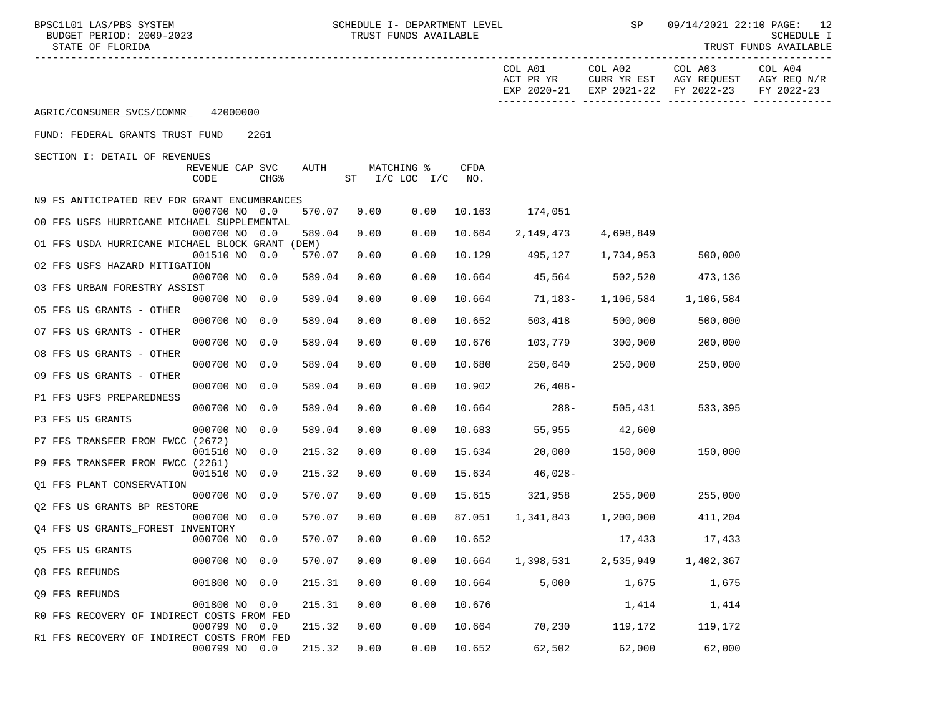BPSC1L01 LAS/PBS SYSTEM SCHEDULE I- DEPARTMENT LEVEL SP 09/14/2021 22:10 PAGE: 12<br>BUDGET PERIOD: 2009-2023 TRUST FUNDS AVAILABLE

TRUST FUNDS AVAILABLE

|                                                 |                         |                  |        |                    |            |             | COL A01<br>ACT PR YR          | COL A02                     | COL A03<br>CURR YR EST AGY REQUEST AGY REQ N/R<br>EXP 2020-21 EXP 2021-22 FY 2022-23 | COL A04<br>FY 2022-23 |
|-------------------------------------------------|-------------------------|------------------|--------|--------------------|------------|-------------|-------------------------------|-----------------------------|--------------------------------------------------------------------------------------|-----------------------|
| AGRIC/CONSUMER SVCS/COMMR 42000000              |                         |                  |        |                    |            |             |                               |                             |                                                                                      |                       |
| FUND: FEDERAL GRANTS TRUST FUND                 |                         | 2261             |        |                    |            |             |                               |                             |                                                                                      |                       |
| SECTION I: DETAIL OF REVENUES                   |                         |                  |        |                    |            |             |                               |                             |                                                                                      |                       |
|                                                 | REVENUE CAP SVC<br>CODE | CHG <sup>8</sup> | AUTH   | ST I/C LOC I/C NO. | MATCHING % | <b>CFDA</b> |                               |                             |                                                                                      |                       |
| N9 FS ANTICIPATED REV FOR GRANT ENCUMBRANCES    | 000700 NO 0.0           |                  | 570.07 | 0.00               | 0.00       | 10.163      | 174,051                       |                             |                                                                                      |                       |
| OO FFS USFS HURRICANE MICHAEL SUPPLEMENTAL      |                         |                  |        |                    |            |             |                               |                             |                                                                                      |                       |
| O1 FFS USDA HURRICANE MICHAEL BLOCK GRANT (DEM) | 000700 NO 0.0           |                  | 589.04 | 0.00               | 0.00       | 10.664      | 2,149,473                     | 4,698,849                   |                                                                                      |                       |
|                                                 | 001510 NO 0.0           |                  | 570.07 | 0.00               | 0.00       | 10.129      |                               | 495,127 1,734,953           | 500,000                                                                              |                       |
| 02 FFS USFS HAZARD MITIGATION                   | 000700 NO 0.0           |                  | 589.04 | 0.00               | 0.00       | 10.664      |                               | 45,564 502,520              | 473,136                                                                              |                       |
| 03 FFS URBAN FORESTRY ASSIST                    | 000700 NO 0.0           |                  | 589.04 | 0.00               | 0.00       | 10.664      |                               | 71,183- 1,106,584 1,106,584 |                                                                                      |                       |
| 05 FFS US GRANTS - OTHER                        |                         |                  |        |                    |            |             |                               |                             |                                                                                      |                       |
| 07 FFS US GRANTS - OTHER                        | 000700 NO 0.0           |                  | 589.04 | 0.00               | 0.00       | 10.652      | 503,418                       | 500,000                     | 500,000                                                                              |                       |
|                                                 | 000700 NO 0.0           |                  | 589.04 | 0.00               | 0.00       | 10.676      | 103,779                       | 300,000                     | 200,000                                                                              |                       |
| 08 FFS US GRANTS - OTHER                        | 000700 NO 0.0           |                  | 589.04 | 0.00               | 0.00       | 10.680      | 250,640                       | 250,000                     | 250,000                                                                              |                       |
| 09 FFS US GRANTS - OTHER                        |                         |                  |        |                    |            |             |                               |                             |                                                                                      |                       |
| P1 FFS USFS PREPAREDNESS                        | 000700 NO 0.0           |                  | 589.04 | 0.00               | 0.00       | 10.902      | $26,408-$                     |                             |                                                                                      |                       |
|                                                 | 000700 NO 0.0           |                  | 589.04 | 0.00               | 0.00       | 10.664      | $288-$                        | 505,431                     | 533,395                                                                              |                       |
| P3 FFS US GRANTS                                | 000700 NO 0.0           |                  | 589.04 | 0.00               | 0.00       | 10.683      | 55,955                        | 42,600                      |                                                                                      |                       |
| P7 FFS TRANSFER FROM FWCC (2672)                |                         |                  |        |                    |            |             |                               |                             |                                                                                      |                       |
| P9 FFS TRANSFER FROM FWCC (2261)                | 001510 NO 0.0           |                  | 215.32 | 0.00               | 0.00       | 15.634      | 20,000                        | 150,000                     | 150,000                                                                              |                       |
|                                                 | 001510 NO 0.0           |                  | 215.32 | 0.00               | 0.00       | 15.634      | $46,028-$                     |                             |                                                                                      |                       |
| O1 FFS PLANT CONSERVATION                       | 000700 NO 0.0           |                  | 570.07 | 0.00               | 0.00       | 15.615      |                               | 321,958 255,000             | 255,000                                                                              |                       |
| 02 FFS US GRANTS BP RESTORE                     |                         |                  |        |                    |            |             |                               |                             |                                                                                      |                       |
| Q4 FFS US GRANTS FOREST INVENTORY               | 000700 NO 0.0           |                  | 570.07 | 0.00               | 0.00       | 87.051      |                               | 1,341,843 1,200,000         | 411,204                                                                              |                       |
|                                                 | 000700 NO 0.0           |                  | 570.07 | 0.00               | 0.00       | 10.652      |                               | 17,433                      | 17,433                                                                               |                       |
| Q5 FFS US GRANTS                                | 000700 NO 0.0           |                  | 570.07 | 0.00               | 0.00       | 10.664      |                               | 1,398,531 2,535,949         | 1,402,367                                                                            |                       |
| Q8 FFS REFUNDS                                  |                         |                  |        |                    |            |             |                               |                             |                                                                                      |                       |
| Q9 FFS REFUNDS                                  | 001800 NO 0.0           |                  | 215.31 | 0.00               | 0.00       | 10.664      | 5,000                         | 1,675                       | 1,675                                                                                |                       |
|                                                 | 001800 NO 0.0           |                  | 215.31 | 0.00               | 0.00       | 10.676      |                               | 1,414                       | 1,414                                                                                |                       |
| RO FFS RECOVERY OF INDIRECT COSTS FROM FED      | 000799 NO 0.0           |                  | 215.32 | 0.00               | 0.00       |             | 10.664 70,230 119,172 119,172 |                             |                                                                                      |                       |
| R1 FFS RECOVERY OF INDIRECT COSTS FROM FED      |                         |                  |        |                    |            |             |                               |                             |                                                                                      |                       |

000799 NO 0.0 215.32 0.00 0.00 10.652 62,502 62,000 62,000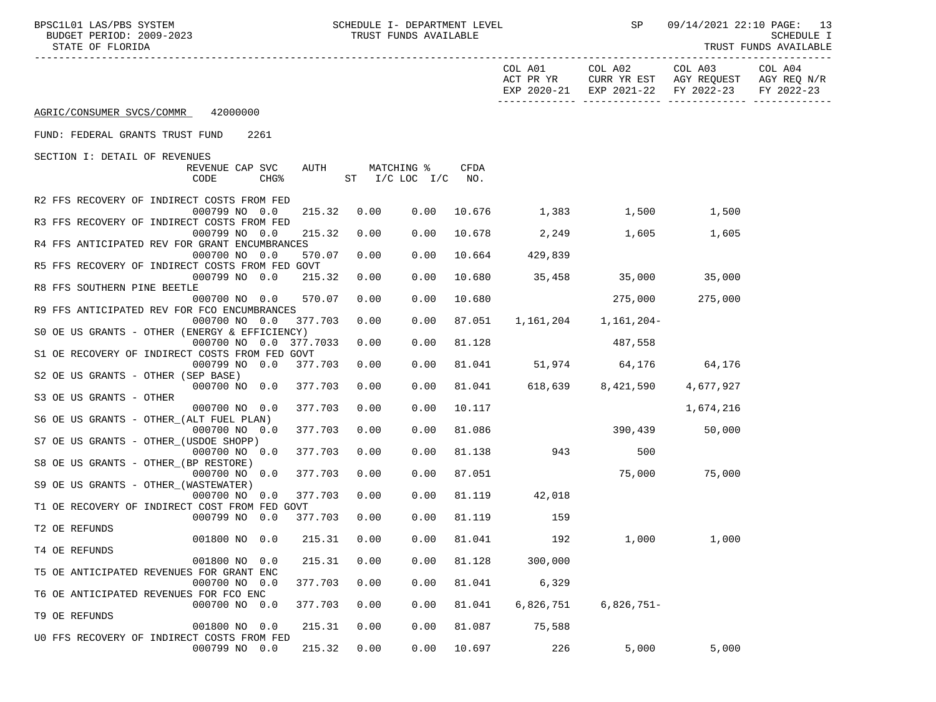| BPSC1L01 LAS/PBS SYSTEM<br>BUDGET PERIOD: 2009-2023<br>STATE OF FLORIDA |                | SCHEDULE I- DEPARTMENT LEVEL<br>TRUST FUNDS AVAILABLE |        |                | SP                                 | 09/14/2021 22:10 PAGE: 13<br>SCHEDULE I<br>TRUST FUNDS AVAILABLE                                       |                       |
|-------------------------------------------------------------------------|----------------|-------------------------------------------------------|--------|----------------|------------------------------------|--------------------------------------------------------------------------------------------------------|-----------------------|
|                                                                         |                |                                                       |        | COL A01        |                                    | COL A02 COL A03<br>ACT PR YR CURR YR EST AGY REQUEST AGY REQ N/R<br>EXP 2020-21 EXP 2021-22 FY 2022-23 | COL A04<br>FY 2022-23 |
| AGRIC/CONSUMER SVCS/COMMR 42000000                                      |                |                                                       |        |                |                                    |                                                                                                        |                       |
| FUND: FEDERAL GRANTS TRUST FUND 2261                                    |                |                                                       |        |                |                                    |                                                                                                        |                       |
| SECTION I: DETAIL OF REVENUES                                           |                |                                                       |        |                |                                    |                                                                                                        |                       |
| REVENUE CAP SVC<br>CODE<br>CHG%                                         | <b>AUTH</b>    | MATCHING %<br>ST I/C LOC I/C NO.                      | CFDA   |                |                                    |                                                                                                        |                       |
| R2 FFS RECOVERY OF INDIRECT COSTS FROM FED                              |                |                                                       |        |                |                                    |                                                                                                        |                       |
| 000799 NO 0.0                                                           | 215.32         | 0.00                                                  |        |                | $0.00$ 10.676 1,383 1,500 1,500    |                                                                                                        |                       |
| R3 FFS RECOVERY OF INDIRECT COSTS FROM FED<br>000799 NO 0.0             | 215.32<br>0.00 | 0.00                                                  |        |                | 10.678 2,249 1,605                 | 1,605                                                                                                  |                       |
| R4 FFS ANTICIPATED REV FOR GRANT ENCUMBRANCES                           |                |                                                       |        |                |                                    |                                                                                                        |                       |
| 000700 NO 0.0                                                           | 570.07<br>0.00 | 0.00                                                  |        | 10.664 429,839 |                                    |                                                                                                        |                       |
| R5 FFS RECOVERY OF INDIRECT COSTS FROM FED GOVT<br>000799 NO 0.0        | 215.32<br>0.00 | 0.00                                                  |        |                | 10.680 35,458 35,000 35,000        |                                                                                                        |                       |
| R8 FFS SOUTHERN PINE BEETLE                                             |                |                                                       |        |                |                                    |                                                                                                        |                       |
| 000700 NO 0.0                                                           | 570.07<br>0.00 | 0.00                                                  | 10.680 |                | 275,000                            | 275,000                                                                                                |                       |
| R9 FFS ANTICIPATED REV FOR FCO ENCUMBRANCES<br>377.703                  |                |                                                       |        |                |                                    |                                                                                                        |                       |
| 000700 NO 0.0<br>SO OE US GRANTS - OTHER (ENERGY & EFFICIENCY)          | 0.00           | 0.00                                                  | 87.051 |                | 1, 161, 204 1, 161, 204-           |                                                                                                        |                       |
| 000700 NO 0.0 377.7033                                                  | 0.00           | 0.00                                                  | 81.128 |                | 487,558                            |                                                                                                        |                       |
| S1 OE RECOVERY OF INDIRECT COSTS FROM FED GOVT                          |                |                                                       |        |                |                                    |                                                                                                        |                       |
| 000799 NO 0.0<br>377.703<br>S2 OE US GRANTS - OTHER (SEP BASE)          | 0.00           | 0.00                                                  |        |                | 81.041 51,974 64,176 64,176        |                                                                                                        |                       |
| 000700 NO 0.0<br>377.703                                                | 0.00           | 0.00                                                  |        |                | 81.041 618,639 8,421,590 4,677,927 |                                                                                                        |                       |
| S3 OE US GRANTS - OTHER                                                 |                |                                                       |        |                |                                    |                                                                                                        |                       |
| 000700 NO 0.0<br>377.703<br>S6 OE US GRANTS - OTHER (ALT FUEL PLAN)     | 0.00           | 0.00                                                  | 10.117 |                |                                    | 1,674,216                                                                                              |                       |
| 000700 NO 0.0<br>377.703                                                | 0.00           | 0.00                                                  | 81.086 |                |                                    | 390,439 50,000                                                                                         |                       |
| S7 OE US GRANTS - OTHER (USDOE SHOPP)                                   |                |                                                       |        |                |                                    |                                                                                                        |                       |
| 000700 NO 0.0<br>377.703                                                | 0.00           | 0.00                                                  | 81.138 |                | 943 500                            |                                                                                                        |                       |
| S8 OE US GRANTS - OTHER_(BP RESTORE)<br>377.703<br>000700 NO 0.0        | 0.00           | 0.00                                                  | 87.051 |                |                                    | 75,000 75,000                                                                                          |                       |
| S9 OE US GRANTS - OTHER_(WASTEWATER)                                    |                |                                                       |        |                |                                    |                                                                                                        |                       |
| 000700 NO 0.0<br>377.703                                                | 0.00           | 0.00                                                  |        | 81.119 42,018  |                                    |                                                                                                        |                       |
| T1 OE RECOVERY OF INDIRECT COST FROM FED GOVT                           |                |                                                       |        |                |                                    |                                                                                                        |                       |
| 000799 NO 0.0<br>T2 OE REFUNDS                                          | 377.703 0.00   | 0.00                                                  | 81.119 | 159            |                                    |                                                                                                        |                       |
| 001800 NO 0.0                                                           | 215.31<br>0.00 | 0.00                                                  | 81.041 | 192            | 1,000                              | 1,000                                                                                                  |                       |
| T4 OE REFUNDS                                                           |                |                                                       |        |                |                                    |                                                                                                        |                       |
| 001800 NO<br>0.0<br>T5 OE ANTICIPATED REVENUES FOR GRANT ENC            | 215.31<br>0.00 | 0.00                                                  | 81.128 | 300,000        |                                    |                                                                                                        |                       |
| 000700 NO<br>377.703<br>0.0                                             | 0.00           | 0.00                                                  | 81.041 | 6,329          |                                    |                                                                                                        |                       |
| T6 OE ANTICIPATED REVENUES FOR FCO ENC                                  |                |                                                       |        |                |                                    |                                                                                                        |                       |
| 377.703<br>000700 NO<br>0.0                                             | 0.00           | 0.00                                                  | 81.041 | 6,826,751      | $6,826,751-$                       |                                                                                                        |                       |
| T9 OE REFUNDS<br>001800 NO<br>0.0                                       | 215.31<br>0.00 | 0.00                                                  | 81.087 | 75,588         |                                    |                                                                                                        |                       |
| UO FFS RECOVERY OF INDIRECT COSTS FROM FED                              |                |                                                       |        |                |                                    |                                                                                                        |                       |
| 000799 NO 0.0                                                           | 0.00<br>215.32 | 0.00                                                  | 10.697 | 226            | 5,000                              | 5,000                                                                                                  |                       |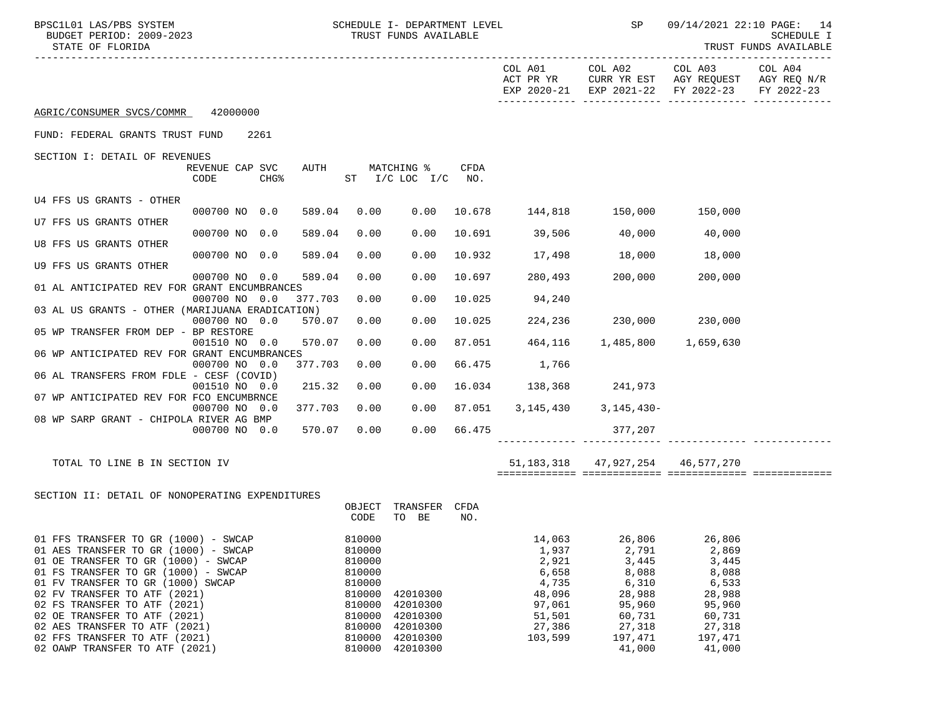| BPSC1L01 LAS/PBS SYSTEM<br>STATE OF FLORIDA     | SCHEDULE I- DEPARTMENT LEVEL<br>BUDGET PERIOD: 2009-2023<br>TRUST FUNDS AVAILABLE<br>----------------- |             |         |                |                                  |        | SP                            | 09/14/2021 22:10 PAGE: 14<br>SCHEDULE I<br>TRUST FUNDS AVAILABLE |                                                                                                        |            |
|-------------------------------------------------|--------------------------------------------------------------------------------------------------------|-------------|---------|----------------|----------------------------------|--------|-------------------------------|------------------------------------------------------------------|--------------------------------------------------------------------------------------------------------|------------|
|                                                 |                                                                                                        |             |         |                |                                  |        | COL A01                       | COL A02                                                          | COL A03 COL A04<br>ACT PR YR CURR YR EST AGY REQUEST AGY REQ N/R<br>EXP 2020-21 EXP 2021-22 FY 2022-23 | FY 2022-23 |
| AGRIC/CONSUMER SVCS/COMMR 42000000              |                                                                                                        |             |         |                |                                  |        |                               |                                                                  |                                                                                                        |            |
| FUND: FEDERAL GRANTS TRUST FUND                 |                                                                                                        | 2261        |         |                |                                  |        |                               |                                                                  |                                                                                                        |            |
| SECTION I: DETAIL OF REVENUES                   | REVENUE CAP SVC<br>CODE                                                                                | <b>CHG%</b> | AUTH    |                | MATCHING %<br>ST I/C LOC I/C NO. | CFDA   |                               |                                                                  |                                                                                                        |            |
| U4 FFS US GRANTS - OTHER                        | 000700 NO 0.0                                                                                          |             | 589.04  | 0.00           |                                  |        | $0.00$ 10.678 144,818 150,000 |                                                                  |                                                                                                        |            |
| U7 FFS US GRANTS OTHER                          |                                                                                                        |             |         |                |                                  |        |                               |                                                                  | 150,000                                                                                                |            |
|                                                 | 000700 NO 0.0                                                                                          |             | 589.04  | 0.00           | 0.00                             |        | 10.691 39,506                 | 40,000                                                           | 40,000                                                                                                 |            |
| U8 FFS US GRANTS OTHER                          | 000700 NO 0.0                                                                                          |             | 589.04  | 0.00           | 0.00                             | 10.932 | 17,498                        | 18,000                                                           | 18,000                                                                                                 |            |
| U9 FFS US GRANTS OTHER                          |                                                                                                        |             |         |                |                                  |        |                               |                                                                  |                                                                                                        |            |
|                                                 | 000700 NO 0.0                                                                                          |             | 589.04  | 0.00           | 0.00                             | 10.697 | 280,493                       | 200,000                                                          | 200,000                                                                                                |            |
| 01 AL ANTICIPATED REV FOR GRANT ENCUMBRANCES    | 000700 NO 0.0                                                                                          |             | 377.703 | 0.00           | 0.00                             | 10.025 | 94,240                        |                                                                  |                                                                                                        |            |
| 03 AL US GRANTS - OTHER (MARIJUANA ERADICATION) |                                                                                                        |             |         |                |                                  |        |                               |                                                                  |                                                                                                        |            |
|                                                 | 000700 NO 0.0                                                                                          |             | 570.07  | 0.00           | 0.00                             | 10.025 | 224,236                       | 230,000 230,000                                                  |                                                                                                        |            |
| 05 WP TRANSFER FROM DEP - BP RESTORE            |                                                                                                        |             |         |                |                                  |        |                               |                                                                  |                                                                                                        |            |
|                                                 | 001510 NO 0.0                                                                                          |             | 570.07  | 0.00           | 0.00                             | 87.051 | 464,116                       |                                                                  | 1,485,800 1,659,630                                                                                    |            |
| 06 WP ANTICIPATED REV FOR GRANT ENCUMBRANCES    |                                                                                                        |             |         |                |                                  |        |                               |                                                                  |                                                                                                        |            |
|                                                 | 000700 NO 0.0                                                                                          |             | 377.703 | 0.00           | 0.00                             | 66.475 | 1,766                         |                                                                  |                                                                                                        |            |
| 06 AL TRANSFERS FROM FDLE - CESF (COVID)        | 001510 NO 0.0                                                                                          |             | 215.32  | 0.00           | 0.00                             |        | 16.034 138,368 241,973        |                                                                  |                                                                                                        |            |
| 07 WP ANTICIPATED REV FOR FCO ENCUMBRNCE        |                                                                                                        |             |         |                |                                  |        |                               |                                                                  |                                                                                                        |            |
|                                                 | 000700 NO 0.0                                                                                          |             | 377.703 | 0.00           | 0.00                             | 87.051 |                               | $3, 145, 430$ $3, 145, 430$                                      |                                                                                                        |            |
| 08 WP SARP GRANT - CHIPOLA RIVER AG BMP         |                                                                                                        |             |         |                |                                  |        |                               |                                                                  |                                                                                                        |            |
|                                                 | 000700 NO 0.0                                                                                          |             | 570.07  | 0.00           | 0.00                             | 66.475 |                               | 377,207                                                          |                                                                                                        |            |
| TOTAL TO LINE B IN SECTION IV                   |                                                                                                        |             |         |                |                                  |        |                               | 51, 183, 318 47, 927, 254 46, 577, 270                           |                                                                                                        |            |
| SECTION II: DETAIL OF NONOPERATING EXPENDITURES |                                                                                                        |             |         | OBJECT<br>CODE | TRANSFER CFDA<br>TO BE           | NO.    |                               |                                                                  |                                                                                                        |            |

| 01 FFS TRANSFER TO GR (1000) - SWCAP | 810000 |          | 14,063  | 26,806  | 26,806  |
|--------------------------------------|--------|----------|---------|---------|---------|
| 01 AES TRANSFER TO GR (1000) - SWCAP | 810000 |          | 1,937   | 2,791   | 2,869   |
| 01 OE TRANSFER TO GR (1000) - SWCAP  | 810000 |          | 2,921   | 3,445   | 3,445   |
| 01 FS TRANSFER TO GR (1000) - SWCAP  | 810000 |          | 6,658   | 8,088   | 8,088   |
| 01 FV TRANSFER TO GR (1000) SWCAP    | 810000 |          | 4,735   | 6,310   | 6,533   |
| 02 FV TRANSFER TO ATF (2021)         | 810000 | 42010300 | 48,096  | 28,988  | 28,988  |
| 02 FS TRANSFER TO ATF (2021)         | 810000 | 42010300 | 97,061  | 95,960  | 95,960  |
| 02 OE TRANSFER TO ATF (2021)         | 810000 | 42010300 | 51,501  | 60,731  | 60,731  |
| 02 AES TRANSFER TO ATF (2021)        | 810000 | 42010300 | 27,386  | 27,318  | 27,318  |
| 02 FFS TRANSFER TO ATF (2021)        | 810000 | 42010300 | 103,599 | 197,471 | 197,471 |
| 02 OAWP TRANSFER TO ATF (2021)       | 810000 | 42010300 |         | 41,000  | 41,000  |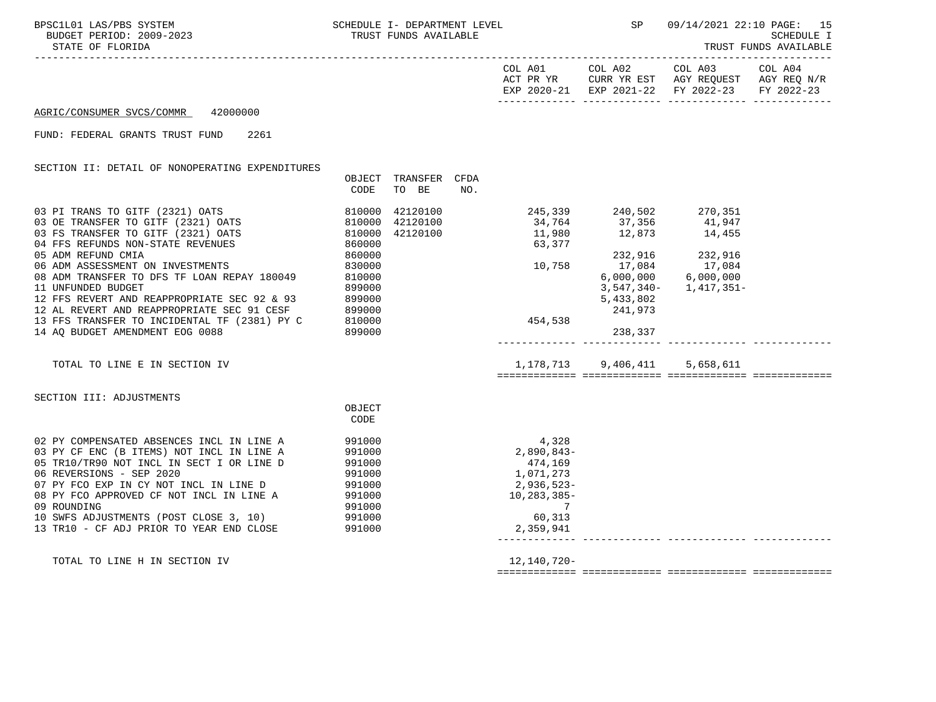-----------------------------------------------------------------------------------------------------------------------------------

| COL A04<br>COL A03<br>COL A02<br>COL A01<br>AGY REOUEST<br>AGY REO N/R<br>CURR YR EST<br>ACT PR YR<br>EXP 2021-22 FY 2022-23<br>FY 2022-23<br>EXP 2020-21 |  |
|-----------------------------------------------------------------------------------------------------------------------------------------------------------|--|
|-----------------------------------------------------------------------------------------------------------------------------------------------------------|--|

## AGRIC/CONSUMER SVCS/COMMR 42000000

FUND: FEDERAL GRANTS TRUST FUND 2261

SECTION II: DETAIL OF NONOPERATING EXPENDITURES

|                                              | OBJECT | TRANSFER | CFDA |         |               |               |  |
|----------------------------------------------|--------|----------|------|---------|---------------|---------------|--|
|                                              | CODE   | BE<br>TO | NO.  |         |               |               |  |
| 03 PI TRANS TO GITF (2321) OATS              | 810000 | 42120100 |      | 245,339 | 240,502       | 270,351       |  |
|                                              |        |          |      |         |               |               |  |
| 03 OE TRANSFER TO GITF<br>(2321) OATS        | 810000 | 42120100 |      | 34,764  | 37,356        | 41,947        |  |
| 03 FS TRANSFER TO GITF (2321) OATS           | 810000 | 42120100 |      | 11,980  | 12,873        | 14,455        |  |
| 04 FFS REFUNDS NON-STATE REVENUES            | 860000 |          |      | 63,377  |               |               |  |
| 05 ADM REFUND CMIA                           | 860000 |          |      |         | 232,916       | 232,916       |  |
| 06 ADM ASSESSMENT ON INVESTMENTS             | 830000 |          |      | 10,758  | 17,084        | 17,084        |  |
| 08 ADM TRANSFER TO DFS TF LOAN REPAY 180049  | 810000 |          |      |         | 6,000,000     | 6,000,000     |  |
| 11 UNFUNDED BUDGET                           | 899000 |          |      |         | $3.547.340 -$ | $1.417.351 -$ |  |
| 12 FFS REVERT AND REAPPROPRIATE SEC 92 & 93  | 899000 |          |      |         | 5,433,802     |               |  |
| 12 AL REVERT AND REAPPROPRIATE SEC 91 CESF   | 899000 |          |      |         | 241,973       |               |  |
| 13 FFS TRANSFER TO INCIDENTAL TF (2381) PY C | 810000 |          |      | 454,538 |               |               |  |
| 14 AO BUDGET AMENDMENT EOG 0088              | 899000 |          |      |         | 238,337       |               |  |
|                                              |        |          |      |         |               |               |  |

 TOTAL TO LINE E IN SECTION IV 1,178,713 9,406,411 5,658,611 ============= ============= ============= =============

SECTION III: ADJUSTMENTS

|                                           | OBJECT |                  |
|-------------------------------------------|--------|------------------|
|                                           | CODE   |                  |
|                                           |        |                  |
| 02 PY COMPENSATED ABSENCES INCL IN LINE A | 991000 | 4,328            |
| 03 PY CF ENC (B ITEMS) NOT INCL IN LINE A | 991000 | $2,890,843-$     |
| 05 TR10/TR90 NOT INCL IN SECT I OR LINE D | 991000 | 474,169          |
| 06 REVERSIONS - SEP 2020                  | 991000 | 1,071,273        |
| 07 PY FCO EXP IN CY NOT INCL IN LINE D    | 991000 | $2,936,523-$     |
| 08 PY FCO APPROVED CF NOT INCL IN LINE A  | 991000 | $10, 283, 385 -$ |
| 09 ROUNDING                               | 991000 |                  |
| 10 SWFS ADJUSTMENTS (POST CLOSE 3, 10)    | 991000 | 60,313           |
| 13 TR10 - CF ADJ PRIOR TO YEAR END CLOSE  | 991000 | 2,359,941        |
|                                           |        |                  |

TOTAL TO LINE H IN SECTION IV 12, 140, 720-

============= ============= ============= =============

------------- ------------- ------------- -------------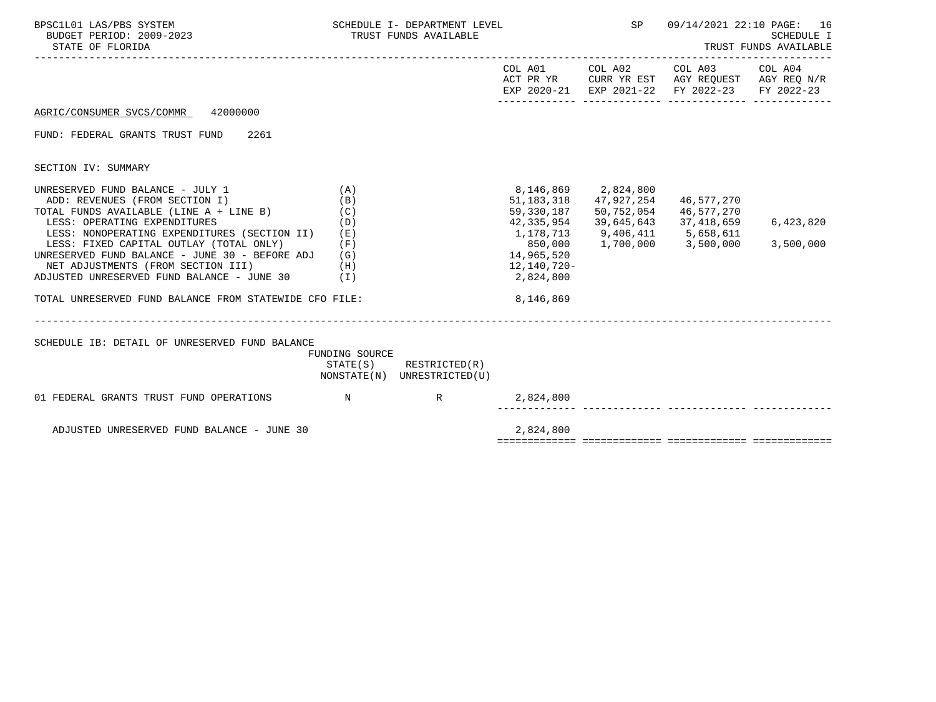| BPSC1L01 LAS/PBS SYSTEM<br>BUDGET PERIOD: 2009-2023<br>STATE OF FLORIDA                                                                                                                                                                                                                                                                                                                                                                                     |                                 | SCHEDULE I- DEPARTMENT LEVEL<br>TRUST FUNDS AVAILABLE      |                                                                | SP                                           | 09/14/2021 22:10 PAGE:<br>16<br>SCHEDULE I<br>TRUST FUNDS AVAILABLE                                                                                    |                        |  |
|-------------------------------------------------------------------------------------------------------------------------------------------------------------------------------------------------------------------------------------------------------------------------------------------------------------------------------------------------------------------------------------------------------------------------------------------------------------|---------------------------------|------------------------------------------------------------|----------------------------------------------------------------|----------------------------------------------|--------------------------------------------------------------------------------------------------------------------------------------------------------|------------------------|--|
|                                                                                                                                                                                                                                                                                                                                                                                                                                                             |                                 |                                                            |                                                                | COL A01 COL A02                              | COL A03 COL A04<br>ACT PR YR CURR YR EST AGY REQUEST AGY REQ N/R<br>EXP 2020-21 EXP 2021-22 FY 2022-23                                                 | FY 2022-23             |  |
| AGRIC/CONSUMER SVCS/COMMR 42000000                                                                                                                                                                                                                                                                                                                                                                                                                          |                                 |                                                            |                                                                |                                              |                                                                                                                                                        |                        |  |
| FUND: FEDERAL GRANTS TRUST FUND<br>2261                                                                                                                                                                                                                                                                                                                                                                                                                     |                                 |                                                            |                                                                |                                              |                                                                                                                                                        |                        |  |
| SECTION IV: SUMMARY                                                                                                                                                                                                                                                                                                                                                                                                                                         |                                 |                                                            |                                                                |                                              |                                                                                                                                                        |                        |  |
| UNRESERVED FUND BALANCE - JULY 1<br>ADD: REVENUES (FROM SECTION I)<br>TOTAL FUNDS AVAILABLE (LINE A + LINE B)<br>LESS: OPERATING EXPENDITURES<br>LESS: NONOPERATING EXPENDITURES (SECTION II) (E)<br>LESS: FIXED CAPITAL OUTLAY (TOTAL ONLY)<br>UNRESERVED FUND BALANCE - JUNE 30 - BEFORE ADJ (G)<br>NET ADJUSTMENTS (FROM SECTION III)<br>(H)<br>ADJUSTED UNRESERVED FUND BALANCE - JUNE 30 (I)<br>TOTAL UNRESERVED FUND BALANCE FROM STATEWIDE CFO FILE: | (A)<br>(B)<br>(C)<br>(D)<br>(F) |                                                            | 850,000<br>14,965,520<br>12,140,720-<br>2,824,800<br>8,146,869 | 8,146,869 2,824,800<br>51,183,318 47,927,254 | 46,577,270<br>59,330,187 50,752,054 46,577,270<br>42, 335, 954 39, 645, 643 37, 418, 659<br>1, 178, 713 9, 406, 411 5, 658, 611<br>1,700,000 3,500,000 | 6,423,820<br>3,500,000 |  |
|                                                                                                                                                                                                                                                                                                                                                                                                                                                             |                                 |                                                            |                                                                |                                              |                                                                                                                                                        |                        |  |
| SCHEDULE IB: DETAIL OF UNRESERVED FUND BALANCE                                                                                                                                                                                                                                                                                                                                                                                                              | FUNDING SOURCE                  | $STATE(S)$ RESTRICTED $(R)$<br>NONSTATE(N) UNRESTRICTED(U) |                                                                |                                              |                                                                                                                                                        |                        |  |
| 01 FEDERAL GRANTS TRUST FUND OPERATIONS<br>$\mathbf N$                                                                                                                                                                                                                                                                                                                                                                                                      |                                 | R                                                          | 2,824,800                                                      |                                              |                                                                                                                                                        |                        |  |
| ADJUSTED UNRESERVED FUND BALANCE - JUNE 30                                                                                                                                                                                                                                                                                                                                                                                                                  |                                 |                                                            | 2,824,800                                                      |                                              |                                                                                                                                                        |                        |  |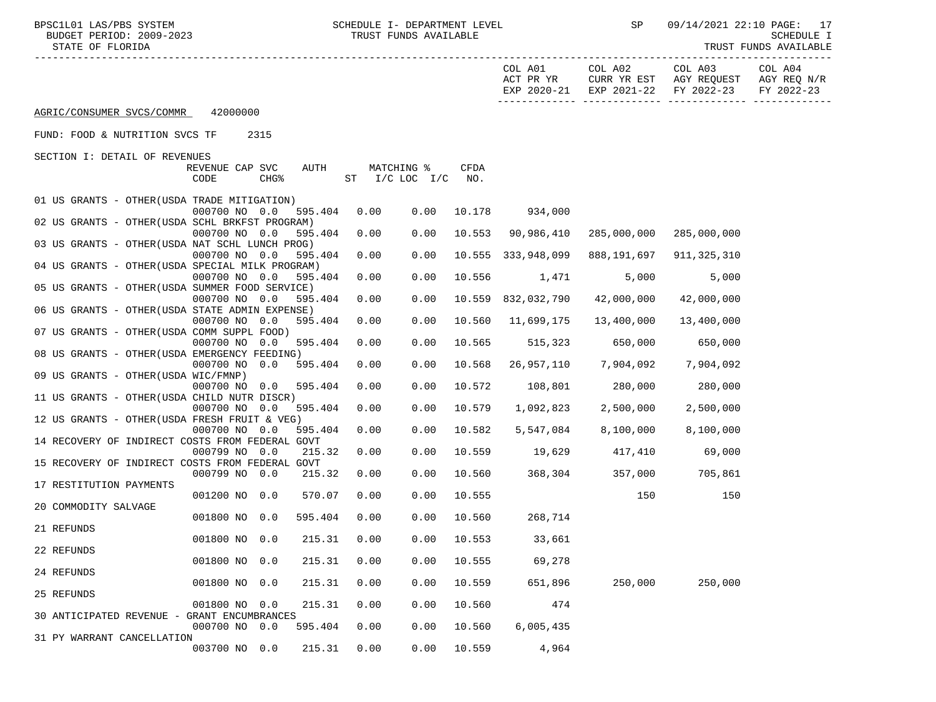25 REFUNDS

31 PY WARRANT CANCELLATION

30 ANTICIPATED REVENUE - GRANT ENCUMBRANCES

BPSC1L01 LAS/PBS SYSTEM SCHEDULE I- DEPARTMENT LEVEL SERE SP 09/14/2021 22:10 PAGE: 17<br>BUDGET PERIOD: 2009-2023 TRUST FUNDS AVAILABLE

TRUST FUNDS AVAILABLE

|                                                                              |                |            |        | COL A01             | COL A02<br>ACT PR YR $\,$ CURR YR EST $\,$ AGY REQUEST $\,$ AGY REQ $\,$ N/R $\,$<br>EXP 2020-21 EXP 2021-22 FY 2022-23 | COL A03    | COL A04<br>FY 2022-23 |
|------------------------------------------------------------------------------|----------------|------------|--------|---------------------|-------------------------------------------------------------------------------------------------------------------------|------------|-----------------------|
| AGRIC/CONSUMER SVCS/COMMR 42000000                                           |                |            |        |                     |                                                                                                                         |            |                       |
| FUND: FOOD & NUTRITION SVCS TF<br>2315                                       |                |            |        |                     |                                                                                                                         |            |                       |
| SECTION I: DETAIL OF REVENUES                                                |                |            |        |                     |                                                                                                                         |            |                       |
| REVENUE CAP SVC<br>AUTH                                                      |                | MATCHING % | CFDA   |                     |                                                                                                                         |            |                       |
| CODE<br>CHG <sup>8</sup>                                                     | ST I/C LOC I/C |            | NO.    |                     |                                                                                                                         |            |                       |
| 01 US GRANTS - OTHER (USDA TRADE MITIGATION)                                 |                |            |        |                     |                                                                                                                         |            |                       |
| 000700 NO 0.0<br>595.404                                                     | 0.00           | 0.00       | 10.178 | 934,000             |                                                                                                                         |            |                       |
| 02 US GRANTS - OTHER (USDA SCHL BRKFST PROGRAM)                              |                |            |        |                     |                                                                                                                         |            |                       |
| 000700 NO 0.0<br>595.404                                                     | 0.00           | 0.00       |        | 10.553 90,986,410   | 285,000,000 285,000,000                                                                                                 |            |                       |
| 03 US GRANTS - OTHER (USDA NAT SCHL LUNCH PROG)                              |                |            |        |                     |                                                                                                                         |            |                       |
| 000700 NO 0.0<br>595.404<br>04 US GRANTS - OTHER (USDA SPECIAL MILK PROGRAM) | 0.00           | 0.00       |        |                     | 10.555 333,948,099 888,191,697 911,325,310                                                                              |            |                       |
| 000700 NO 0.0<br>595.404                                                     | 0.00           | 0.00       | 10.556 |                     | 1,471 5,000                                                                                                             | 5,000      |                       |
| 05 US GRANTS - OTHER (USDA SUMMER FOOD SERVICE)                              |                |            |        |                     |                                                                                                                         |            |                       |
| 000700 NO 0.0<br>595.404                                                     | 0.00           | 0.00       |        | 10.559 832,032,790  | 42,000,000                                                                                                              | 42,000,000 |                       |
| 06 US GRANTS - OTHER (USDA STATE ADMIN EXPENSE)                              |                |            |        |                     |                                                                                                                         |            |                       |
| 000700 NO 0.0<br>595.404                                                     | 0.00           | 0.00       |        | 10.560   11,699,175 | 13,400,000                                                                                                              | 13,400,000 |                       |
| 07 US GRANTS - OTHER (USDA COMM SUPPL FOOD)<br>000700 NO 0.0<br>595.404      | 0.00           | 0.00       | 10.565 |                     | 515,323 650,000 650,000                                                                                                 |            |                       |
| 08 US GRANTS - OTHER (USDA EMERGENCY FEEDING)                                |                |            |        |                     |                                                                                                                         |            |                       |
| 000700 NO 0.0<br>595.404                                                     | 0.00           | 0.00       | 10.568 |                     | 26,957,110 7,904,092 7,904,092                                                                                          |            |                       |
| 09 US GRANTS - OTHER (USDA WIC/FMNP)                                         |                |            |        |                     |                                                                                                                         |            |                       |
| 000700 NO 0.0<br>595.404                                                     | 0.00           | 0.00       | 10.572 |                     | 108,801 280,000 280,000                                                                                                 |            |                       |
| 11 US GRANTS - OTHER (USDA CHILD NUTR DISCR)                                 |                |            |        |                     |                                                                                                                         |            |                       |
| 000700 NO 0.0<br>595.404<br>12 US GRANTS - OTHER (USDA FRESH FRUIT & VEG)    | 0.00           | 0.00       | 10.579 | 1,092,823           | 2,500,000                                                                                                               | 2,500,000  |                       |
| 000700 NO 0.0<br>595.404                                                     | 0.00           | 0.00       | 10.582 | 5,547,084           | 8,100,000                                                                                                               | 8,100,000  |                       |
| 14 RECOVERY OF INDIRECT COSTS FROM FEDERAL GOVT                              |                |            |        |                     |                                                                                                                         |            |                       |
| 000799 NO 0.0<br>215.32                                                      | 0.00           | 0.00       | 10.559 |                     | 19,629 417,410                                                                                                          | 69,000     |                       |
| 15 RECOVERY OF INDIRECT COSTS FROM FEDERAL GOVT                              |                |            |        |                     |                                                                                                                         |            |                       |
| 000799 NO 0.0<br>215.32                                                      | 0.00           | 0.00       | 10.560 |                     | 368,304 357,000                                                                                                         | 705,861    |                       |
| 17 RESTITUTION PAYMENTS<br>001200 NO 0.0<br>570.07                           | 0.00           | 0.00       | 10.555 |                     | 150                                                                                                                     | 150        |                       |
| 20 COMMODITY SALVAGE                                                         |                |            |        |                     |                                                                                                                         |            |                       |
| 001800 NO 0.0<br>595.404                                                     | 0.00           | 0.00       | 10.560 | 268,714             |                                                                                                                         |            |                       |
| 21 REFUNDS                                                                   |                |            |        |                     |                                                                                                                         |            |                       |
| 001800 NO 0.0<br>215.31                                                      | 0.00           | 0.00       | 10.553 | 33,661              |                                                                                                                         |            |                       |
| 22 REFUNDS<br>001800 NO 0.0<br>215.31                                        | 0.00           | 0.00       | 10.555 | 69,278              |                                                                                                                         |            |                       |
| 24 REFUNDS                                                                   |                |            |        |                     |                                                                                                                         |            |                       |
| 001800 NO 0.0<br>215.31                                                      | 0.00           | 0.00       | 10.559 | 651,896             | 250,000                                                                                                                 | 250,000    |                       |

001800 NO 0.0 215.31 0.00 0.00 10.560 474

000700 NO 0.0 595.404 0.00 0.00 10.560 6,005,435

003700 NO 0.0 215.31 0.00 0.00 10.559 4,964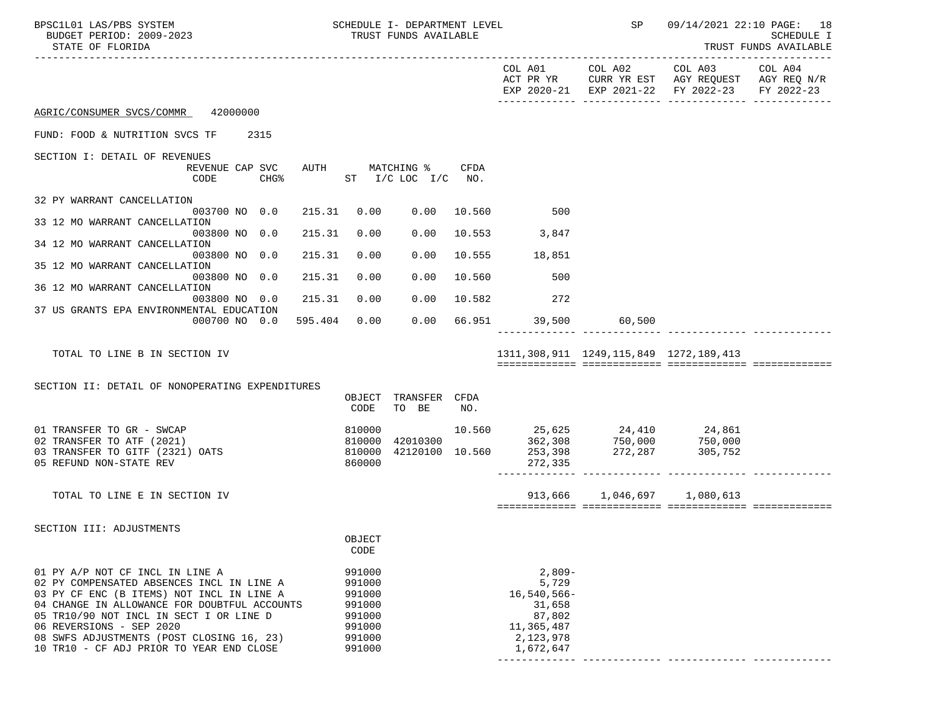| BPSC1L01 LAS/PBS SYSTEM<br>BUDGET PERIOD: 2009-2023<br>STATE OF FLORIDA                                                                                                                                                                                                                                                                   | SCHEDULE I- DEPARTMENT LEVEL<br>TRUST FUNDS AVAILABLE                        |                               |        |                                                                                              | SP                                           | 09/14/2021 22:10 PAGE: 18<br><b>SCHEDULE I</b><br>TRUST FUNDS AVAILABLE                                        |                       |  |
|-------------------------------------------------------------------------------------------------------------------------------------------------------------------------------------------------------------------------------------------------------------------------------------------------------------------------------------------|------------------------------------------------------------------------------|-------------------------------|--------|----------------------------------------------------------------------------------------------|----------------------------------------------|----------------------------------------------------------------------------------------------------------------|-----------------------|--|
|                                                                                                                                                                                                                                                                                                                                           |                                                                              |                               |        |                                                                                              |                                              | COL A01 COL A02 COL A03<br>ACT PR YR CURR YR EST AGY REQUEST AGY REQ N/R<br>EXP 2020-21 EXP 2021-22 FY 2022-23 | COL A04<br>FY 2022-23 |  |
| AGRIC/CONSUMER SVCS/COMMR 42000000                                                                                                                                                                                                                                                                                                        |                                                                              |                               |        |                                                                                              |                                              |                                                                                                                |                       |  |
| FUND: FOOD & NUTRITION SVCS TF 2315                                                                                                                                                                                                                                                                                                       |                                                                              |                               |        |                                                                                              |                                              |                                                                                                                |                       |  |
| SECTION I: DETAIL OF REVENUES<br>REVENUE CAP SVC<br>CHG <sup>8</sup><br>CODE                                                                                                                                                                                                                                                              | AUTH MATCHING %<br>ST I/C LOC I/C NO.                                        |                               | CFDA   |                                                                                              |                                              |                                                                                                                |                       |  |
| 32 PY WARRANT CANCELLATION                                                                                                                                                                                                                                                                                                                |                                                                              |                               |        |                                                                                              |                                              |                                                                                                                |                       |  |
| 003700 NO 0.0<br>33 12 MO WARRANT CANCELLATION                                                                                                                                                                                                                                                                                            | 215.31 0.00                                                                  |                               |        | 0.00 10.560 500                                                                              |                                              |                                                                                                                |                       |  |
| 003800 NO 0.0<br>34 12 MO WARRANT CANCELLATION                                                                                                                                                                                                                                                                                            | 215.31<br>0.00                                                               | 0.00                          |        | 10.553 3,847                                                                                 |                                              |                                                                                                                |                       |  |
| 003800 NO 0.0<br>35 12 MO WARRANT CANCELLATION                                                                                                                                                                                                                                                                                            | 215.31<br>0.00                                                               | 0.00                          |        | 10.555 18,851                                                                                |                                              |                                                                                                                |                       |  |
| 003800 NO 0.0<br>36 12 MO WARRANT CANCELLATION                                                                                                                                                                                                                                                                                            | 215.31<br>0.00                                                               | 0.00                          | 10.560 | 500                                                                                          |                                              |                                                                                                                |                       |  |
| 003800 NO 0.0                                                                                                                                                                                                                                                                                                                             | 215.31<br>0.00                                                               | 0.00                          | 10.582 | 272                                                                                          |                                              |                                                                                                                |                       |  |
| 37 US GRANTS EPA ENVIRONMENTAL EDUCATION<br>000700 NO 0.0                                                                                                                                                                                                                                                                                 | 595.404 0.00                                                                 | 0.00                          |        | 66.951 39,500 60,500                                                                         |                                              |                                                                                                                |                       |  |
| TOTAL TO LINE B IN SECTION IV                                                                                                                                                                                                                                                                                                             |                                                                              |                               |        |                                                                                              | 1311, 308, 911 1249, 115, 849 1272, 189, 413 |                                                                                                                |                       |  |
| SECTION II: DETAIL OF NONOPERATING EXPENDITURES                                                                                                                                                                                                                                                                                           | CODE                                                                         | OBJECT TRANSFER CFDA<br>TO BE | NO.    |                                                                                              |                                              |                                                                                                                |                       |  |
| 01 TRANSFER TO GR - SWCAP                                                                                                                                                                                                                                                                                                                 | 810000                                                                       |                               |        | $10.560$ $25,625$ $24,410$ $24,861$<br>$2010300$ $362,308$ $750,000$ $750,000$               |                                              |                                                                                                                |                       |  |
| 02 TRANSFER TO ATF (2021)<br>03 TRANSFER TO GITF (2321) OATS<br>05 REFUND NON-STATE REV                                                                                                                                                                                                                                                   | 810000 42010300<br>860000                                                    |                               |        | 810000 42120100 10.560 253,398<br>860000 272.335<br>272,335                                  | 272, 287 305, 752                            |                                                                                                                |                       |  |
| TOTAL TO LINE E IN SECTION IV                                                                                                                                                                                                                                                                                                             |                                                                              |                               |        |                                                                                              | 913,666 1,046,697 1,080,613                  |                                                                                                                |                       |  |
| SECTION III: ADJUSTMENTS                                                                                                                                                                                                                                                                                                                  |                                                                              |                               |        |                                                                                              |                                              |                                                                                                                |                       |  |
|                                                                                                                                                                                                                                                                                                                                           | OBJECT<br>CODE                                                               |                               |        |                                                                                              |                                              |                                                                                                                |                       |  |
| 01 PY A/P NOT CF INCL IN LINE A<br>02 PY COMPENSATED ABSENCES INCL IN LINE A<br>03 PY CF ENC (B ITEMS) NOT INCL IN LINE A<br>04 CHANGE IN ALLOWANCE FOR DOUBTFUL ACCOUNTS<br>05 TR10/90 NOT INCL IN SECT I OR LINE D<br>06 REVERSIONS - SEP 2020<br>08 SWFS ADJUSTMENTS (POST CLOSING 16, 23)<br>10 TR10 - CF ADJ PRIOR TO YEAR END CLOSE | 991000<br>991000<br>991000<br>991000<br>991000<br>991000<br>991000<br>991000 |                               |        | $2,809-$<br>5,729<br>16,540,566-<br>31,658<br>87,802<br>11,365,487<br>2,123,978<br>1,672,647 |                                              |                                                                                                                |                       |  |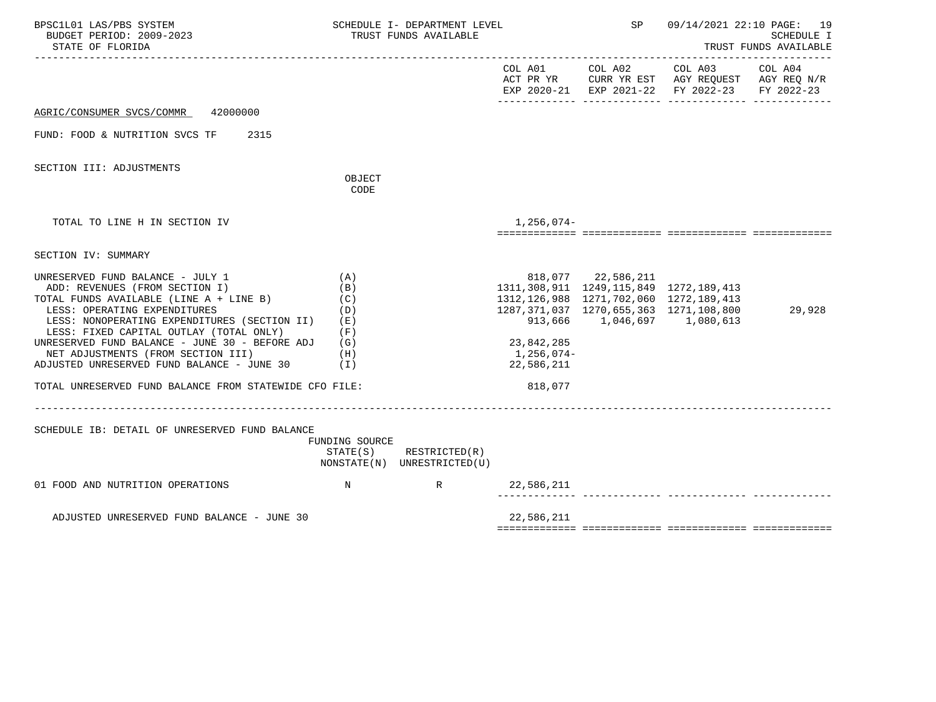| BPSC1L01 LAS/PBS SYSTEM<br>BUDGET PERIOD: 2009-2023<br>STATE OF FLORIDA                                                                                                                                                                                                                                                                                                                                                                  | SCHEDULE I- DEPARTMENT LEVEL<br>TRUST FUNDS AVAILABLE       |                                              |                                                   | SP and the set of the set of the set of the set of the set of the set of the set of the set of the set of the s                                                    | 09/14/2021 22:10 PAGE: 19<br><b>SCHEDULE I</b><br>TRUST FUNDS AVAILABLE             |                       |  |
|------------------------------------------------------------------------------------------------------------------------------------------------------------------------------------------------------------------------------------------------------------------------------------------------------------------------------------------------------------------------------------------------------------------------------------------|-------------------------------------------------------------|----------------------------------------------|---------------------------------------------------|--------------------------------------------------------------------------------------------------------------------------------------------------------------------|-------------------------------------------------------------------------------------|-----------------------|--|
|                                                                                                                                                                                                                                                                                                                                                                                                                                          |                                                             |                                              | COL A01                                           | COL A02 COL A03                                                                                                                                                    | ACT PR YR CURR YR EST AGY REQUEST AGY REQ N/R<br>EXP 2020-21 EXP 2021-22 FY 2022-23 | COL A04<br>FY 2022-23 |  |
| AGRIC/CONSUMER SVCS/COMMR 42000000                                                                                                                                                                                                                                                                                                                                                                                                       |                                                             |                                              |                                                   |                                                                                                                                                                    |                                                                                     |                       |  |
| FUND: FOOD & NUTRITION SVCS TF 2315                                                                                                                                                                                                                                                                                                                                                                                                      |                                                             |                                              |                                                   |                                                                                                                                                                    |                                                                                     |                       |  |
| SECTION III: ADJUSTMENTS                                                                                                                                                                                                                                                                                                                                                                                                                 | OBJECT<br>CODE                                              |                                              |                                                   |                                                                                                                                                                    |                                                                                     |                       |  |
| TOTAL TO LINE H IN SECTION IV                                                                                                                                                                                                                                                                                                                                                                                                            |                                                             |                                              | 1,256,074-                                        |                                                                                                                                                                    |                                                                                     |                       |  |
| SECTION IV: SUMMARY                                                                                                                                                                                                                                                                                                                                                                                                                      |                                                             |                                              |                                                   |                                                                                                                                                                    |                                                                                     |                       |  |
| UNRESERVED FUND BALANCE - JULY 1<br>ADD: REVENUES (FROM SECTION I)<br>TOTAL FUNDS AVAILABLE (LINE A + LINE B)<br>LESS: OPERATING EXPENDITURES<br>LESS: NONOPERATING EXPENDITURES (SECTION II)<br>LESS: FIXED CAPITAL OUTLAY (TOTAL ONLY)<br>UNRESERVED FUND BALANCE - JUNE 30 - BEFORE ADJ<br>NET ADJUSTMENTS (FROM SECTION III)<br>ADJUSTED UNRESERVED FUND BALANCE - JUNE 30<br>TOTAL UNRESERVED FUND BALANCE FROM STATEWIDE CFO FILE: | (A)<br>(B)<br>(C)<br>(D)<br>(E)<br>(F)<br>(G)<br>(H)<br>(1) |                                              | 23,842,285<br>1,256,074-<br>22,586,211<br>818,077 | 818,077 22,586,211<br>1311, 308, 911 1249, 115, 849 1272, 189, 413<br>1312, 126, 988 1271, 702, 060 1272, 189, 413<br>1287, 371, 037 1270, 655, 363 1271, 108, 800 |                                                                                     | 29,928                |  |
| SCHEDULE IB: DETAIL OF UNRESERVED FUND BALANCE                                                                                                                                                                                                                                                                                                                                                                                           | FUNDING SOURCE<br>STATE(S)                                  | RESTRICTED(R)<br>NONSTATE(N) UNRESTRICTED(U) |                                                   |                                                                                                                                                                    |                                                                                     |                       |  |
| 01 FOOD AND NUTRITION OPERATIONS<br>$\mathbb N$                                                                                                                                                                                                                                                                                                                                                                                          |                                                             | $\mathbb R$ and $\mathbb R$ and $\mathbb R$  | 22,586,211                                        |                                                                                                                                                                    |                                                                                     |                       |  |
| ADJUSTED UNRESERVED FUND BALANCE - JUNE 30                                                                                                                                                                                                                                                                                                                                                                                               |                                                             |                                              | 22,586,211                                        |                                                                                                                                                                    |                                                                                     |                       |  |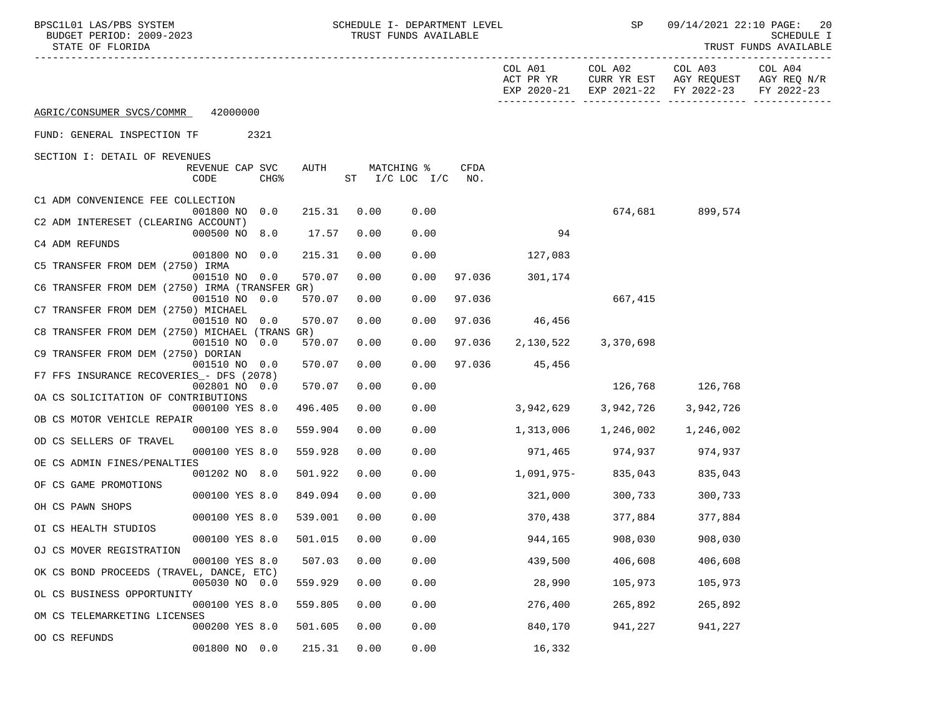| BPSC1L01 LAS/PBS SYSTEM<br>SCHEDULE I- DEPARTMENT LEVEL<br>BUDGET PERIOD: 2009-2023<br>TRUST FUNDS AVAILABLE<br>STATE OF FLORIDA |                 |                  |         |      |                              | SP          | 09/14/2021 22:10 PAGE: 20<br>SCHEDULE I<br>TRUST FUNDS AVAILABLE |           |                                                                                      |                       |
|----------------------------------------------------------------------------------------------------------------------------------|-----------------|------------------|---------|------|------------------------------|-------------|------------------------------------------------------------------|-----------|--------------------------------------------------------------------------------------|-----------------------|
|                                                                                                                                  |                 |                  |         |      |                              |             | COL A01<br>ACT PR YR                                             | COL A02   | COL A03<br>CURR YR EST AGY REQUEST AGY REQ N/R<br>EXP 2020-21 EXP 2021-22 FY 2022-23 | COL A04<br>FY 2022-23 |
| AGRIC/CONSUMER SVCS/COMMR 42000000                                                                                               |                 |                  |         |      |                              |             |                                                                  |           |                                                                                      |                       |
| FUND: GENERAL INSPECTION TF                                                                                                      | 2321            |                  |         |      |                              |             |                                                                  |           |                                                                                      |                       |
| SECTION I: DETAIL OF REVENUES                                                                                                    |                 |                  |         |      |                              |             |                                                                  |           |                                                                                      |                       |
| CODE                                                                                                                             | REVENUE CAP SVC | CHG <sup>8</sup> | AUTH    |      | MATCHING %<br>ST I/C LOC I/C | CFDA<br>NO. |                                                                  |           |                                                                                      |                       |
| C1 ADM CONVENIENCE FEE COLLECTION                                                                                                |                 |                  |         |      |                              |             |                                                                  |           |                                                                                      |                       |
| C2 ADM INTERESET (CLEARING ACCOUNT)                                                                                              | 001800 NO       | 0.0              | 215.31  | 0.00 | 0.00                         |             |                                                                  |           | 674,681 899,574                                                                      |                       |
| C4 ADM REFUNDS                                                                                                                   | 000500 NO 8.0   |                  | 17.57   | 0.00 | 0.00                         |             | 94                                                               |           |                                                                                      |                       |
| C5 TRANSFER FROM DEM (2750) IRMA                                                                                                 | 001800 NO 0.0   |                  | 215.31  | 0.00 | 0.00                         |             | 127,083                                                          |           |                                                                                      |                       |
|                                                                                                                                  | 001510 NO 0.0   |                  | 570.07  | 0.00 | 0.00                         | 97.036      | 301,174                                                          |           |                                                                                      |                       |
| C6 TRANSFER FROM DEM (2750) IRMA (TRANSFER GR)                                                                                   | 001510 NO 0.0   |                  | 570.07  | 0.00 | 0.00                         | 97.036      |                                                                  | 667,415   |                                                                                      |                       |
| C7 TRANSFER FROM DEM (2750) MICHAEL                                                                                              |                 |                  |         |      |                              |             |                                                                  |           |                                                                                      |                       |
| C8 TRANSFER FROM DEM (2750) MICHAEL (TRANS GR)                                                                                   | 001510 NO 0.0   |                  | 570.07  | 0.00 | 0.00                         | 97.036      | 46,456                                                           |           |                                                                                      |                       |
| C9 TRANSFER FROM DEM (2750) DORIAN                                                                                               | 001510 NO 0.0   |                  | 570.07  | 0.00 | 0.00                         | 97.036      | 2,130,522                                                        | 3,370,698 |                                                                                      |                       |
|                                                                                                                                  | 001510 NO 0.0   |                  | 570.07  | 0.00 | 0.00                         |             | 97.036 45,456                                                    |           |                                                                                      |                       |
| F7 FFS INSURANCE RECOVERIES_- DFS (2078)                                                                                         | 002801 NO 0.0   |                  | 570.07  | 0.00 | 0.00                         |             |                                                                  |           | 126,768 126,768                                                                      |                       |
| OA CS SOLICITATION OF CONTRIBUTIONS                                                                                              |                 |                  |         |      |                              |             |                                                                  |           |                                                                                      |                       |
| OB CS MOTOR VEHICLE REPAIR                                                                                                       | 000100 YES 8.0  |                  | 496.405 | 0.00 | 0.00                         |             | 3,942,629                                                        | 3,942,726 | 3,942,726                                                                            |                       |
| OD CS SELLERS OF TRAVEL                                                                                                          | 000100 YES 8.0  |                  | 559.904 | 0.00 | 0.00                         |             | 1,313,006                                                        | 1,246,002 | 1,246,002                                                                            |                       |
|                                                                                                                                  | 000100 YES 8.0  |                  | 559.928 | 0.00 | 0.00                         |             | 971,465                                                          | 974,937   | 974,937                                                                              |                       |
| OE CS ADMIN FINES/PENALTIES                                                                                                      | 001202 NO 8.0   |                  | 501.922 | 0.00 | 0.00                         |             | 1,091,975-835,043                                                |           | 835,043                                                                              |                       |
| OF CS GAME PROMOTIONS                                                                                                            |                 |                  |         |      |                              |             |                                                                  |           |                                                                                      |                       |
| OH CS PAWN SHOPS                                                                                                                 | 000100 YES 8.0  |                  | 849.094 | 0.00 | 0.00                         |             | 321,000                                                          | 300,733   | 300,733                                                                              |                       |
|                                                                                                                                  | 000100 YES 8.0  |                  | 539.001 | 0.00 | 0.00                         |             | 370,438                                                          | 377,884   | 377,884                                                                              |                       |
| OI CS HEALTH STUDIOS                                                                                                             | 000100 YES 8.0  |                  | 501.015 | 0.00 | 0.00                         |             | 944,165                                                          | 908,030   | 908,030                                                                              |                       |
| OJ CS MOVER REGISTRATION                                                                                                         |                 |                  |         |      |                              |             |                                                                  |           |                                                                                      |                       |
| OK CS BOND PROCEEDS (TRAVEL, DANCE, ETC)                                                                                         | 000100 YES 8.0  |                  | 507.03  | 0.00 | 0.00                         |             | 439,500                                                          | 406,608   | 406,608                                                                              |                       |
| OL CS BUSINESS OPPORTUNITY                                                                                                       | 005030 NO 0.0   |                  | 559.929 | 0.00 | 0.00                         |             | 28,990                                                           | 105,973   | 105,973                                                                              |                       |
|                                                                                                                                  | 000100 YES 8.0  |                  | 559.805 | 0.00 | 0.00                         |             | 276,400                                                          | 265,892   | 265,892                                                                              |                       |
| OM CS TELEMARKETING LICENSES                                                                                                     | 000200 YES 8.0  |                  | 501.605 | 0.00 | 0.00                         |             | 840,170                                                          | 941,227   | 941,227                                                                              |                       |
| OO CS REFUNDS                                                                                                                    |                 |                  |         |      |                              |             |                                                                  |           |                                                                                      |                       |
|                                                                                                                                  | 001800 NO 0.0   |                  | 215.31  | 0.00 | 0.00                         |             | 16,332                                                           |           |                                                                                      |                       |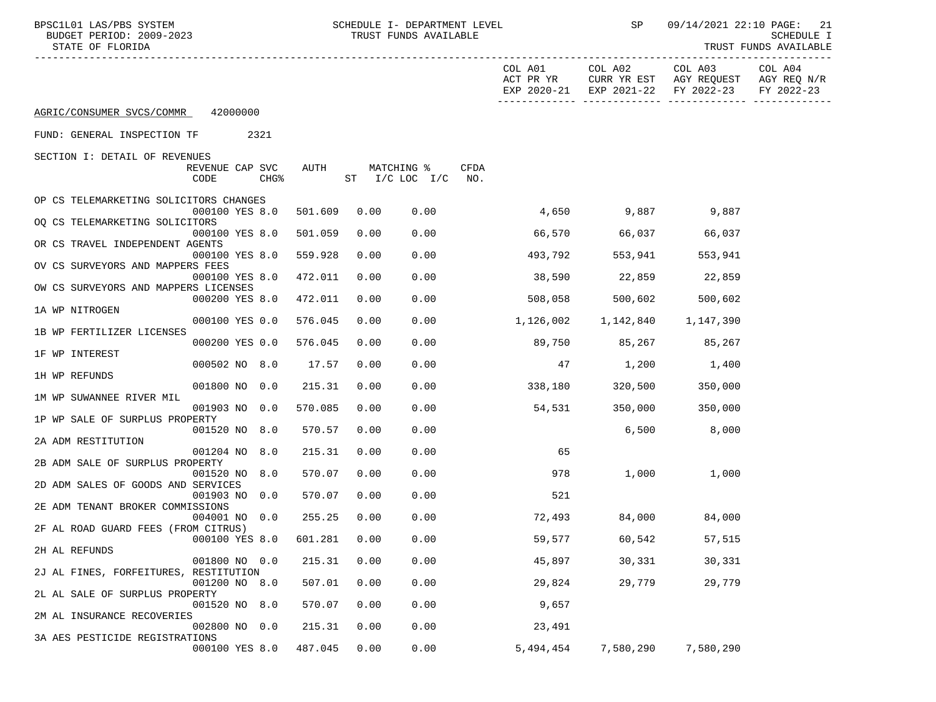| BPSC1L01 LAS/PBS SYSTEM<br>BUDGET PERIOD: 2009-2023<br>STATE OF FLORIDA |         |      | SCHEDULE I- DEPARTMENT LEVEL<br>TRUST FUNDS AVAILABLE  |                      | SP          | 09/14/2021 22:10 PAGE:<br>21<br>SCHEDULE I<br>TRUST FUNDS AVAILABLE                  |                       |
|-------------------------------------------------------------------------|---------|------|--------------------------------------------------------|----------------------|-------------|--------------------------------------------------------------------------------------|-----------------------|
|                                                                         |         |      |                                                        | COL A01<br>ACT PR YR | COL A02     | COL A03<br>CURR YR EST AGY REQUEST AGY REQ N/R<br>EXP 2020-21 EXP 2021-22 FY 2022-23 | COL A04<br>FY 2022-23 |
| 42000000<br>AGRIC/CONSUMER SVCS/COMMR                                   |         |      |                                                        |                      |             |                                                                                      |                       |
| FUND: GENERAL INSPECTION TF<br>2321                                     |         |      |                                                        |                      |             |                                                                                      |                       |
| SECTION I: DETAIL OF REVENUES                                           |         |      |                                                        |                      |             |                                                                                      |                       |
| REVENUE CAP SVC<br>CODE<br>CHG%                                         | AUTH    |      | MATCHING %<br><b>CFDA</b><br>ST $I/C$ LOC $I/C$<br>NO. |                      |             |                                                                                      |                       |
| OP CS TELEMARKETING SOLICITORS CHANGES                                  |         |      |                                                        |                      |             |                                                                                      |                       |
| 000100 YES 8.0<br>OQ CS TELEMARKETING SOLICITORS                        | 501.609 | 0.00 | 0.00                                                   | 4,650                | 9,887 9,887 |                                                                                      |                       |
| 000100 YES 8.0<br>OR CS TRAVEL INDEPENDENT AGENTS                       | 501.059 | 0.00 | 0.00                                                   | 66,570               | 66,037      | 66,037                                                                               |                       |
| 000100 YES 8.0                                                          | 559.928 | 0.00 | 0.00                                                   | 493,792              | 553,941     | 553,941                                                                              |                       |
| OV CS SURVEYORS AND MAPPERS FEES<br>000100 YES 8.0                      | 472.011 | 0.00 | 0.00                                                   | 38,590               | 22,859      | 22,859                                                                               |                       |
| OW CS SURVEYORS AND MAPPERS LICENSES                                    |         |      |                                                        |                      |             |                                                                                      |                       |
| 000200 YES 8.0<br>1A WP NITROGEN                                        | 472.011 | 0.00 | 0.00                                                   | 508,058              | 500,602     | 500,602                                                                              |                       |
| 000100 YES 0.0<br>1B WP FERTILIZER LICENSES                             | 576.045 | 0.00 | 0.00                                                   | 1,126,002            | 1,142,840   | 1,147,390                                                                            |                       |
| 000200 YES 0.0                                                          | 576.045 | 0.00 | 0.00                                                   | 89,750               |             | 85,267 85,267                                                                        |                       |
| 1F WP INTEREST<br>000502 NO 8.0                                         | 17.57   | 0.00 | 0.00                                                   | 47                   | 1,200       | 1,400                                                                                |                       |
| 1H WP REFUNDS                                                           |         |      |                                                        |                      |             |                                                                                      |                       |
| 001800 NO 0.0<br>1M WP SUWANNEE RIVER MIL                               | 215.31  | 0.00 | 0.00                                                   | 338,180              | 320,500     | 350,000                                                                              |                       |
| 001903 NO 0.0                                                           | 570.085 | 0.00 | 0.00                                                   | 54,531               | 350,000     | 350,000                                                                              |                       |
| 1P WP SALE OF SURPLUS PROPERTY<br>001520 NO 8.0                         | 570.57  | 0.00 | 0.00                                                   |                      | 6,500       | 8,000                                                                                |                       |
| 2A ADM RESTITUTION                                                      |         |      |                                                        |                      |             |                                                                                      |                       |
| 001204 NO 8.0<br>2B ADM SALE OF SURPLUS PROPERTY                        | 215.31  | 0.00 | 0.00                                                   | 65                   |             |                                                                                      |                       |
| 001520 NO 8.0                                                           | 570.07  | 0.00 | 0.00                                                   | 978                  | 1,000       | 1,000                                                                                |                       |
| 2D ADM SALES OF GOODS AND SERVICES<br>001903 NO 0.0                     | 570.07  | 0.00 | 0.00                                                   | 521                  |             |                                                                                      |                       |
| 2E ADM TENANT BROKER COMMISSIONS                                        |         |      |                                                        |                      |             |                                                                                      |                       |
| 004001 NO 0.0<br>2F AL ROAD GUARD FEES (FROM CITRUS)                    | 255.25  | 0.00 | 0.00                                                   | 72,493               | 84,000      | 84,000                                                                               |                       |
| 000100 YES 8.0                                                          | 601.281 | 0.00 | 0.00                                                   | 59,577               | 60,542      | 57,515                                                                               |                       |
| 2H AL REFUNDS<br>001800 NO 0.0                                          | 215.31  | 0.00 | 0.00                                                   | 45,897               | 30,331      | 30,331                                                                               |                       |
| 2J AL FINES, FORFEITURES, RESTITUTION                                   |         |      |                                                        |                      |             |                                                                                      |                       |
| 001200 NO 8.0<br>2L AL SALE OF SURPLUS PROPERTY                         | 507.01  | 0.00 | 0.00                                                   | 29,824               | 29,779      | 29,779                                                                               |                       |
| 001520 NO<br>8.0                                                        | 570.07  | 0.00 | 0.00                                                   | 9,657                |             |                                                                                      |                       |
| 2M AL INSURANCE RECOVERIES<br>002800 NO 0.0                             | 215.31  | 0.00 | 0.00                                                   | 23,491               |             |                                                                                      |                       |
| 3A AES PESTICIDE REGISTRATIONS                                          |         |      |                                                        |                      |             |                                                                                      |                       |
| 000100 YES 8.0                                                          | 487.045 | 0.00 | 0.00                                                   | 5,494,454            | 7,580,290   | 7,580,290                                                                            |                       |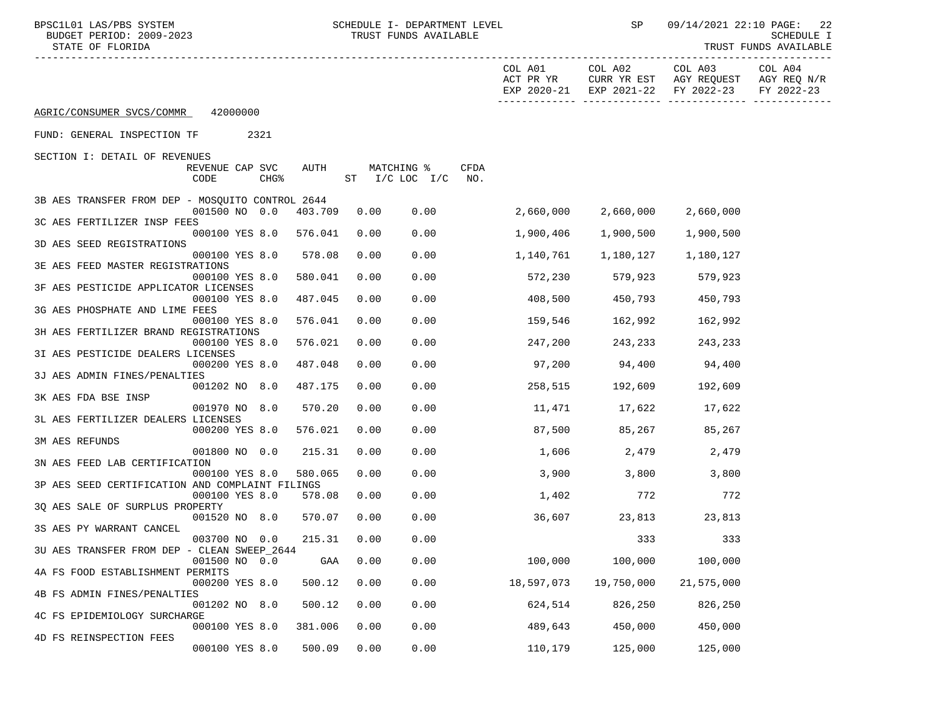-----------------------------------------------------------------------------------------------------------------------------------

COL A02 COL A03 COL A04

STATE OF FLORIDA AND INTERNATIONAL STATE OF FUNDS AVAILABLE

|                                                  |                         |      |                  |         |      |                              |             | ⊂∪⊥ 110 ±<br>ACT PR YR | COLL 2102<br>EXP 2020-21 EXP 2021-22 FY 2022-23 | כטונ בטט<br>CURR YR EST AGY REQUEST | ⊂∪ ⊥ ⊥∪ ⊥<br>AGY REQ N/R<br>FY 2022-23 |
|--------------------------------------------------|-------------------------|------|------------------|---------|------|------------------------------|-------------|------------------------|-------------------------------------------------|-------------------------------------|----------------------------------------|
| AGRIC/CONSUMER SVCS/COMMR                        | 42000000                |      |                  |         |      |                              |             |                        |                                                 |                                     |                                        |
| FUND: GENERAL INSPECTION TF                      |                         | 2321 |                  |         |      |                              |             |                        |                                                 |                                     |                                        |
| SECTION I: DETAIL OF REVENUES                    | REVENUE CAP SVC<br>CODE |      | CHG <sup>8</sup> | AUTH    |      | MATCHING %<br>ST I/C LOC I/C | CFDA<br>NO. |                        |                                                 |                                     |                                        |
| 3B AES TRANSFER FROM DEP - MOSQUITO CONTROL 2644 | 001500 NO 0.0           |      |                  | 403.709 | 0.00 | 0.00                         |             | 2,660,000              | 2,660,000                                       | 2,660,000                           |                                        |
| 3C AES FERTILIZER INSP FEES                      | 000100 YES 8.0          |      |                  | 576.041 | 0.00 | 0.00                         |             | 1,900,406              | 1,900,500                                       | 1,900,500                           |                                        |
| 3D AES SEED REGISTRATIONS                        |                         |      |                  |         | 0.00 |                              |             |                        |                                                 |                                     |                                        |
| 3E AES FEED MASTER REGISTRATIONS                 | 000100 YES 8.0          |      |                  | 578.08  |      | 0.00                         |             | 1,140,761              | 1,180,127                                       | 1,180,127                           |                                        |
| 3F AES PESTICIDE APPLICATOR LICENSES             | 000100 YES 8.0          |      |                  | 580.041 | 0.00 | 0.00                         |             | 572,230                | 579,923                                         | 579,923                             |                                        |
| 3G AES PHOSPHATE AND LIME FEES                   | 000100 YES 8.0          |      |                  | 487.045 | 0.00 | 0.00                         |             | 408,500                | 450,793                                         | 450,793                             |                                        |
| 3H AES FERTILIZER BRAND REGISTRATIONS            | 000100 YES 8.0          |      |                  | 576.041 | 0.00 | 0.00                         |             | 159,546                | 162,992                                         | 162,992                             |                                        |
| 3I AES PESTICIDE DEALERS LICENSES                | 000100 YES 8.0          |      |                  | 576.021 | 0.00 | 0.00                         |             | 247,200                | 243,233                                         | 243,233                             |                                        |
| 3J AES ADMIN FINES/PENALTIES                     | 000200 YES 8.0          |      |                  | 487.048 | 0.00 | 0.00                         |             | 97,200                 | 94,400                                          | 94,400                              |                                        |
| 3K AES FDA BSE INSP                              | 001202 NO 8.0           |      |                  | 487.175 | 0.00 | 0.00                         |             | 258,515                | 192,609                                         | 192,609                             |                                        |
| 3L AES FERTILIZER DEALERS LICENSES               | 001970 NO 8.0           |      |                  | 570.20  | 0.00 | 0.00                         |             | 11,471                 | 17,622                                          | 17,622                              |                                        |
| 3M AES REFUNDS                                   | 000200 YES 8.0          |      |                  | 576.021 | 0.00 | 0.00                         |             | 87,500                 | 85,267                                          | 85,267                              |                                        |
| 3N AES FEED LAB CERTIFICATION                    | 001800 NO 0.0           |      |                  | 215.31  | 0.00 | 0.00                         |             | 1,606                  | 2,479                                           | 2,479                               |                                        |
| 3P AES SEED CERTIFICATION AND COMPLAINT FILINGS  | 000100 YES 8.0          |      |                  | 580.065 | 0.00 | 0.00                         |             | 3,900                  | 3,800                                           | 3,800                               |                                        |
| 30 AES SALE OF SURPLUS PROPERTY                  | 000100 YES 8.0          |      |                  | 578.08  | 0.00 | 0.00                         |             | 1,402                  | 772                                             | 772                                 |                                        |
| 3S AES PY WARRANT CANCEL                         | 001520 NO 8.0           |      |                  | 570.07  | 0.00 | 0.00                         |             | 36,607                 | 23,813                                          | 23,813                              |                                        |
|                                                  | 003700 NO 0.0           |      |                  | 215.31  | 0.00 | 0.00                         |             |                        | 333                                             | 333                                 |                                        |
| 3U AES TRANSFER FROM DEP - CLEAN SWEEP_2644      | 001500 NO 0.0           |      |                  | GAA     | 0.00 | 0.00                         |             | 100,000                | 100,000                                         | 100,000                             |                                        |
| 4A FS FOOD ESTABLISHMENT PERMITS                 | 000200 YES 8.0          |      |                  | 500.12  | 0.00 | 0.00                         |             | 18,597,073             | 19,750,000                                      | 21,575,000                          |                                        |
| 4B FS ADMIN FINES/PENALTIES                      | 001202 NO 8.0           |      |                  | 500.12  | 0.00 | 0.00                         |             | 624,514                | 826,250                                         | 826,250                             |                                        |
| 4C FS EPIDEMIOLOGY SURCHARGE                     | 000100 YES 8.0          |      |                  | 381.006 | 0.00 | 0.00                         |             | 489,643                | 450,000                                         | 450,000                             |                                        |
| 4D FS REINSPECTION FEES                          | 000100 YES 8.0          |      |                  | 500.09  | 0.00 | 0.00                         |             | 110,179                | 125,000                                         | 125,000                             |                                        |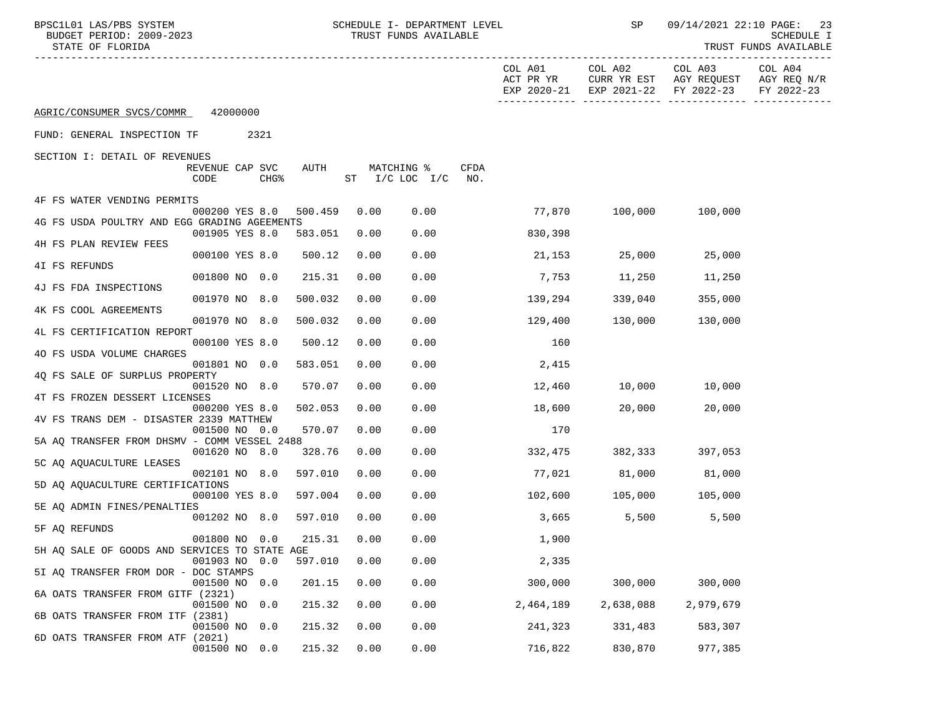| BPSC1L01 LAS/PBS SYSTEM<br>BUDGET PERIOD: 2009-2023<br>STATE OF FLORIDA |         |      | SCHEDULE I- DEPARTMENT LEVEL<br>TRUST FUNDS AVAILABLE |             |                      | SP                                 | 09/14/2021 22:10 PAGE:                                       | 23<br>SCHEDULE I<br>TRUST FUNDS AVAILABLE |
|-------------------------------------------------------------------------|---------|------|-------------------------------------------------------|-------------|----------------------|------------------------------------|--------------------------------------------------------------|-------------------------------------------|
|                                                                         |         |      |                                                       |             | COL A01<br>ACT PR YR | COL A02<br>EXP 2020-21 EXP 2021-22 | COL A03<br>CURR YR EST AGY REQUEST AGY REQ N/R<br>FY 2022-23 | COL A04<br>FY 2022-23                     |
| AGRIC/CONSUMER SVCS/COMMR 42000000                                      |         |      |                                                       |             |                      |                                    |                                                              |                                           |
| FUND: GENERAL INSPECTION TF<br>2321                                     |         |      |                                                       |             |                      |                                    |                                                              |                                           |
| SECTION I: DETAIL OF REVENUES                                           |         |      |                                                       |             |                      |                                    |                                                              |                                           |
| REVENUE CAP SVC<br><b>CHG&amp;</b><br>CODE                              | AUTH    |      | MATCHING %<br>ST $I/C$ LOC $I/C$                      | CFDA<br>NO. |                      |                                    |                                                              |                                           |
| 4F FS WATER VENDING PERMITS                                             |         |      |                                                       |             |                      |                                    |                                                              |                                           |
| 000200 YES 8.0<br>4G FS USDA POULTRY AND EGG GRADING AGEEMENTS          | 500.459 | 0.00 | 0.00                                                  |             | 77,870               | 100,000                            | 100,000                                                      |                                           |
| 001905 YES 8.0                                                          | 583.051 | 0.00 | 0.00                                                  |             | 830,398              |                                    |                                                              |                                           |
| 4H FS PLAN REVIEW FEES<br>000100 YES 8.0                                | 500.12  | 0.00 | 0.00                                                  |             | 21,153               | 25,000                             | 25,000                                                       |                                           |
| 4I FS REFUNDS<br>001800 NO 0.0                                          |         | 0.00 | 0.00                                                  |             |                      |                                    |                                                              |                                           |
| 4J FS FDA INSPECTIONS                                                   | 215.31  |      |                                                       |             | 7,753                | 11,250                             | 11,250                                                       |                                           |
| 001970 NO 8.0<br>4K FS COOL AGREEMENTS                                  | 500.032 | 0.00 | 0.00                                                  |             | 139,294              | 339,040                            | 355,000                                                      |                                           |
| 001970 NO 8.0                                                           | 500.032 | 0.00 | 0.00                                                  |             | 129,400              | 130,000                            | 130,000                                                      |                                           |
| 4L FS CERTIFICATION REPORT<br>000100 YES 8.0                            | 500.12  | 0.00 | 0.00                                                  |             | 160                  |                                    |                                                              |                                           |
| 40 FS USDA VOLUME CHARGES                                               |         |      |                                                       |             |                      |                                    |                                                              |                                           |
| 001801 NO 0.0<br>4Q FS SALE OF SURPLUS PROPERTY                         | 583.051 | 0.00 | 0.00                                                  |             | 2,415                |                                    |                                                              |                                           |
| 001520 NO 8.0                                                           | 570.07  | 0.00 | 0.00                                                  |             | 12,460               | 10,000                             | 10,000                                                       |                                           |
| 4T FS FROZEN DESSERT LICENSES<br>000200 YES 8.0                         | 502.053 | 0.00 | 0.00                                                  |             | 18,600               | 20,000                             | 20,000                                                       |                                           |
| 4V FS TRANS DEM - DISASTER 2339 MATTHEW                                 |         |      |                                                       |             |                      |                                    |                                                              |                                           |
| 001500 NO 0.0                                                           | 570.07  | 0.00 | 0.00                                                  |             | 170                  |                                    |                                                              |                                           |
| 5A AQ TRANSFER FROM DHSMV - COMM VESSEL 2488<br>001620 NO 8.0           | 328.76  | 0.00 | 0.00                                                  |             | 332,475              | 382,333                            | 397,053                                                      |                                           |
| 5C AQ AQUACULTURE LEASES                                                |         |      |                                                       |             |                      |                                    |                                                              |                                           |
| 002101 NO 8.0<br>5D AQ AQUACULTURE CERTIFICATIONS                       | 597.010 | 0.00 | 0.00                                                  |             | 77,021               | 81,000                             | 81,000                                                       |                                           |
| 000100 YES 8.0                                                          | 597.004 | 0.00 | 0.00                                                  |             | 102,600              | 105,000                            | 105,000                                                      |                                           |
| 5E AQ ADMIN FINES/PENALTIES<br>001202 NO 8.0                            | 597.010 | 0.00 | 0.00                                                  |             | 3,665                | 5,500                              | 5,500                                                        |                                           |
| 5F AQ REFUNDS                                                           |         |      |                                                       |             |                      |                                    |                                                              |                                           |
| 001800 NO<br>0.0<br>5H AQ SALE OF GOODS AND SERVICES TO STATE AGE       | 215.31  | 0.00 | 0.00                                                  |             | 1,900                |                                    |                                                              |                                           |
| 001903 NO<br>0.0                                                        | 597.010 | 0.00 | 0.00                                                  |             | 2,335                |                                    |                                                              |                                           |
| 5I AQ TRANSFER FROM DOR - DOC STAMPS                                    |         |      |                                                       |             |                      |                                    |                                                              |                                           |
| 001500 NO 0.0<br>6A OATS TRANSFER FROM GITF (2321)                      | 201.15  | 0.00 | 0.00                                                  |             | 300,000              | 300,000                            | 300,000                                                      |                                           |
| 001500 NO 0.0                                                           | 215.32  | 0.00 | 0.00                                                  |             | 2,464,189            | 2,638,088                          | 2,979,679                                                    |                                           |
| 6B OATS TRANSFER FROM ITF (2381)<br>001500 NO 0.0                       | 215.32  | 0.00 | 0.00                                                  |             | 241,323              | 331,483                            | 583,307                                                      |                                           |
| 6D OATS TRANSFER FROM ATF (2021)<br>001500 NO 0.0                       | 215.32  | 0.00 |                                                       |             |                      |                                    |                                                              |                                           |
|                                                                         |         |      | 0.00                                                  |             | 716,822              | 830,870                            | 977,385                                                      |                                           |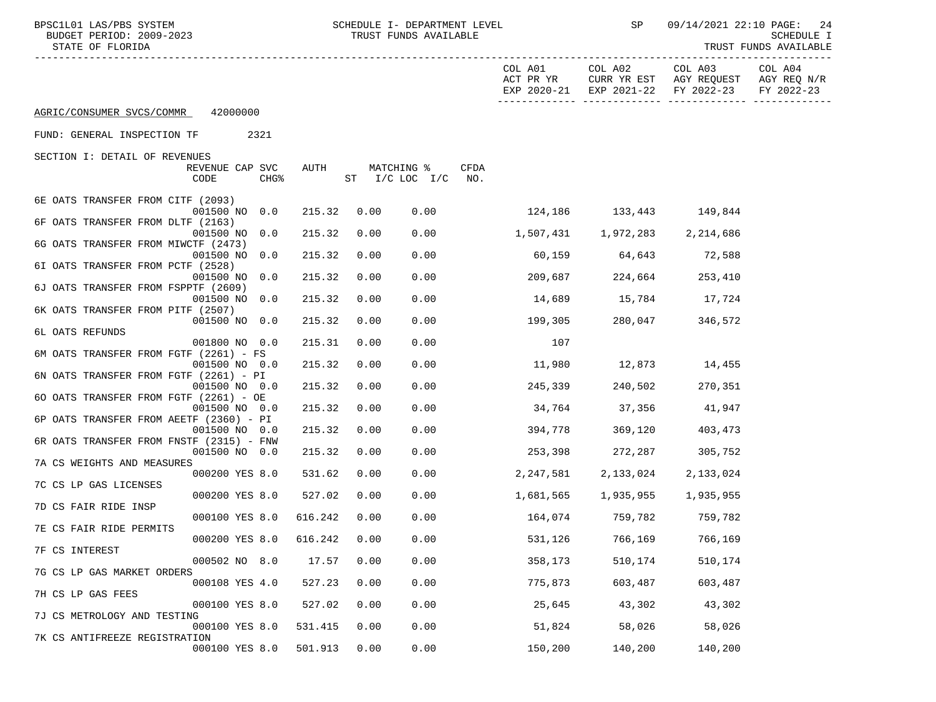| BPSC1L01 LAS/PBS SYSTEM<br>BUDGET PERIOD: 2009-2023<br>STATE OF FLORIDA | SCHEDULE I- DEPARTMENT LEVEL<br>TRUST FUNDS AVAILABLE |      |                                             |                                     | <b>SP</b>              | 09/14/2021 22:10 PAGE:<br>24<br>SCHEDULE I<br>TRUST FUNDS AVAILABLE |                       |  |
|-------------------------------------------------------------------------|-------------------------------------------------------|------|---------------------------------------------|-------------------------------------|------------------------|---------------------------------------------------------------------|-----------------------|--|
|                                                                         |                                                       |      |                                             | COL A01<br>ACT PR YR<br>EXP 2020-21 | COL A02<br>EXP 2021-22 | COL A03<br>CURR YR EST AGY REQUEST AGY REQ N/R<br>FY 2022-23        | COL A04<br>FY 2022-23 |  |
| AGRIC/CONSUMER SVCS/COMMR 42000000                                      |                                                       |      |                                             |                                     |                        |                                                                     |                       |  |
| FUND: GENERAL INSPECTION TF 2321                                        |                                                       |      |                                             |                                     |                        |                                                                     |                       |  |
| SECTION I: DETAIL OF REVENUES                                           |                                                       |      |                                             |                                     |                        |                                                                     |                       |  |
| REVENUE CAP SVC<br>CODE<br>CHG <sup>8</sup>                             | AUTH                                                  |      | MATCHING %<br>CFDA<br>ST I/C LOC I/C<br>NO. |                                     |                        |                                                                     |                       |  |
| 6E OATS TRANSFER FROM CITF (2093)                                       |                                                       |      |                                             |                                     |                        |                                                                     |                       |  |
| 001500 NO 0.0<br>6F OATS TRANSFER FROM DLTF (2163)                      | 215.32                                                | 0.00 | 0.00                                        | $124,186$ $133,443$ $149,844$       |                        |                                                                     |                       |  |
| 001500 NO 0.0                                                           | 215.32                                                | 0.00 | 0.00                                        |                                     |                        |                                                                     |                       |  |
| 6G OATS TRANSFER FROM MIWCTF (2473)<br>001500 NO 0.0                    | 215.32                                                | 0.00 | 0.00                                        |                                     | 60,159 64,643 72,588   |                                                                     |                       |  |
| 6I OATS TRANSFER FROM PCTF (2528)<br>001500 NO 0.0                      | 215.32                                                | 0.00 | 0.00                                        | 209,687                             | 224,664                | 253,410                                                             |                       |  |
| 6J OATS TRANSFER FROM FSPPTF (2609)                                     |                                                       |      |                                             |                                     |                        |                                                                     |                       |  |
| 001500 NO 0.0<br>6K OATS TRANSFER FROM PITF (2507)                      | 215.32                                                | 0.00 | 0.00                                        | $14,689$ $15,784$ $17,724$          |                        |                                                                     |                       |  |
| 001500 NO 0.0                                                           | 215.32                                                | 0.00 | 0.00                                        | 199,305                             | 280,047                | 346,572                                                             |                       |  |
| 6L OATS REFUNDS<br>001800 NO 0.0                                        | 215.31                                                | 0.00 | 0.00                                        | 107                                 |                        |                                                                     |                       |  |
| 6M OATS TRANSFER FROM FGTF (2261) - FS<br>001500 NO 0.0                 |                                                       | 0.00 | 0.00                                        |                                     |                        |                                                                     |                       |  |
| 6N OATS TRANSFER FROM FGTF (2261) - PI                                  | 215.32                                                |      |                                             |                                     | 11,980 12,873 14,455   |                                                                     |                       |  |
| 001500 NO 0.0<br>60 OATS TRANSFER FROM FGTF (2261) - OE                 | 215.32                                                | 0.00 | 0.00                                        | 245,339                             | 240,502                | 270,351                                                             |                       |  |
| 001500 NO 0.0                                                           | 215.32                                                | 0.00 | 0.00                                        | 34,764 37,356 41,947                |                        |                                                                     |                       |  |
| 6P OATS TRANSFER FROM AEETF (2360) - PI                                 |                                                       |      |                                             |                                     |                        |                                                                     |                       |  |
| 001500 NO 0.0<br>6R OATS TRANSFER FROM FNSTF (2315) - FNW               | 215.32                                                | 0.00 | 0.00                                        | 394,778                             | 369,120                | 403,473                                                             |                       |  |
| 001500 NO 0.0                                                           | 215.32                                                | 0.00 | 0.00                                        | 253,398 272,287                     |                        | 305,752                                                             |                       |  |
| 7A CS WEIGHTS AND MEASURES<br>000200 YES 8.0                            | 531.62                                                | 0.00 | 0.00                                        | 2,247,581                           | 2,133,024              | 2,133,024                                                           |                       |  |
| 7C CS LP GAS LICENSES                                                   |                                                       |      |                                             |                                     |                        |                                                                     |                       |  |
| 000200 YES 8.0<br>7D CS FAIR RIDE INSP                                  | 527.02                                                | 0.00 | 0.00                                        | 1,681,565                           | 1,935,955              | 1,935,955                                                           |                       |  |
| 000100 YES 8.0<br>7E CS FAIR RIDE PERMITS                               | 616.242                                               | 0.00 | 0.00                                        |                                     | 164,074 759,782        | 759,782                                                             |                       |  |
| 000200 YES 8.0                                                          | 616.242                                               | 0.00 | 0.00                                        | 531,126                             | 766,169                | 766,169                                                             |                       |  |
| 7F CS INTEREST<br>000502 NO 8.0                                         | 17.57                                                 | 0.00 | 0.00                                        | 358,173                             | 510,174                | 510,174                                                             |                       |  |
| 7G CS LP GAS MARKET ORDERS                                              |                                                       |      |                                             |                                     |                        |                                                                     |                       |  |
| 000108 YES 4.0<br>7H CS LP GAS FEES                                     | 527.23                                                | 0.00 | 0.00                                        | 775,873                             | 603,487                | 603,487                                                             |                       |  |
| 000100 YES 8.0                                                          | 527.02                                                | 0.00 | 0.00                                        | 25,645                              | 43,302                 | 43,302                                                              |                       |  |
| 7J CS METROLOGY AND TESTING<br>000100 YES 8.0                           | 531.415                                               | 0.00 | 0.00                                        | 51,824                              | 58,026                 | 58,026                                                              |                       |  |
| 7K CS ANTIFREEZE REGISTRATION                                           |                                                       |      |                                             |                                     |                        |                                                                     |                       |  |
| 000100 YES 8.0                                                          | 501.913                                               | 0.00 | 0.00                                        | 150,200                             | 140,200                | 140,200                                                             |                       |  |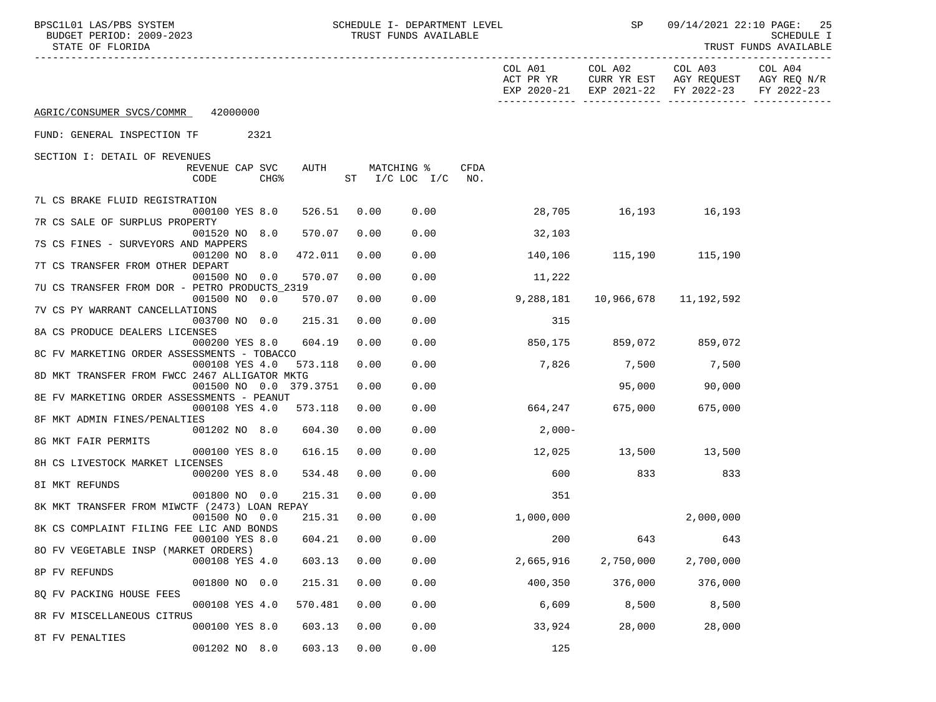| BPSC1L01 LAS/PBS SYSTEM<br>BUDGET PERIOD: 2009-2023<br>STATE OF FLORIDA |         |      | SCHEDULE I- DEPARTMENT LEVEL<br>TRUST FUNDS AVAILABLE |                         | <b>SP</b>            | 09/14/2021 22:10 PAGE:                                                                                 | -25<br><b>SCHEDULE I</b><br>TRUST FUNDS AVAILABLE |
|-------------------------------------------------------------------------|---------|------|-------------------------------------------------------|-------------------------|----------------------|--------------------------------------------------------------------------------------------------------|---------------------------------------------------|
|                                                                         |         |      |                                                       |                         | COL A01 COL A02      | COL A03 COL A04<br>ACT PR YR CURR YR EST AGY REQUEST AGY REQ N/R<br>EXP 2020-21 EXP 2021-22 FY 2022-23 | FY 2022-23                                        |
| AGRIC/CONSUMER SVCS/COMMR 42000000                                      |         |      |                                                       |                         |                      |                                                                                                        |                                                   |
| FUND: GENERAL INSPECTION TF 2321                                        |         |      |                                                       |                         |                      |                                                                                                        |                                                   |
| SECTION I: DETAIL OF REVENUES                                           |         |      |                                                       |                         |                      |                                                                                                        |                                                   |
| REVENUE CAP SVC<br>CODE<br><b>CHG&amp;</b>                              | AUTH    |      | MATCHING %<br>$ST$ $I/C$ LOC $I/C$                    | CFDA<br>NO.             |                      |                                                                                                        |                                                   |
| 7L CS BRAKE FLUID REGISTRATION                                          |         |      |                                                       |                         |                      |                                                                                                        |                                                   |
| 000100 YES 8.0<br>7R CS SALE OF SURPLUS PROPERTY                        | 526.51  | 0.00 | 0.00                                                  |                         |                      | 28,705 16,193 16,193                                                                                   |                                                   |
| 001520 NO 8.0                                                           | 570.07  | 0.00 | 0.00                                                  | 32,103                  |                      |                                                                                                        |                                                   |
| 7S CS FINES - SURVEYORS AND MAPPERS<br>001200 NO 8.0                    | 472.011 | 0.00 | 0.00                                                  |                         |                      | 140,106 115,190 115,190                                                                                |                                                   |
| 7T CS TRANSFER FROM OTHER DEPART<br>001500 NO 0.0                       | 570.07  | 0.00 | 0.00                                                  | 11,222                  |                      |                                                                                                        |                                                   |
| 7U CS TRANSFER FROM DOR - PETRO PRODUCTS 2319                           |         |      |                                                       |                         |                      |                                                                                                        |                                                   |
| 001500 NO 0.0<br>7V CS PY WARRANT CANCELLATIONS                         | 570.07  | 0.00 | 0.00                                                  | 9,288,181               |                      | 10,966,678    11,192,592                                                                               |                                                   |
| 003700 NO 0.0<br>8A CS PRODUCE DEALERS LICENSES                         | 215.31  | 0.00 | 0.00                                                  | 315                     |                      |                                                                                                        |                                                   |
| 000200 YES 8.0                                                          | 604.19  | 0.00 | 0.00                                                  | 850,175 859,072 859,072 |                      |                                                                                                        |                                                   |
| 8C FV MARKETING ORDER ASSESSMENTS - TOBACCO<br>000108 YES 4.0           | 573.118 | 0.00 | 0.00                                                  | 7,826                   | 7,500 7,500          |                                                                                                        |                                                   |
| 8D MKT TRANSFER FROM FWCC 2467 ALLIGATOR MKTG                           |         |      |                                                       |                         |                      |                                                                                                        |                                                   |
| 001500 NO 0.0 379.3751<br>8E FV MARKETING ORDER ASSESSMENTS - PEANUT    |         | 0.00 | 0.00                                                  |                         | 95,000               | 90,000                                                                                                 |                                                   |
| 000108 YES 4.0<br>8F MKT ADMIN FINES/PENALTIES                          | 573.118 | 0.00 | 0.00                                                  | 664,247                 | 675,000              | 675,000                                                                                                |                                                   |
| 001202 NO 8.0                                                           | 604.30  | 0.00 | 0.00                                                  | $2,000-$                |                      |                                                                                                        |                                                   |
| 8G MKT FAIR PERMITS<br>000100 YES 8.0                                   | 616.15  | 0.00 | 0.00                                                  |                         | 12,025 13,500 13,500 |                                                                                                        |                                                   |
| 8H CS LIVESTOCK MARKET LICENSES                                         | 534.48  |      |                                                       |                         |                      |                                                                                                        |                                                   |
| 000200 YES 8.0<br>8I MKT REFUNDS                                        |         | 0.00 | 0.00                                                  | 600                     | 833                  | 833                                                                                                    |                                                   |
| 001800 NO 0.0<br>8K MKT TRANSFER FROM MIWCTF (2473) LOAN REPAY          | 215.31  | 0.00 | 0.00                                                  | 351                     |                      |                                                                                                        |                                                   |
| 001500 NO 0.0                                                           | 215.31  | 0.00 | 0.00                                                  | 1,000,000               |                      | 2,000,000                                                                                              |                                                   |
| 8K CS COMPLAINT FILING FEE LIC AND BONDS<br>000100 YES 8.0              | 604.21  | 0.00 | 0.00                                                  | 200                     | 643                  | 643                                                                                                    |                                                   |
| 80 FV VEGETABLE INSP (MARKET ORDERS)                                    |         |      |                                                       |                         |                      |                                                                                                        |                                                   |
| 000108 YES 4.0<br>8P FV REFUNDS                                         | 603.13  | 0.00 | 0.00                                                  | 2,665,916               | 2,750,000            | 2,700,000                                                                                              |                                                   |
| 001800 NO 0.0                                                           | 215.31  | 0.00 | 0.00                                                  | 400,350                 | 376,000              | 376,000                                                                                                |                                                   |
| 8Q FV PACKING HOUSE FEES<br>000108 YES 4.0                              | 570.481 | 0.00 | 0.00                                                  | 6,609                   | 8,500                | 8,500                                                                                                  |                                                   |
| 8R FV MISCELLANEOUS CITRUS<br>000100 YES 8.0                            | 603.13  | 0.00 | 0.00                                                  | 33,924                  | 28,000               | 28,000                                                                                                 |                                                   |
| 8T FV PENALTIES                                                         |         |      |                                                       |                         |                      |                                                                                                        |                                                   |
| 001202 NO 8.0                                                           | 603.13  | 0.00 | 0.00                                                  | 125                     |                      |                                                                                                        |                                                   |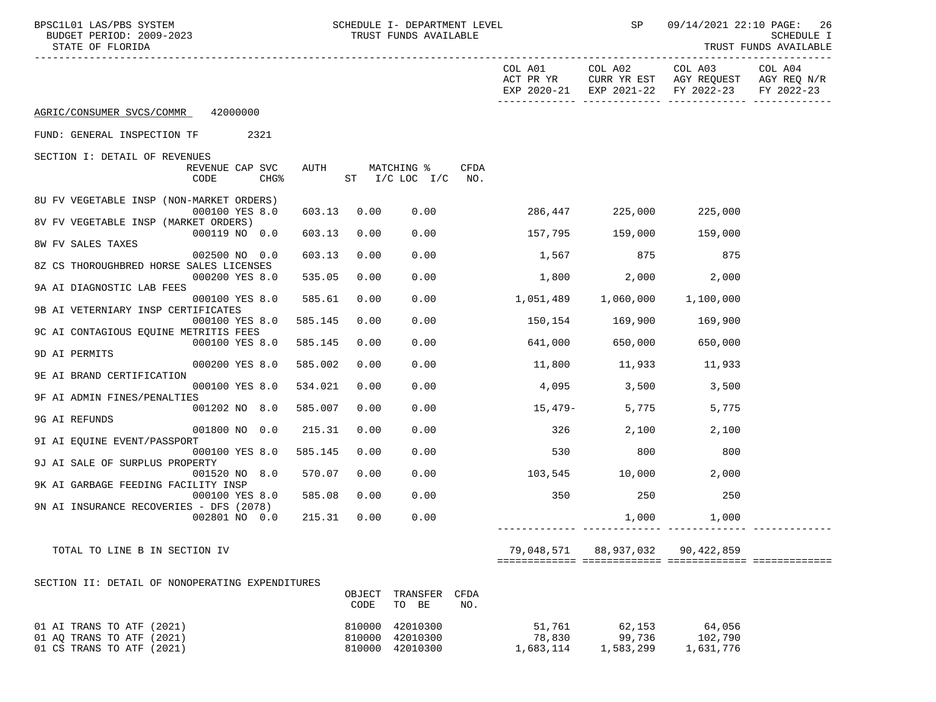| BPSC1L01 LAS/PBS SYSTEM<br>BUDGET PERIOD: 2009-2023<br>STATE OF FLORIDA |         |      | SCHEDULE I- DEPARTMENT LEVEL<br>TRUST FUNDS AVAILABLE |             |                      | <b>SP</b>       | 09/14/2021 22:10 PAGE:                                                                                 | 26<br><b>SCHEDULE I</b><br>TRUST FUNDS AVAILABLE |
|-------------------------------------------------------------------------|---------|------|-------------------------------------------------------|-------------|----------------------|-----------------|--------------------------------------------------------------------------------------------------------|--------------------------------------------------|
|                                                                         |         |      |                                                       |             |                      | COL A01 COL A02 | COL A03 COL A04<br>ACT PR YR CURR YR EST AGY REQUEST AGY REQ N/R<br>EXP 2020-21 EXP 2021-22 FY 2022-23 | FY 2022-23                                       |
| AGRIC/CONSUMER SVCS/COMMR<br>42000000                                   |         |      |                                                       |             |                      |                 |                                                                                                        |                                                  |
| FUND: GENERAL INSPECTION TF 2321                                        |         |      |                                                       |             |                      |                 |                                                                                                        |                                                  |
| SECTION I: DETAIL OF REVENUES                                           |         |      |                                                       |             |                      |                 |                                                                                                        |                                                  |
| REVENUE CAP SVC<br>CODE<br>CHG <sup>8</sup>                             | AUTH    |      | MATCHING %<br>ST I/C LOC I/C                          | CFDA<br>NO. |                      |                 |                                                                                                        |                                                  |
| 8U FV VEGETABLE INSP (NON-MARKET ORDERS)                                |         |      |                                                       |             |                      |                 |                                                                                                        |                                                  |
| 000100 YES 8.0<br>8V FV VEGETABLE INSP (MARKET ORDERS)                  | 603.13  | 0.00 | 0.00                                                  |             |                      |                 | 286,447 225,000 225,000                                                                                |                                                  |
| 000119 NO 0.0                                                           | 603.13  | 0.00 | 0.00                                                  |             |                      | 157,795 159,000 | 159,000                                                                                                |                                                  |
| 8W FV SALES TAXES<br>002500 NO 0.0                                      | 603.13  | 0.00 | 0.00                                                  |             |                      | 1,567 875       | 875                                                                                                    |                                                  |
| 8Z CS THOROUGHBRED HORSE SALES LICENSES                                 |         |      |                                                       |             |                      |                 |                                                                                                        |                                                  |
| 000200 YES 8.0                                                          | 535.05  | 0.00 | 0.00                                                  |             | 1,800                |                 | 2,000<br>2,000                                                                                         |                                                  |
| 9A AI DIAGNOSTIC LAB FEES<br>000100 YES 8.0                             | 585.61  | 0.00 | 0.00                                                  |             | 1,051,489            | 1,060,000       | 1,100,000                                                                                              |                                                  |
| 9B AI VETERNIARY INSP CERTIFICATES                                      |         |      |                                                       |             |                      |                 |                                                                                                        |                                                  |
| 000100 YES 8.0                                                          | 585.145 | 0.00 | 0.00                                                  |             |                      | 150,154 169,900 | 169,900                                                                                                |                                                  |
| 9C AI CONTAGIOUS EQUINE METRITIS FEES<br>000100 YES 8.0                 | 585.145 | 0.00 | 0.00                                                  |             | 641,000              | 650,000         | 650,000                                                                                                |                                                  |
| 9D AI PERMITS                                                           |         |      |                                                       |             |                      |                 |                                                                                                        |                                                  |
| 000200 YES 8.0                                                          | 585.002 | 0.00 | 0.00                                                  |             | 11,800 11,933 11,933 |                 |                                                                                                        |                                                  |
| 9E AI BRAND CERTIFICATION<br>000100 YES 8.0                             | 534.021 | 0.00 | 0.00                                                  |             | $4,095$ 3,500        |                 | 3,500                                                                                                  |                                                  |
| 9F AI ADMIN FINES/PENALTIES                                             |         |      |                                                       |             |                      |                 |                                                                                                        |                                                  |
| 001202 NO 8.0                                                           | 585.007 | 0.00 | 0.00                                                  |             | $15,479-$            |                 | 5,775<br>5,775                                                                                         |                                                  |
| 9G AI REFUNDS<br>001800 NO 0.0                                          | 215.31  | 0.00 | 0.00                                                  |             | 326                  | 2,100           | 2,100                                                                                                  |                                                  |
| 9I AI EQUINE EVENT/PASSPORT                                             |         |      |                                                       |             |                      |                 |                                                                                                        |                                                  |
| 000100 YES 8.0                                                          | 585.145 | 0.00 | 0.00                                                  |             | 530                  | 800             | 800                                                                                                    |                                                  |
| 9J AI SALE OF SURPLUS PROPERTY<br>001520 NO 8.0                         | 570.07  | 0.00 | 0.00                                                  |             | 103,545              | 10,000          | 2,000                                                                                                  |                                                  |
| 9K AI GARBAGE FEEDING FACILITY INSP                                     |         |      |                                                       |             |                      |                 |                                                                                                        |                                                  |
| 000100 YES 8.0                                                          | 585.08  | 0.00 | 0.00                                                  |             | 350                  | 250             | 250                                                                                                    |                                                  |
| 9N AI INSURANCE RECOVERIES - DFS (2078)<br>002801 NO 0.0                | 215.31  | 0.00 | 0.00                                                  |             |                      | 1,000           | 1,000                                                                                                  |                                                  |
|                                                                         |         |      |                                                       |             |                      |                 |                                                                                                        |                                                  |
| TOTAL TO LINE B IN SECTION IV                                           |         |      |                                                       |             | 79,048,571           | 88,937,032      | 90,422,859                                                                                             |                                                  |
|                                                                         |         |      |                                                       |             |                      |                 |                                                                                                        |                                                  |

 SECTION II: DETAIL OF NONOPERATING EXPENDITURES OBJECT TRANSFER CFDA CODE TO BE NO. 01 AI TRANS TO ATF (2021) 810000 42010300 51,761 62,153 64,056 01 AQ TRANS TO ATF (2021) 810000 42010300 78,830 99,736 102,790 01 CS TRANS TO ATF (2021) 2010 02010300 1,683,114 1,583,299 1,631,776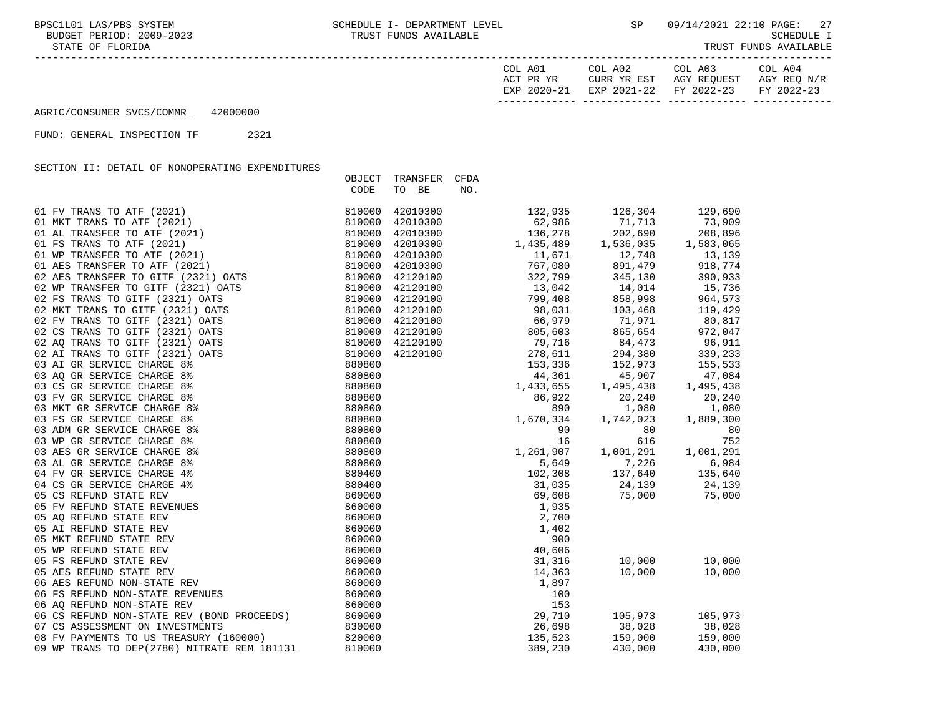STATE OF FLORIDA TRUST FUNDS AVAILABLE

| COL A01   |             | COL A02                 | COL A03 | COL A04     |
|-----------|-------------|-------------------------|---------|-------------|
| ACT PR YR |             | CURR YR EST AGY REOUEST |         | AGY REO N/R |
|           | EXP 2020-21 | EXP 2021-22 FY 2022-23  |         | FY 2022-23  |
|           |             |                         |         |             |

## AGRIC/CONSUMER SVCS/COMMR 42000000

FUND: GENERAL INSPECTION TF 2321

SECTION II: DETAIL OF NONOPERATING EXPENDITURES

|                                               | OBJECT | TRANSFER                         | CFDA                                                                                                                                                                                                                                                                            |                                                    |                                           |
|-----------------------------------------------|--------|----------------------------------|---------------------------------------------------------------------------------------------------------------------------------------------------------------------------------------------------------------------------------------------------------------------------------|----------------------------------------------------|-------------------------------------------|
|                                               | CODE   | TO BE                            | NO.                                                                                                                                                                                                                                                                             |                                                    |                                           |
|                                               |        |                                  |                                                                                                                                                                                                                                                                                 |                                                    |                                           |
|                                               |        | 42010300                         |                                                                                                                                                                                                                                                                                 |                                                    | 129,690                                   |
|                                               |        | 42010300                         |                                                                                                                                                                                                                                                                                 |                                                    | 73,909                                    |
|                                               |        | 42010300                         | 136,278                                                                                                                                                                                                                                                                         | 202,690                                            | 208,896                                   |
|                                               |        | 42010300                         |                                                                                                                                                                                                                                                                                 |                                                    | 1,583,065                                 |
|                                               |        | 42010300                         | 1,435,489<br>11,671<br>767,080                                                                                                                                                                                                                                                  | 1,536,035<br>12,748<br>891,479                     | 13,139                                    |
|                                               |        | 42010300                         |                                                                                                                                                                                                                                                                                 | 891,479                                            | 918,774                                   |
|                                               |        | 42120100                         | 322,799                                                                                                                                                                                                                                                                         | 345,130                                            | 390,933                                   |
|                                               |        | 42120100<br>42120100<br>42120100 | 13,042                                                                                                                                                                                                                                                                          | 14,014<br>858,998                                  | 15,736                                    |
|                                               |        |                                  | 799,408                                                                                                                                                                                                                                                                         | 858,998                                            | 964,573                                   |
|                                               |        | 42120100                         |                                                                                                                                                                                                                                                                                 | 98,031 103,468<br>66,979 71,971<br>805,603 865,654 | 119,429                                   |
|                                               |        | 42120100                         |                                                                                                                                                                                                                                                                                 |                                                    | $71,971$<br>865,654<br>865,654<br>972.047 |
|                                               |        | 42120100                         |                                                                                                                                                                                                                                                                                 |                                                    |                                           |
|                                               |        | 42120100                         | 79,716                                                                                                                                                                                                                                                                          | 84,473 96,911                                      |                                           |
|                                               |        |                                  |                                                                                                                                                                                                                                                                                 |                                                    | 339,233                                   |
|                                               |        |                                  |                                                                                                                                                                                                                                                                                 |                                                    | 155,533                                   |
|                                               |        |                                  |                                                                                                                                                                                                                                                                                 |                                                    | 47,084                                    |
|                                               |        |                                  |                                                                                                                                                                                                                                                                                 |                                                    | 1,495,438                                 |
|                                               |        |                                  |                                                                                                                                                                                                                                                                                 |                                                    | 20,240                                    |
|                                               |        |                                  |                                                                                                                                                                                                                                                                                 |                                                    | 1,080                                     |
|                                               |        |                                  |                                                                                                                                                                                                                                                                                 |                                                    | 1,889,300                                 |
|                                               |        |                                  |                                                                                                                                                                                                                                                                                 |                                                    | 80                                        |
|                                               |        |                                  |                                                                                                                                                                                                                                                                                 |                                                    | 752                                       |
|                                               |        |                                  |                                                                                                                                                                                                                                                                                 |                                                    | 1,001,291                                 |
|                                               |        |                                  |                                                                                                                                                                                                                                                                                 |                                                    | 6,984                                     |
|                                               |        |                                  |                                                                                                                                                                                                                                                                                 |                                                    | 135,640                                   |
|                                               |        |                                  |                                                                                                                                                                                                                                                                                 | $24,139$ $24,139$                                  |                                           |
|                                               |        |                                  |                                                                                                                                                                                                                                                                                 |                                                    | 75,000                                    |
|                                               |        |                                  |                                                                                                                                                                                                                                                                                 |                                                    |                                           |
|                                               |        |                                  |                                                                                                                                                                                                                                                                                 |                                                    |                                           |
|                                               |        |                                  |                                                                                                                                                                                                                                                                                 |                                                    |                                           |
|                                               |        |                                  |                                                                                                                                                                                                                                                                                 |                                                    |                                           |
|                                               |        |                                  |                                                                                                                                                                                                                                                                                 |                                                    |                                           |
|                                               |        |                                  |                                                                                                                                                                                                                                                                                 |                                                    | 10,000    10,000                          |
|                                               |        |                                  |                                                                                                                                                                                                                                                                                 |                                                    | 10,000                                    |
|                                               |        |                                  |                                                                                                                                                                                                                                                                                 |                                                    |                                           |
|                                               |        |                                  |                                                                                                                                                                                                                                                                                 |                                                    |                                           |
|                                               |        |                                  |                                                                                                                                                                                                                                                                                 |                                                    |                                           |
|                                               |        |                                  |                                                                                                                                                                                                                                                                                 |                                                    | 105,973                                   |
|                                               |        |                                  |                                                                                                                                                                                                                                                                                 |                                                    | 38,028                                    |
| 08 FV PAYMENTS TO US TREASURY (160000) 820000 |        |                                  |                                                                                                                                                                                                                                                                                 |                                                    | 159,000                                   |
| 09 WP TRANS TO DEP (2780) NITRATE REM 181131  | 810000 |                                  | $\begin{array}{cccc} 1.1111000 & 809, 0018 & 865, 654 & 9\\ 21201000 & 79, 716 & 84, 473\\ 42120100 & 278, 611 & 294, 380 & 3;\\ 153, 336 & 152, 973 & 1!\\ 44, 361 & 45, 907 & 4\\ 86, 922 & 20, 240 & 2\\ 86, 980 & 1, 080 & 1\\ 90 & 1, 670, 334 & 1, 742, 023 &$<br>389,230 | 430,000                                            | 430,000                                   |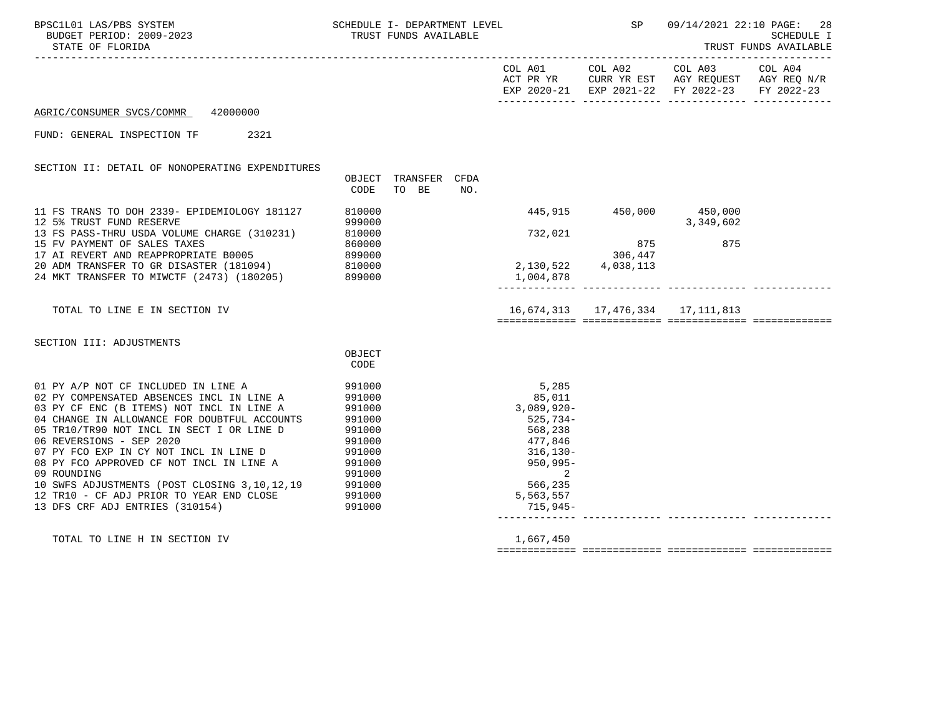| BPSC1L01 LAS/PBS SYSTEM<br>BUDGET PERIOD: 2009-2023<br>STATE OF FLORIDA                                                                                                                                                                                                                          |                                                                    | SCHEDULE I- DEPARTMENT LEVEL<br>TRUST FUNDS AVAILABLE |     |                                                                             | SP <sub>3</sub>                    |                                                                                                                           | 09/14/2021 22:10 PAGE: 28<br><b>SCHEDULE I</b><br>TRUST FUNDS AVAILABLE |
|--------------------------------------------------------------------------------------------------------------------------------------------------------------------------------------------------------------------------------------------------------------------------------------------------|--------------------------------------------------------------------|-------------------------------------------------------|-----|-----------------------------------------------------------------------------|------------------------------------|---------------------------------------------------------------------------------------------------------------------------|-------------------------------------------------------------------------|
|                                                                                                                                                                                                                                                                                                  |                                                                    |                                                       |     |                                                                             |                                    | COL A01 COL A02 COL A03<br>ACT PR YR CURR YR EST AGY REQUEST AGY REQ N/R<br>EXP 2020-21 EXP 2021-22 FY 2022-23 FY 2022-23 | COL A04                                                                 |
| AGRIC/CONSUMER SVCS/COMMR 42000000                                                                                                                                                                                                                                                               |                                                                    |                                                       |     |                                                                             |                                    |                                                                                                                           |                                                                         |
| 2321<br>FUND: GENERAL INSPECTION TF                                                                                                                                                                                                                                                              |                                                                    |                                                       |     |                                                                             |                                    |                                                                                                                           |                                                                         |
| SECTION II: DETAIL OF NONOPERATING EXPENDITURES                                                                                                                                                                                                                                                  | CODE                                                               | OBJECT TRANSFER CFDA<br>TO BE                         | NO. |                                                                             |                                    |                                                                                                                           |                                                                         |
| 11 FS TRANS TO DOH 2339- EPIDEMIOLOGY 181127<br>12 5% TRUST FUND RESERVE                                                                                                                                                                                                                         | 810000<br>999000                                                   |                                                       |     |                                                                             | 445,915 450,000 450,000            | 3,349,602                                                                                                                 |                                                                         |
| 13 FS PASS-THRU USDA VOLUME CHARGE (310231) 810000<br>15 FV PAYMENT OF SALES TAXES<br>17 AI REVERT AND REAPPROPRIATE B0005                                                                                                                                                                       | 860000<br>899000                                                   |                                                       |     | 732,021                                                                     | 875<br>306,447                     | 875                                                                                                                       |                                                                         |
| 20 ADM TRANSFER TO GR DISASTER (181094)<br>24 MKT TRANSFER TO MIWCTF (2473) (180205) 899000                                                                                                                                                                                                      |                                                                    |                                                       |     | $2,130,522$ $4,038,113$<br>1,004,878                                        |                                    |                                                                                                                           |                                                                         |
| TOTAL TO LINE E IN SECTION IV                                                                                                                                                                                                                                                                    |                                                                    |                                                       |     |                                                                             | 16,674,313  17,476,334  17,111,813 |                                                                                                                           |                                                                         |
| SECTION III: ADJUSTMENTS                                                                                                                                                                                                                                                                         | OBJECT<br>CODE                                                     |                                                       |     |                                                                             |                                    |                                                                                                                           |                                                                         |
| 01 PY A/P NOT CF INCLUDED IN LINE A<br>02 PY COMPENSATED ABSENCES INCL IN LINE A<br>03 PY CF ENC (B ITEMS) NOT INCL IN LINE A<br>04 CHANGE IN ALLOWANCE FOR DOUBTFUL ACCOUNTS<br>05 TR10/TR90 NOT INCL IN SECT I OR LINE D<br>06 REVERSIONS - SEP 2020<br>07 PY FCO EXP IN CY NOT INCL IN LINE D | 991000<br>991000<br>991000<br>991000<br>991000<br>991000<br>991000 |                                                       |     | 5,285<br>85,011<br>3,089,920-<br>525,734-<br>568,238<br>477,846<br>316,130- |                                    |                                                                                                                           |                                                                         |
| 08 PY FCO APPROVED CF NOT INCL IN LINE A<br>09 ROUNDING<br>10 SWFS ADJUSTMENTS (POST CLOSING 3, 10, 12, 19<br>12 TR10 - CF ADJ PRIOR TO YEAR END CLOSE<br>13 DFS CRF ADJ ENTRIES (310154)                                                                                                        | 991000<br>991000<br>991000<br>991000<br>991000                     |                                                       |     | 950,995-<br>-2<br>566,235<br>5,563,557<br>715,945-                          |                                    |                                                                                                                           |                                                                         |

TOTAL TO LINE H IN SECTION IV 1,667,450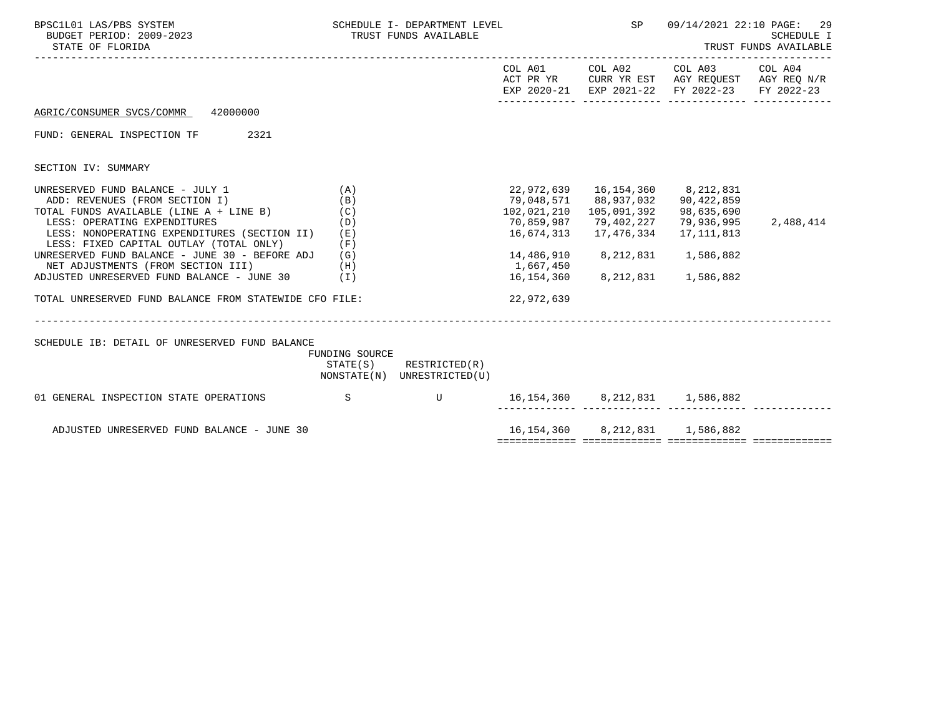| BPSC1L01 LAS/PBS SYSTEM<br>BUDGET PERIOD: 2009-2023<br>STATE OF FLORIDA                                                                                                                                                                                                                                                                      |                                 | SCHEDULE I- DEPARTMENT LEVEL<br>TRUST FUNDS AVAILABLE      |                                                                    | <b>SP</b>                                                          | 09/14/2021 22:10 PAGE:<br>-29<br><b>SCHEDULE I</b><br>TRUST FUNDS AVAILABLE                                    |                       |  |
|----------------------------------------------------------------------------------------------------------------------------------------------------------------------------------------------------------------------------------------------------------------------------------------------------------------------------------------------|---------------------------------|------------------------------------------------------------|--------------------------------------------------------------------|--------------------------------------------------------------------|----------------------------------------------------------------------------------------------------------------|-----------------------|--|
|                                                                                                                                                                                                                                                                                                                                              |                                 |                                                            |                                                                    |                                                                    | COL A01 COL A02 COL A03<br>ACT PR YR CURR YR EST AGY REQUEST AGY REQ N/R<br>EXP 2020-21 EXP 2021-22 FY 2022-23 | COL A04<br>FY 2022-23 |  |
| AGRIC/CONSUMER SVCS/COMMR 42000000                                                                                                                                                                                                                                                                                                           |                                 |                                                            |                                                                    |                                                                    |                                                                                                                |                       |  |
| 2321<br>FUND: GENERAL INSPECTION TF                                                                                                                                                                                                                                                                                                          |                                 |                                                            |                                                                    |                                                                    |                                                                                                                |                       |  |
| SECTION IV: SUMMARY                                                                                                                                                                                                                                                                                                                          |                                 |                                                            |                                                                    |                                                                    |                                                                                                                |                       |  |
| UNRESERVED FUND BALANCE - JULY 1<br>ADD: REVENUES (FROM SECTION I)<br>TOTAL FUNDS AVAILABLE (LINE A + LINE B)<br>LESS: OPERATING EXPENDITURES<br>LESS: NONOPERATING EXPENDITURES (SECTION II) (E)<br>LESS: FIXED CAPITAL OUTLAY (TOTAL ONLY)<br>UNRESERVED FUND BALANCE - JUNE 30 - BEFORE ADJ (G)<br>NET ADJUSTMENTS (FROM SECTION III) (H) | (A)<br>(B)<br>(C)<br>(D)<br>(F) |                                                            | 79,048,571<br>102,021,210<br>16,674,313<br>14,486,910<br>1,667,450 | 88,937,032<br>105,091,392<br>17,476,334<br>8, 212, 831 1, 586, 882 | 90,422,859<br>98,635,690<br>79,936,995<br>17,111,813                                                           | 2,488,414             |  |
| ADJUSTED UNRESERVED FUND BALANCE - JUNE 30 $(1)$                                                                                                                                                                                                                                                                                             |                                 |                                                            | 16,154,360                                                         | 8, 212, 831 1, 586, 882                                            |                                                                                                                |                       |  |
| TOTAL UNRESERVED FUND BALANCE FROM STATEWIDE CFO FILE:                                                                                                                                                                                                                                                                                       |                                 |                                                            | 22,972,639                                                         |                                                                    |                                                                                                                |                       |  |
| SCHEDULE IB: DETAIL OF UNRESERVED FUND BALANCE                                                                                                                                                                                                                                                                                               | FUNDING SOURCE                  | $STATE(S)$ RESTRICTED $(R)$<br>NONSTATE(N) UNRESTRICTED(U) |                                                                    |                                                                    |                                                                                                                |                       |  |
| $\mathbf S$<br>01 GENERAL INSPECTION STATE OPERATIONS                                                                                                                                                                                                                                                                                        |                                 | U 16,154,360 8,212,831 1,586,882                           |                                                                    |                                                                    |                                                                                                                |                       |  |
| ADJUSTED UNRESERVED FUND BALANCE - JUNE 30                                                                                                                                                                                                                                                                                                   |                                 |                                                            | 16,154,360 8,212,831 1,586,882                                     |                                                                    |                                                                                                                |                       |  |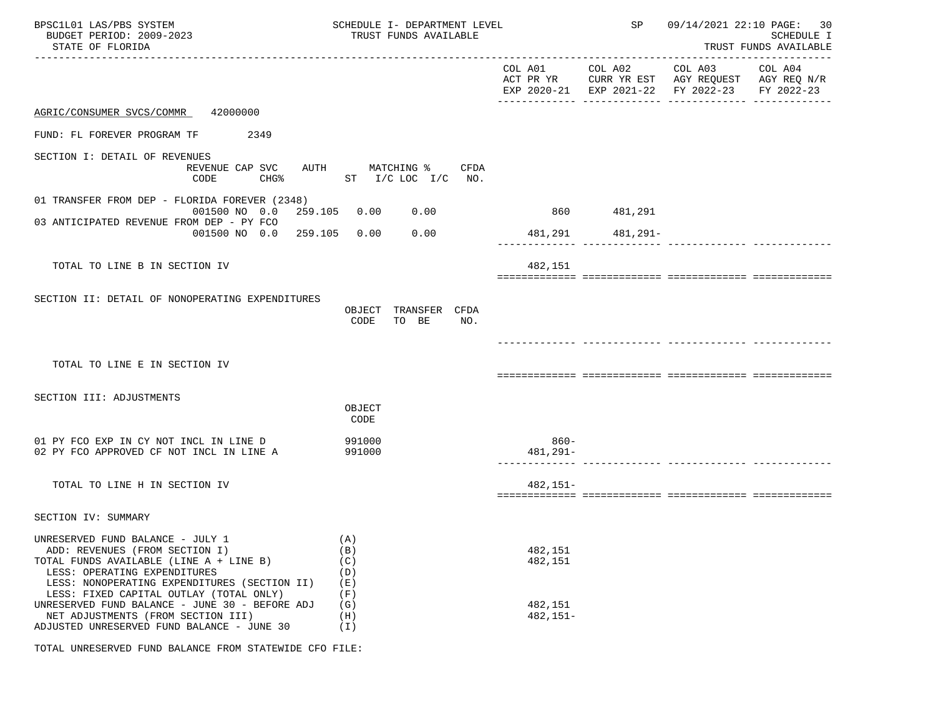| BPSC1L01 LAS/PBS SYSTEM<br>BUDGET PERIOD: 2009-2023<br>STATE OF FLORIDA                                                                                                                                                                  | SCHEDULE I- DEPARTMENT LEVEL<br>TRUST FUNDS AVAILABLE       |                     | SP                      | 09/14/2021 22:10 PAGE: 30                                                                      | <b>SCHEDULE I</b><br>TRUST FUNDS AVAILABLE |
|------------------------------------------------------------------------------------------------------------------------------------------------------------------------------------------------------------------------------------------|-------------------------------------------------------------|---------------------|-------------------------|------------------------------------------------------------------------------------------------|--------------------------------------------|
|                                                                                                                                                                                                                                          |                                                             |                     | COL A01 COL A02 COL A03 | ACT PR YR CURR YR EST AGY REQUEST AGY REQ N/R<br>EXP 2020-21 EXP 2021-22 FY 2022-23 FY 2022-23 | COL A04                                    |
| AGRIC/CONSUMER SVCS/COMMR 42000000                                                                                                                                                                                                       |                                                             |                     |                         |                                                                                                |                                            |
| FUND: FL FOREVER PROGRAM TF 2349                                                                                                                                                                                                         |                                                             |                     |                         |                                                                                                |                                            |
| SECTION I: DETAIL OF REVENUES<br>REVENUE CAP SVC<br>CODE                                                                                                                                                                                 | AUTH MATCHING % CFDA<br>CHG <sup>*</sup> ST I/C LOC I/C NO. |                     |                         |                                                                                                |                                            |
| 01 TRANSFER FROM DEP - FLORIDA FOREVER (2348)<br>001500 NO 0.0 259.105 0.00 0.00                                                                                                                                                         |                                                             |                     | 860 481,291             |                                                                                                |                                            |
| 03 ANTICIPATED REVENUE FROM DEP - PY FCO<br>001500 NO 0.0 259.105 0.00                                                                                                                                                                   | 0.00                                                        |                     | 481,291 481,291-        |                                                                                                |                                            |
| TOTAL TO LINE B IN SECTION IV                                                                                                                                                                                                            |                                                             | 482,151             |                         |                                                                                                |                                            |
| SECTION II: DETAIL OF NONOPERATING EXPENDITURES                                                                                                                                                                                          | OBJECT TRANSFER CFDA<br>CODE<br>TO BE<br>NO.                |                     |                         |                                                                                                |                                            |
| TOTAL TO LINE E IN SECTION IV                                                                                                                                                                                                            |                                                             |                     |                         |                                                                                                |                                            |
| SECTION III: ADJUSTMENTS                                                                                                                                                                                                                 | OBJECT<br>CODE                                              |                     |                         |                                                                                                |                                            |
| 01 PY FCO EXP IN CY NOT INCL IN LINE D<br>02 PY FCO APPROVED CF NOT INCL IN LINE A                                                                                                                                                       | 991000<br>991000                                            | $860 -$<br>481,291– |                         |                                                                                                |                                            |
| TOTAL TO LINE H IN SECTION IV                                                                                                                                                                                                            |                                                             | $482,151-$          |                         |                                                                                                |                                            |
| SECTION IV: SUMMARY                                                                                                                                                                                                                      |                                                             |                     |                         |                                                                                                |                                            |
| UNRESERVED FUND BALANCE - JULY 1<br>ADD: REVENUES (FROM SECTION I)<br>TOTAL FUNDS AVAILABLE (LINE A + LINE B)<br>LESS: OPERATING EXPENDITURES<br>LESS: NONOPERATING EXPENDITURES (SECTION II)<br>LESS: FIXED CAPITAL OUTLAY (TOTAL ONLY) | (A)<br>(B)<br>(C)<br>(D)<br>(E)<br>(F)                      | 482,151<br>482,151  |                         |                                                                                                |                                            |
| UNRESERVED FUND BALANCE - JUNE 30 - BEFORE ADJ<br>NET ADJUSTMENTS (FROM SECTION III)<br>ADJUSTED UNRESERVED FUND BALANCE - JUNE 30                                                                                                       | (G)<br>(H)<br>(I)                                           | 482,151<br>482,151- |                         |                                                                                                |                                            |

TOTAL UNRESERVED FUND BALANCE FROM STATEWIDE CFO FILE: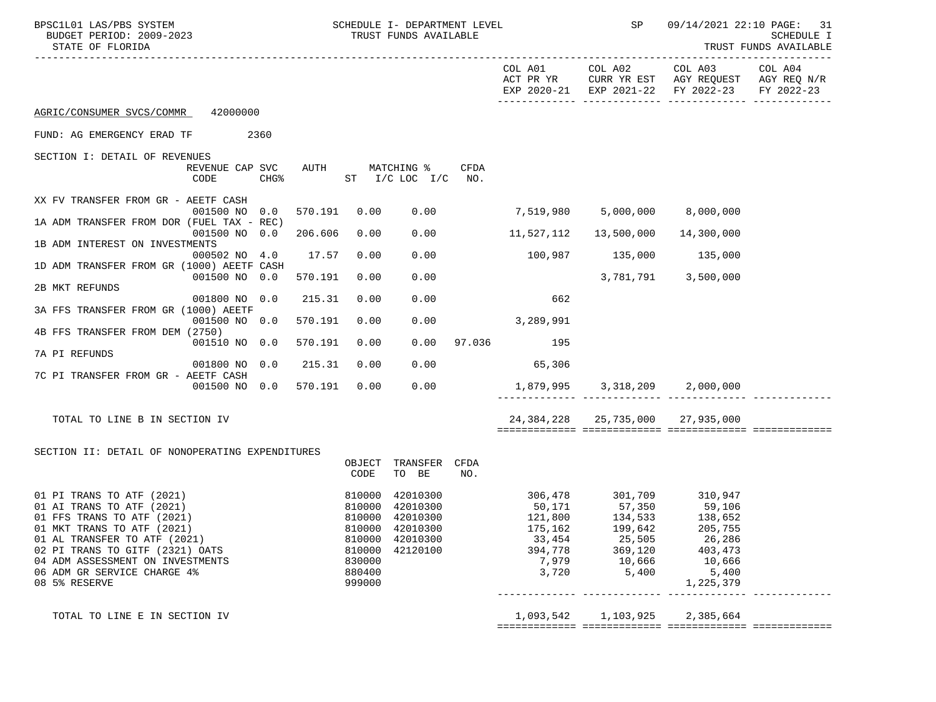| BPSC1L01 LAS/PBS SYSTEM<br>SCHEDULE I- DEPARTMENT LEVEL<br>BUDGET PERIOD: 2009-2023<br>TRUST FUNDS AVAILABLE<br>STATE OF FLORIDA |      |         |                |                        | SP     | 09/14/2021 22:10 PAGE: 31<br>SCHEDULE I<br>TRUST FUNDS AVAILABLE |                                        |                                                                                                                        |            |
|----------------------------------------------------------------------------------------------------------------------------------|------|---------|----------------|------------------------|--------|------------------------------------------------------------------|----------------------------------------|------------------------------------------------------------------------------------------------------------------------|------------|
|                                                                                                                                  |      |         |                |                        |        |                                                                  |                                        | COL A01 COL A02 COL A03 COL A04<br>ACT PR YR CURR YR EST AGY REQUEST AGY REQ N/R<br>EXP 2020-21 EXP 2021-22 FY 2022-23 | FY 2022-23 |
| AGRIC/CONSUMER SVCS/COMMR 42000000                                                                                               |      |         |                |                        |        |                                                                  |                                        |                                                                                                                        |            |
| FUND: AG EMERGENCY ERAD TF<br>2360                                                                                               |      |         |                |                        |        |                                                                  |                                        |                                                                                                                        |            |
| SECTION I: DETAIL OF REVENUES<br>REVENUE CAP SVC                                                                                 |      |         |                | AUTH MATCHING %        | CFDA   |                                                                  |                                        |                                                                                                                        |            |
| CODE                                                                                                                             | CHG% |         |                | $ST$ $I/C$ $LOC$ $I/C$ | NO.    |                                                                  |                                        |                                                                                                                        |            |
| XX FV TRANSFER FROM GR - AEETF CASH<br>001500 NO 0.0                                                                             |      | 570.191 | 0.00           |                        |        | $0.00$ $7,519,980$ $5,000,000$                                   |                                        | 8,000,000                                                                                                              |            |
| 1A ADM TRANSFER FROM DOR (FUEL TAX - REC)                                                                                        |      |         |                |                        |        |                                                                  |                                        |                                                                                                                        |            |
| 001500 NO 0.0<br>1B ADM INTEREST ON INVESTMENTS                                                                                  |      | 206.606 | 0.00           | 0.00                   |        | 11,527,112                                                       | 13,500,000                             | 14,300,000                                                                                                             |            |
| 000502 NO 4.0<br>1D ADM TRANSFER FROM GR (1000) AEETF CASH                                                                       |      | 17.57   | 0.00           | 0.00                   |        |                                                                  | 100,987 135,000 135,000                |                                                                                                                        |            |
| 001500 NO 0.0                                                                                                                    |      | 570.191 | 0.00           | 0.00                   |        |                                                                  | 3,781,791                              | 3,500,000                                                                                                              |            |
| 2B MKT REFUNDS                                                                                                                   |      |         |                |                        |        |                                                                  |                                        |                                                                                                                        |            |
| 001800 NO 0.0<br>3A FFS TRANSFER FROM GR (1000) AEETF                                                                            |      | 215.31  | 0.00           | 0.00                   |        | 662                                                              |                                        |                                                                                                                        |            |
| 001500 NO 0.0<br>4B FFS TRANSFER FROM DEM (2750)                                                                                 |      | 570.191 | 0.00           | 0.00                   |        | 3,289,991                                                        |                                        |                                                                                                                        |            |
| 001510 NO 0.0                                                                                                                    |      | 570.191 | 0.00           | 0.00                   | 97.036 | 195                                                              |                                        |                                                                                                                        |            |
| 7A PI REFUNDS                                                                                                                    |      |         |                |                        |        |                                                                  |                                        |                                                                                                                        |            |
| 001800 NO 0.0                                                                                                                    |      | 215.31  | 0.00           | 0.00                   |        | 65,306                                                           |                                        |                                                                                                                        |            |
| 7C PI TRANSFER FROM GR - AEETF CASH<br>001500 NO 0.0                                                                             |      | 570.191 | 0.00           | 0.00                   |        | 1,879,995 3,318,209 2,000,000                                    |                                        |                                                                                                                        |            |
|                                                                                                                                  |      |         |                |                        |        |                                                                  |                                        |                                                                                                                        |            |
| TOTAL TO LINE B IN SECTION IV                                                                                                    |      |         |                |                        |        |                                                                  | 24, 384, 228 25, 735, 000 27, 935, 000 |                                                                                                                        |            |
|                                                                                                                                  |      |         |                |                        |        |                                                                  |                                        |                                                                                                                        |            |
| SECTION II: DETAIL OF NONOPERATING EXPENDITURES                                                                                  |      |         | OBJECT<br>CODE | TRANSFER CFDA<br>TO BE | NO.    |                                                                  |                                        |                                                                                                                        |            |
| 01 PI TRANS TO ATF (2021)                                                                                                        |      |         | 810000         | 42010300               |        | 306,478 301,709 310,947                                          |                                        |                                                                                                                        |            |
| 01 AI TRANS TO ATF (2021)                                                                                                        |      |         | 810000         | 42010300               |        | 50,171                                                           | 57,350                                 | 59,106                                                                                                                 |            |
| 01 FFS TRANS TO ATF (2021)                                                                                                       |      |         |                | 810000 42010300        |        | 121,800                                                          | 134,533                                | 138,652                                                                                                                |            |
| 01 MKT TRANS TO ATF (2021)                                                                                                       |      |         |                | 810000 42010300        |        | 175,162                                                          | 199,642                                | 205,755                                                                                                                |            |
| 01 AL TRANSFER TO ATF (2021)                                                                                                     |      |         | 810000         | 42010300               |        | 33,454                                                           | 25,505                                 | 26,286                                                                                                                 |            |
| 02 PI TRANS TO GITF (2321) OATS                                                                                                  |      |         | 810000         | 42120100               |        | 394,778                                                          | 369,120                                | 403,473                                                                                                                |            |
| 04 ADM ASSESSMENT ON INVESTMENTS                                                                                                 |      |         | 830000         |                        |        | 7,979                                                            | 10,666                                 | 10,666                                                                                                                 |            |
| 06 ADM GR SERVICE CHARGE 4%                                                                                                      |      |         | 880400         |                        |        | 3,720                                                            | 5,400                                  | 5,400                                                                                                                  |            |
| 08 5% RESERVE                                                                                                                    |      |         | 999000         |                        |        |                                                                  |                                        | 1,225,379                                                                                                              |            |
| TOTAL TO LINE E IN SECTION IV                                                                                                    |      |         |                |                        |        | 1,093,542                                                        | 1,103,925                              | 2,385,664                                                                                                              |            |
|                                                                                                                                  |      |         |                |                        |        |                                                                  |                                        |                                                                                                                        |            |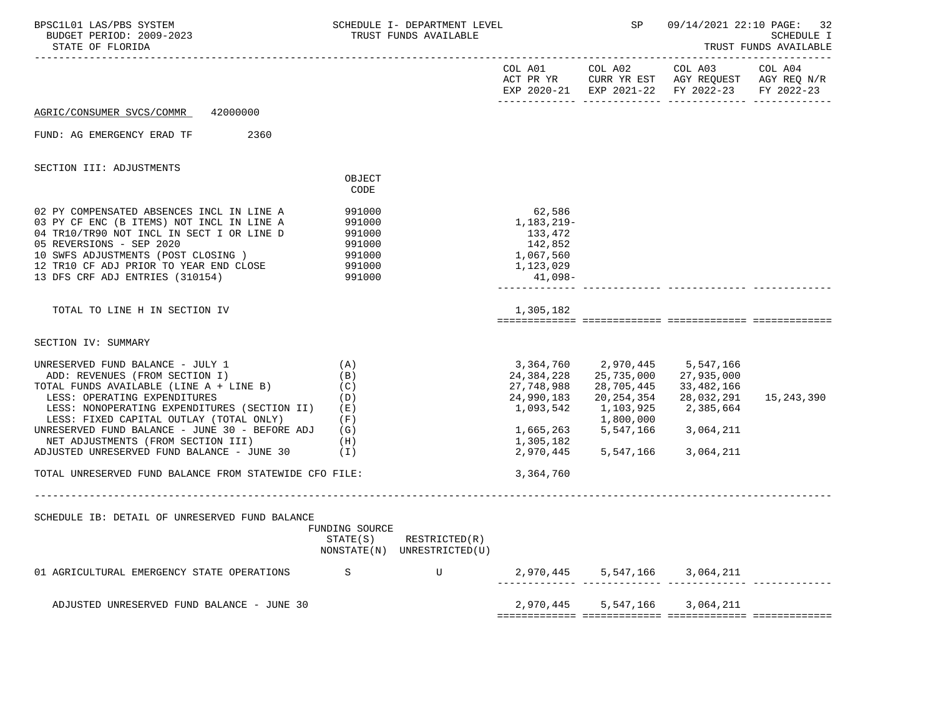| BPSC1L01 LAS/PBS SYSTEM<br>BUDGET PERIOD: 2009-2023<br>STATE OF FLORIDA                                                                                                                                                                                                                                                                                                            |                                                                    | SCHEDULE I- DEPARTMENT LEVEL<br>TRUST FUNDS AVAILABLE |                                                                                 | SP                                                                                                                                          | 09/14/2021 22:10 PAGE:                                                                                                            | 32<br>SCHEDULE I<br>TRUST FUNDS AVAILABLE |
|------------------------------------------------------------------------------------------------------------------------------------------------------------------------------------------------------------------------------------------------------------------------------------------------------------------------------------------------------------------------------------|--------------------------------------------------------------------|-------------------------------------------------------|---------------------------------------------------------------------------------|---------------------------------------------------------------------------------------------------------------------------------------------|-----------------------------------------------------------------------------------------------------------------------------------|-------------------------------------------|
|                                                                                                                                                                                                                                                                                                                                                                                    |                                                                    |                                                       |                                                                                 |                                                                                                                                             | COL A01 COL A02 COL A03 COL A04<br>ACT PR YR CURR YR EST AGY REQUEST AGY REQ N/R<br>EXP 2020-21 EXP 2021-22 FY 2022-23 FY 2022-23 |                                           |
| AGRIC/CONSUMER SVCS/COMMR<br>42000000                                                                                                                                                                                                                                                                                                                                              |                                                                    |                                                       |                                                                                 |                                                                                                                                             |                                                                                                                                   |                                           |
| FUND: AG EMERGENCY ERAD TF<br>2360                                                                                                                                                                                                                                                                                                                                                 |                                                                    |                                                       |                                                                                 |                                                                                                                                             |                                                                                                                                   |                                           |
| SECTION III: ADJUSTMENTS                                                                                                                                                                                                                                                                                                                                                           |                                                                    |                                                       |                                                                                 |                                                                                                                                             |                                                                                                                                   |                                           |
|                                                                                                                                                                                                                                                                                                                                                                                    | OBJECT<br>CODE                                                     |                                                       |                                                                                 |                                                                                                                                             |                                                                                                                                   |                                           |
| 02 PY COMPENSATED ABSENCES INCL IN LINE A<br>03 PY CF ENC (B ITEMS) NOT INCL IN LINE A<br>04 TR10/TR90 NOT INCL IN SECT I OR LINE D<br>05 REVERSIONS - SEP 2020<br>10 SWFS ADJUSTMENTS (POST CLOSING )<br>12 TR10 CF ADJ PRIOR TO YEAR END CLOSE<br>13 DFS CRF ADJ ENTRIES (310154)                                                                                                | 991000<br>991000<br>991000<br>991000<br>991000<br>991000<br>991000 |                                                       | 62,586<br>1,183,219–<br>133,472<br>142,852<br>1,067,560<br>1,123,029<br>41,098– |                                                                                                                                             |                                                                                                                                   |                                           |
| TOTAL TO LINE H IN SECTION IV                                                                                                                                                                                                                                                                                                                                                      |                                                                    |                                                       | 1,305,182                                                                       |                                                                                                                                             |                                                                                                                                   |                                           |
| SECTION IV: SUMMARY                                                                                                                                                                                                                                                                                                                                                                |                                                                    |                                                       |                                                                                 |                                                                                                                                             |                                                                                                                                   |                                           |
| UNRESERVED FUND BALANCE - JULY 1<br>ADD: REVENUES (FROM SECTION I)<br>TOTAL FUNDS AVAILABLE (LINE A + LINE B)<br>LESS: OPERATING EXPENDITURES<br>LESS: NONOPERATING EXPENDITURES (SECTION II)<br>LESS: FIXED CAPITAL OUTLAY (TOTAL ONLY)<br>UNRESERVED FUND BALANCE - JUNE 30 - BEFORE ADJ<br>NET ADJUSTMENTS (FROM SECTION III)<br>ADJUSTED UNRESERVED FUND BALANCE - JUNE 30 (I) | (A)<br>(B)<br>(C)<br>(D)<br>(E)<br>(F)<br>(G)<br>(H)               |                                                       | 24,384,228<br>27,748,988<br>24,990,183<br>1,093,542<br>1,305,182                | 3,364,760 2,970,445 5,547,166<br>28,705,445<br>20,254,354<br>1,103,925<br>1,800,000<br>1,665,263 5,547,166<br>2,970,445 5,547,166 3,064,211 | 25,735,000 27,935,000<br>33,482,166<br>28,032,291<br>2,385,664<br>3,064,211                                                       | 15,243,390                                |
| TOTAL UNRESERVED FUND BALANCE FROM STATEWIDE CFO FILE:                                                                                                                                                                                                                                                                                                                             |                                                                    |                                                       | 3,364,760                                                                       |                                                                                                                                             |                                                                                                                                   |                                           |
| SCHEDULE IB: DETAIL OF UNRESERVED FUND BALANCE                                                                                                                                                                                                                                                                                                                                     | FUNDING SOURCE<br>STATE(S)                                         | RESTRICTED(R)<br>NONSTATE(N) UNRESTRICTED(U)          |                                                                                 |                                                                                                                                             |                                                                                                                                   |                                           |
| 01 AGRICULTURAL EMERGENCY STATE OPERATIONS                                                                                                                                                                                                                                                                                                                                         | S                                                                  | U                                                     |                                                                                 | 2,970,445 5,547,166 3,064,211                                                                                                               |                                                                                                                                   |                                           |
| ADJUSTED UNRESERVED FUND BALANCE - JUNE 30                                                                                                                                                                                                                                                                                                                                         |                                                                    |                                                       | 2,970,445                                                                       | 5,547,166                                                                                                                                   | 3,064,211                                                                                                                         |                                           |
|                                                                                                                                                                                                                                                                                                                                                                                    |                                                                    |                                                       |                                                                                 |                                                                                                                                             |                                                                                                                                   |                                           |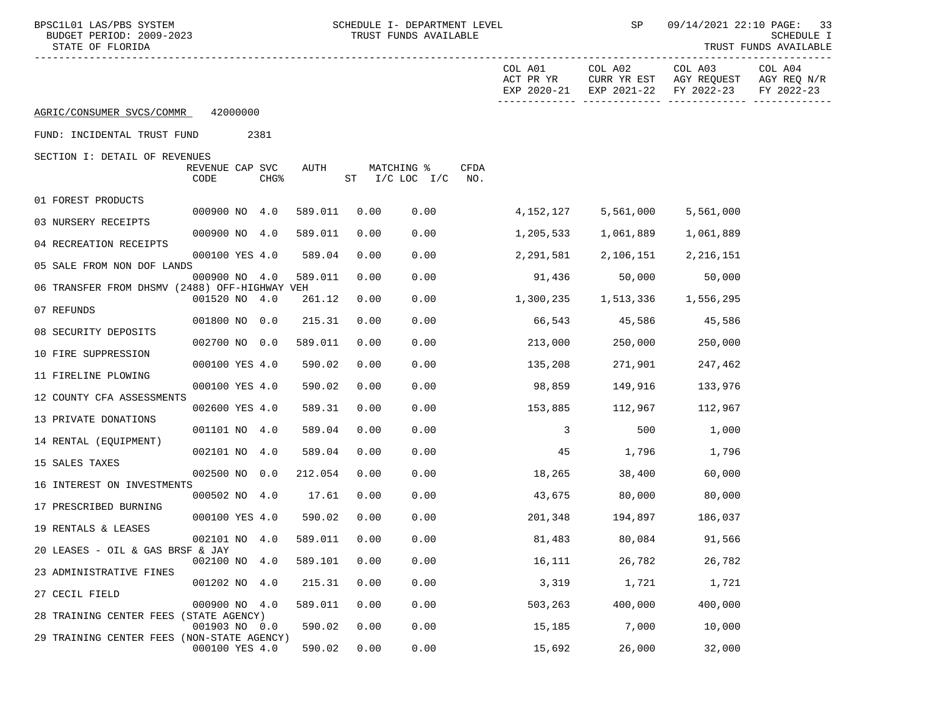29 TRAINING CENTER FEES (NON-STATE AGENCY)

-----------------------------------------------------------------------------------------------------------------------------------

STATE OF FLORIDA AND INTERNATIONAL STATE OF FUNDS AVAILABLE

|                                               |                         |          |                  |         |      |                               |             | COL A01<br>ACT PR YR<br>EXP 2020-21 | COL A02<br>CURR YR EST<br>EXP 2021-22 | COL A03<br>AGY REQUEST<br>FY 2022-23 | COL A04<br>AGY REQ N/R<br>FY 2022-23 |
|-----------------------------------------------|-------------------------|----------|------------------|---------|------|-------------------------------|-------------|-------------------------------------|---------------------------------------|--------------------------------------|--------------------------------------|
| AGRIC/CONSUMER SVCS/COMMR                     |                         | 42000000 |                  |         |      |                               |             |                                     |                                       |                                      |                                      |
| FUND: INCIDENTAL TRUST FUND                   |                         |          | 2381             |         |      |                               |             |                                     |                                       |                                      |                                      |
| SECTION I: DETAIL OF REVENUES                 | REVENUE CAP SVC<br>CODE |          | CHG <sup>8</sup> | AUTH    | ST   | MATCHING %<br>$I/C$ LOC $I/C$ | CFDA<br>NO. |                                     |                                       |                                      |                                      |
| 01 FOREST PRODUCTS                            |                         |          |                  |         |      |                               |             |                                     |                                       |                                      |                                      |
| 03 NURSERY RECEIPTS                           | 000900 NO               |          | 4.0              | 589.011 | 0.00 | 0.00                          |             | 4,152,127                           | 5,561,000                             | 5,561,000                            |                                      |
| 04 RECREATION RECEIPTS                        | 000900 NO 4.0           |          |                  | 589.011 | 0.00 | 0.00                          |             | 1,205,533                           | 1,061,889                             | 1,061,889                            |                                      |
| 05 SALE FROM NON DOF LANDS                    | 000100 YES 4.0          |          |                  | 589.04  | 0.00 | 0.00                          |             | 2,291,581                           | 2,106,151                             | 2,216,151                            |                                      |
| 06 TRANSFER FROM DHSMV (2488) OFF-HIGHWAY VEH | 000900 NO               |          | -4.0             | 589.011 | 0.00 | 0.00                          |             | 91,436                              | 50,000                                | 50,000                               |                                      |
| 07 REFUNDS                                    | 001520 NO 4.0           |          |                  | 261.12  | 0.00 | 0.00                          |             | 1,300,235                           | 1,513,336                             | 1,556,295                            |                                      |
|                                               | 001800 NO               |          | 0.0              | 215.31  | 0.00 | 0.00                          |             | 66,543                              | 45,586                                | 45,586                               |                                      |
| 08 SECURITY DEPOSITS                          | 002700 NO 0.0           |          |                  | 589.011 | 0.00 | 0.00                          |             | 213,000                             | 250,000                               | 250,000                              |                                      |
| 10 FIRE SUPPRESSION                           | 000100 YES 4.0          |          |                  | 590.02  | 0.00 | 0.00                          |             | 135,208                             | 271,901                               | 247,462                              |                                      |
| 11 FIRELINE PLOWING                           | 000100 YES 4.0          |          |                  | 590.02  | 0.00 | 0.00                          |             | 98,859                              | 149,916                               | 133,976                              |                                      |
| 12 COUNTY CFA ASSESSMENTS                     | 002600 YES 4.0          |          |                  | 589.31  | 0.00 | 0.00                          |             | 153,885                             | 112,967                               | 112,967                              |                                      |
| 13 PRIVATE DONATIONS                          |                         |          |                  |         |      |                               |             |                                     |                                       |                                      |                                      |
| 14 RENTAL (EQUIPMENT)                         | 001101 NO 4.0           |          |                  | 589.04  | 0.00 | 0.00                          |             | 3                                   | 500                                   | 1,000                                |                                      |
| 15 SALES TAXES                                | 002101 NO               |          | 4.0              | 589.04  | 0.00 | 0.00                          |             | 45                                  | 1,796                                 | 1,796                                |                                      |
| 16 INTEREST ON INVESTMENTS                    | 002500 NO               |          | 0.0              | 212.054 | 0.00 | 0.00                          |             | 18,265                              | 38,400                                | 60,000                               |                                      |
| 17 PRESCRIBED BURNING                         | 000502 NO 4.0           |          |                  | 17.61   | 0.00 | 0.00                          |             | 43,675                              | 80,000                                | 80,000                               |                                      |
|                                               | 000100 YES 4.0          |          |                  | 590.02  | 0.00 | 0.00                          |             | 201,348                             | 194,897                               | 186,037                              |                                      |
| 19 RENTALS & LEASES                           | 002101 NO               |          | 4.0              | 589.011 | 0.00 | 0.00                          |             | 81,483                              | 80,084                                | 91,566                               |                                      |
| 20 LEASES - OIL & GAS BRSF & JAY              | 002100 NO 4.0           |          |                  | 589.101 | 0.00 | 0.00                          |             | 16,111                              | 26,782                                | 26,782                               |                                      |
| 23 ADMINISTRATIVE FINES                       | 001202 NO               |          | 4.0              | 215.31  | 0.00 | 0.00                          |             | 3,319                               | 1,721                                 | 1,721                                |                                      |
| 27 CECIL FIELD                                | 000900 NO               |          | 4.0              | 589.011 | 0.00 | 0.00                          |             | 503,263                             | 400,000                               | 400,000                              |                                      |
| 28 TRAINING CENTER FEES (STATE AGENCY)        | 001903 NO 0.0           |          |                  | 590.02  | 0.00 | 0.00                          |             | 15,185                              | 7,000                                 | 10,000                               |                                      |

000100 YES 4.0 590.02 0.00 0.00 15,692 26,000 32,000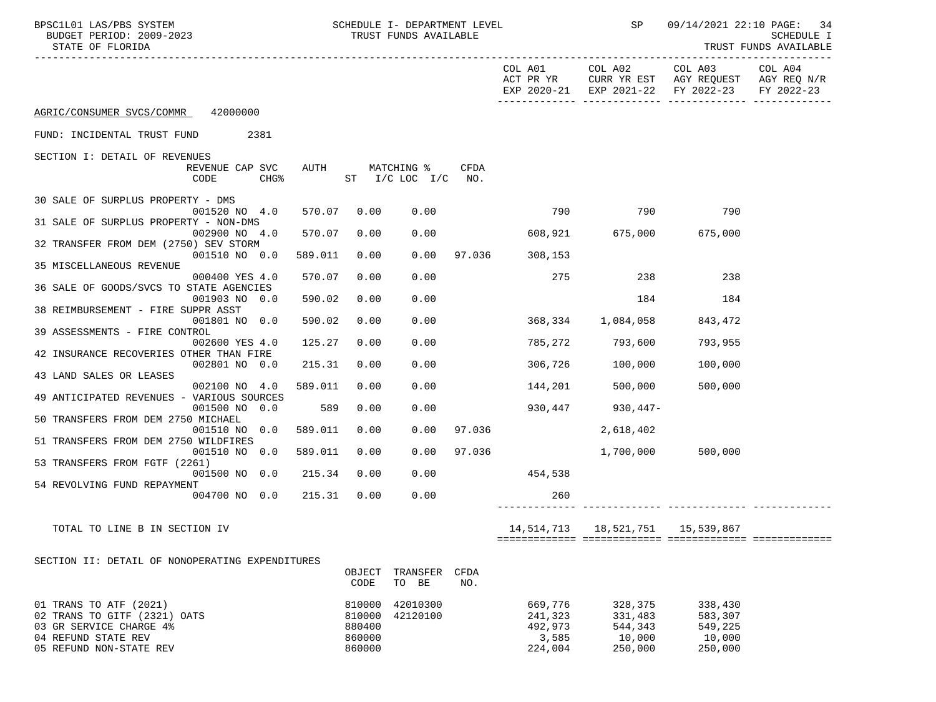| SCHEDULE I- DEPARTMENT LEVEL<br>BPSC1L01 LAS/PBS SYSTEM<br>BUDGET PERIOD: 2009-2023<br>STATE OF FLORIDA |         |                  | TRUST FUNDS AVAILABLE             |             |                               | <b>SP</b>                            | 09/14/2021 22:10 PAGE: 34<br>SCHEDULE I<br>TRUST FUNDS AVAILABLE<br>--------------                           |            |  |
|---------------------------------------------------------------------------------------------------------|---------|------------------|-----------------------------------|-------------|-------------------------------|--------------------------------------|--------------------------------------------------------------------------------------------------------------|------------|--|
|                                                                                                         |         |                  |                                   |             | ACT PR YR                     |                                      | COL A01 COL A02 COL A03 COL A04<br>CURR YR EST AGY REQUEST AGY REQ N/R<br>EXP 2020-21 EXP 2021-22 FY 2022-23 | FY 2022-23 |  |
| AGRIC/CONSUMER SVCS/COMMR 42000000                                                                      |         |                  |                                   |             |                               |                                      |                                                                                                              |            |  |
| FUND: INCIDENTAL TRUST FUND 2381                                                                        |         |                  |                                   |             |                               |                                      |                                                                                                              |            |  |
| SECTION I: DETAIL OF REVENUES                                                                           |         |                  |                                   |             |                               |                                      |                                                                                                              |            |  |
| REVENUE CAP SVC<br><b>CHG%</b><br>CODE                                                                  |         |                  | AUTH MATCHING %<br>ST I/C LOC I/C | CFDA<br>NO. |                               |                                      |                                                                                                              |            |  |
| 30 SALE OF SURPLUS PROPERTY - DMS                                                                       |         |                  |                                   |             |                               |                                      |                                                                                                              |            |  |
| 001520 NO 4.0<br>31 SALE OF SURPLUS PROPERTY - NON-DMS                                                  | 570.07  | 0.00             | 0.00                              |             | 790                           | 790                                  | 790                                                                                                          |            |  |
| 002900 NO 4.0<br>32 TRANSFER FROM DEM (2750) SEV STORM                                                  | 570.07  | 0.00             | 0.00                              |             | $608,921$ $675,000$ $675,000$ |                                      |                                                                                                              |            |  |
| 001510 NO 0.0                                                                                           | 589.011 | 0.00             | 0.00                              | 97.036      | 308,153                       |                                      |                                                                                                              |            |  |
| 35 MISCELLANEOUS REVENUE<br>000400 YES 4.0                                                              | 570.07  | 0.00             | 0.00                              |             | 275                           | 238                                  | 238                                                                                                          |            |  |
| 36 SALE OF GOODS/SVCS TO STATE AGENCIES<br>001903 NO 0.0                                                | 590.02  | 0.00             | 0.00                              |             |                               | 184                                  | 184                                                                                                          |            |  |
| 38 REIMBURSEMENT - FIRE SUPPR ASST                                                                      |         |                  |                                   |             |                               |                                      |                                                                                                              |            |  |
| 001801 NO 0.0<br>39 ASSESSMENTS - FIRE CONTROL                                                          | 590.02  | 0.00             | 0.00                              |             |                               | 368,334 1,084,058                    | 843,472                                                                                                      |            |  |
| 002600 YES 4.0<br>42 INSURANCE RECOVERIES OTHER THAN FIRE                                               | 125.27  | 0.00             | 0.00                              |             |                               | 785,272 793,600                      | 793,955                                                                                                      |            |  |
| 002801 NO 0.0                                                                                           | 215.31  | 0.00             | 0.00                              |             | 306,726                       | 100,000                              | 100,000                                                                                                      |            |  |
| 43 LAND SALES OR LEASES<br>002100 NO 4.0                                                                | 589.011 | 0.00             | 0.00                              |             | 144,201                       | 500,000                              | 500,000                                                                                                      |            |  |
| 49 ANTICIPATED REVENUES - VARIOUS SOURCES<br>001500 NO 0.0                                              | 589     | 0.00             | 0.00                              |             |                               | 930,447 930,447-                     |                                                                                                              |            |  |
| 50 TRANSFERS FROM DEM 2750 MICHAEL                                                                      |         |                  |                                   |             |                               |                                      |                                                                                                              |            |  |
| 001510 NO 0.0<br>51 TRANSFERS FROM DEM 2750 WILDFIRES                                                   | 589.011 | 0.00             | 0.00                              |             | 97.036                        | 2,618,402                            |                                                                                                              |            |  |
| 001510 NO 0.0<br>53 TRANSFERS FROM FGTF (2261)                                                          | 589.011 | 0.00             | 0.00                              | 97.036      |                               | 1,700,000 500,000                    |                                                                                                              |            |  |
| 001500 NO 0.0                                                                                           | 215.34  | 0.00             | 0.00                              |             | 454,538                       |                                      |                                                                                                              |            |  |
| 54 REVOLVING FUND REPAYMENT<br>004700 NO 0.0                                                            | 215.31  | 0.00             | 0.00                              |             | 260                           |                                      |                                                                                                              |            |  |
| TOTAL TO LINE B IN SECTION IV                                                                           |         |                  |                                   |             |                               | 14,514,713   18,521,751   15,539,867 |                                                                                                              |            |  |
|                                                                                                         |         |                  |                                   |             |                               |                                      |                                                                                                              |            |  |
| SECTION II: DETAIL OF NONOPERATING EXPENDITURES                                                         |         |                  |                                   |             |                               |                                      |                                                                                                              |            |  |
|                                                                                                         |         | OBJECT<br>CODE   | TRANSFER<br>TO BE                 | CFDA<br>NO. |                               |                                      |                                                                                                              |            |  |
| 01 TRANS TO ATF (2021)                                                                                  |         | 810000           | 42010300                          |             | 669,776                       | 328,375                              | 338,430                                                                                                      |            |  |
| 02 TRANS TO GITF (2321) OATS<br>03 GR SERVICE CHARGE 4%                                                 |         | 810000<br>880400 | 42120100                          |             | 241,323<br>492,973            | 331,483<br>544,343                   | 583,307<br>549,225                                                                                           |            |  |
| 04 REFUND STATE REV                                                                                     |         | 860000           |                                   |             | 3,585                         | 10,000                               | 10,000                                                                                                       |            |  |
| 05 REFUND NON-STATE REV                                                                                 |         | 860000           |                                   |             | 224,004                       | 250,000                              | 250,000                                                                                                      |            |  |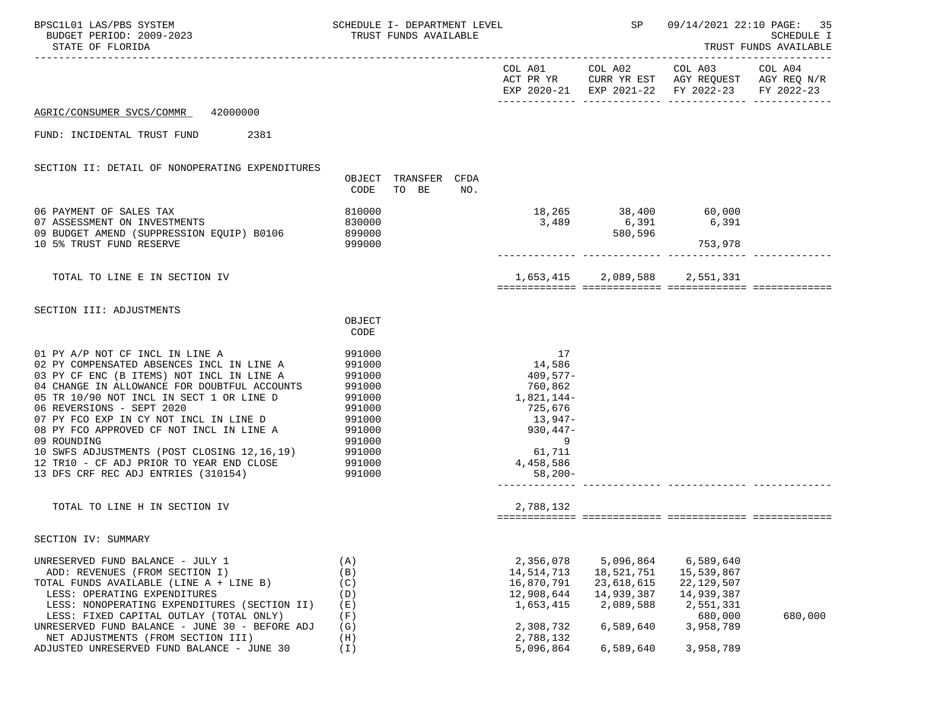| BPSC1L01 LAS/PBS SYSTEM<br>BUDGET PERIOD: 2009-2023<br>STATE OF FLORIDA                                                                                                                                                                                                                                                                                                                                                                                                                                 | SCHEDULE I- DEPARTMENT LEVEL<br>TRUST FUNDS AVAILABLE                                            |                                                                                                                                             | <b>SP</b>                                                                                  | 09/14/2021 22:10 PAGE: 35<br><b>SCHEDULE I</b><br>TRUST FUNDS AVAILABLE                                                           |         |  |
|---------------------------------------------------------------------------------------------------------------------------------------------------------------------------------------------------------------------------------------------------------------------------------------------------------------------------------------------------------------------------------------------------------------------------------------------------------------------------------------------------------|--------------------------------------------------------------------------------------------------|---------------------------------------------------------------------------------------------------------------------------------------------|--------------------------------------------------------------------------------------------|-----------------------------------------------------------------------------------------------------------------------------------|---------|--|
|                                                                                                                                                                                                                                                                                                                                                                                                                                                                                                         |                                                                                                  |                                                                                                                                             |                                                                                            | COL A01 COL A02 COL A03 COL A04<br>ACT PR YR CURR YR EST AGY REQUEST AGY REQ N/R<br>EXP 2020-21 EXP 2021-22 FY 2022-23 FY 2022-23 |         |  |
| AGRIC/CONSUMER SVCS/COMMR 42000000                                                                                                                                                                                                                                                                                                                                                                                                                                                                      |                                                                                                  |                                                                                                                                             |                                                                                            |                                                                                                                                   |         |  |
| FUND: INCIDENTAL TRUST FUND<br>2381                                                                                                                                                                                                                                                                                                                                                                                                                                                                     |                                                                                                  |                                                                                                                                             |                                                                                            |                                                                                                                                   |         |  |
| SECTION II: DETAIL OF NONOPERATING EXPENDITURES                                                                                                                                                                                                                                                                                                                                                                                                                                                         | OBJECT TRANSFER CFDA<br>CODE<br>TO BE<br>NO.                                                     |                                                                                                                                             |                                                                                            |                                                                                                                                   |         |  |
| 06 PAYMENT OF SALES TAX<br>07 ASSESSMENT ON INVESTMENTS<br>09 BUDGET AMEND (SUPPRESSION EQUIP) B0106<br>10 5% TRUST FUND RESERVE                                                                                                                                                                                                                                                                                                                                                                        | 810000<br>830000<br>899000<br>999000                                                             |                                                                                                                                             | 18,265 38,400 60,000<br>3,489 6,391 6,391<br>580,596                                       | 753,978                                                                                                                           |         |  |
| TOTAL TO LINE E IN SECTION IV                                                                                                                                                                                                                                                                                                                                                                                                                                                                           |                                                                                                  |                                                                                                                                             | 1,653,415 2,089,588 2,551,331                                                              |                                                                                                                                   |         |  |
| SECTION III: ADJUSTMENTS                                                                                                                                                                                                                                                                                                                                                                                                                                                                                | OBJECT<br>CODE                                                                                   |                                                                                                                                             |                                                                                            |                                                                                                                                   |         |  |
| 01 PY A/P NOT CF INCL IN LINE A<br>02 PY COMPENSATED ABSENCES INCL IN LINE A<br>03 PY CF ENC (B ITEMS) NOT INCL IN LINE A<br>04 CHANGE IN ALLOWANCE FOR DOUBTFUL ACCOUNTS<br>05 TR 10/90 NOT INCL IN SECT 1 OR LINE D<br>06 REVERSIONS - SEPT 2020<br>07 PY FCO EXP IN CY NOT INCL IN LINE D<br>08 PY FCO APPROVED CF NOT INCL IN LINE A<br>09 ROUNDING<br>10 SWFS ADJUSTMENTS (POST CLOSING 12,16,19) 991000<br>12 TR10 - CF ADJ PRIOR TO YEAR END CLOSE 991000<br>13 DFS CRF REC ADJ ENTRIES (310154) | 991000<br>991000<br>991000<br>991000<br>991000<br>991000<br>991000<br>991000<br>991000<br>991000 | 17<br>14,586<br>409,577-<br>760,862<br>1,821,144-<br>725,676<br>13,947-<br>$930,447-$<br>$\overline{9}$<br>61,711<br>4,458,586<br>$58,200-$ |                                                                                            |                                                                                                                                   |         |  |
| TOTAL TO LINE H IN SECTION IV                                                                                                                                                                                                                                                                                                                                                                                                                                                                           |                                                                                                  | 2,788,132                                                                                                                                   |                                                                                            |                                                                                                                                   |         |  |
| SECTION IV: SUMMARY                                                                                                                                                                                                                                                                                                                                                                                                                                                                                     |                                                                                                  |                                                                                                                                             |                                                                                            |                                                                                                                                   |         |  |
| UNRESERVED FUND BALANCE - JULY 1<br>ADD: REVENUES (FROM SECTION I)<br>TOTAL FUNDS AVAILABLE (LINE A + LINE B)<br>LESS: OPERATING EXPENDITURES<br>LESS: NONOPERATING EXPENDITURES (SECTION II)<br>LESS: FIXED CAPITAL OUTLAY (TOTAL ONLY)<br>UNRESERVED FUND BALANCE - JUNE 30 - BEFORE ADJ<br>NET ADJUSTMENTS (FROM SECTION III)<br>ADJUSTED UNRESERVED FUND BALANCE - JUNE 30                                                                                                                          | (A)<br>(B)<br>(C)<br>(D)<br>(E)<br>(F)<br>(G)<br>(H)<br>(I)                                      | 2,356,078<br>14,514,713<br>16,870,791<br>12,908,644<br>1,653,415<br>2,308,732<br>2,788,132<br>5,096,864                                     | 5,096,864<br>18,521,751<br>23,618,615<br>14,939,387<br>2,089,588<br>6,589,640<br>6,589,640 | 6,589,640<br>15,539,867<br>22,129,507<br>14,939,387<br>2,551,331<br>680,000<br>3,958,789<br>3,958,789                             | 680,000 |  |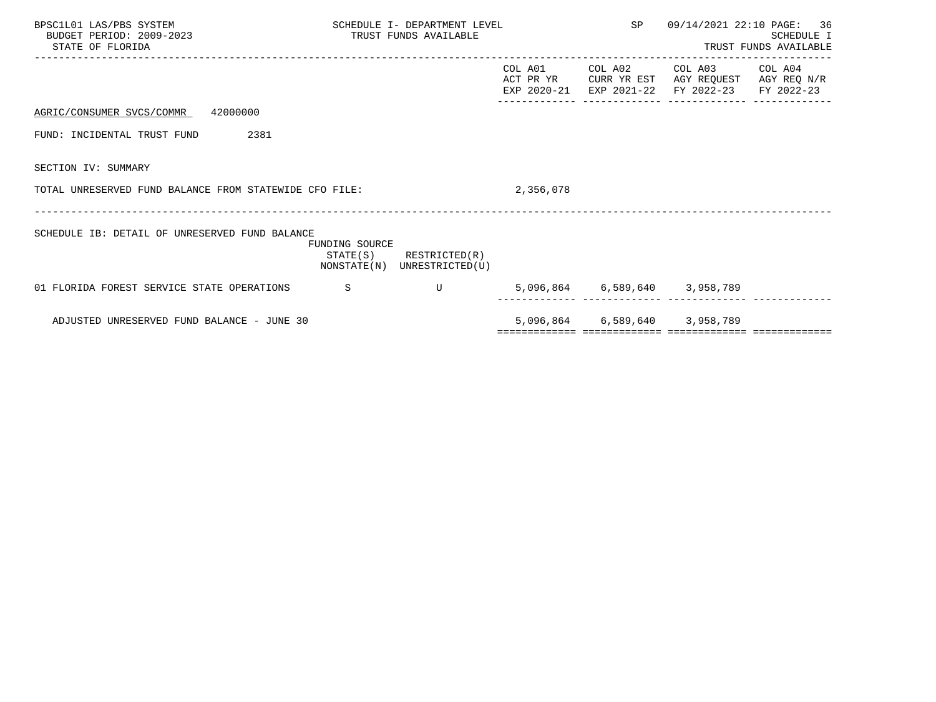| BPSC1L01 LAS/PBS SYSTEM<br>BUDGET PERIOD: 2009-2023<br>STATE OF FLORIDA | SCHEDULE I- DEPARTMENT LEVEL<br>TRUST FUNDS AVAILABLE |                                                            |           |                               | SP 09/14/2021 22:10 PAGE: 36<br>_____________________________________                                                     | SCHEDULE I<br>TRUST FUNDS AVAILABLE |  |
|-------------------------------------------------------------------------|-------------------------------------------------------|------------------------------------------------------------|-----------|-------------------------------|---------------------------------------------------------------------------------------------------------------------------|-------------------------------------|--|
|                                                                         |                                                       |                                                            | COL A01   |                               | COL A02 COL A03 COL A04<br>ACT PR YR CURR YR EST AGY REOUEST AGY REO N/R<br>EXP 2020-21 EXP 2021-22 FY 2022-23 FY 2022-23 |                                     |  |
| AGRIC/CONSUMER SVCS/COMMR 42000000                                      |                                                       |                                                            |           |                               |                                                                                                                           |                                     |  |
| 2381<br>FUND: INCIDENTAL TRUST FUND                                     |                                                       |                                                            |           |                               |                                                                                                                           |                                     |  |
| SECTION IV: SUMMARY                                                     |                                                       |                                                            |           |                               |                                                                                                                           |                                     |  |
| TOTAL UNRESERVED FUND BALANCE FROM STATEWIDE CFO FILE:                  |                                                       |                                                            | 2,356,078 |                               |                                                                                                                           |                                     |  |
| SCHEDULE IB: DETAIL OF UNRESERVED FUND BALANCE                          | FUNDING SOURCE                                        | $STATE(S)$ RESTRICTED $(R)$<br>NONSTATE(N) UNRESTRICTED(U) |           |                               |                                                                                                                           |                                     |  |
| 01 FLORIDA FOREST SERVICE STATE OPERATIONS S                            |                                                       | $\overline{U}$                                             |           | 5,096,864 6,589,640 3,958,789 |                                                                                                                           |                                     |  |
| ADJUSTED UNRESERVED FUND BALANCE - JUNE 30                              |                                                       |                                                            |           | 5,096,864 6,589,640 3,958,789 |                                                                                                                           |                                     |  |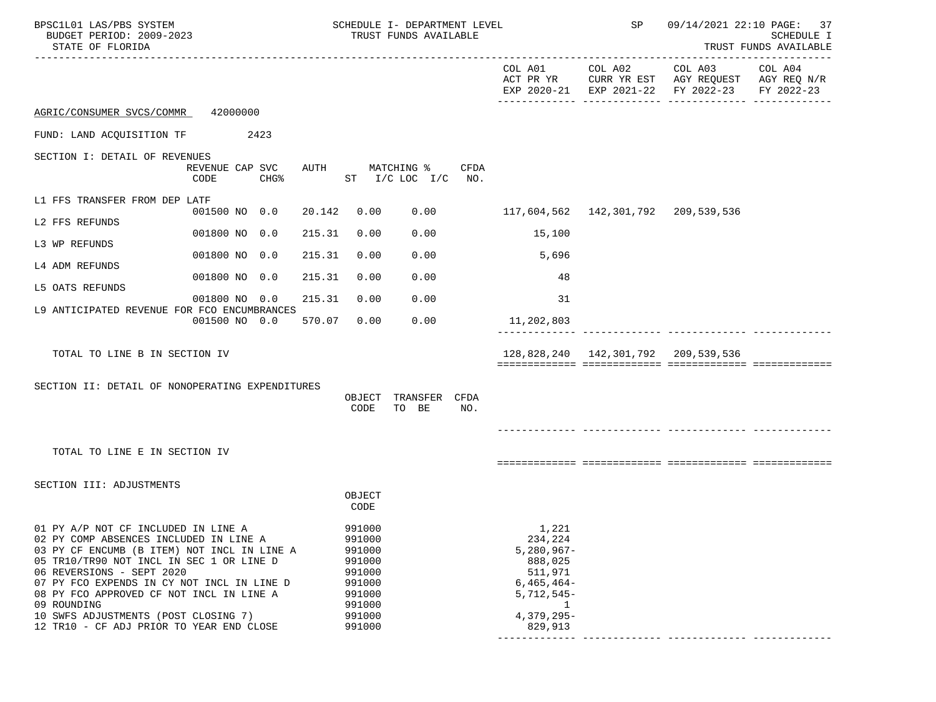| BPSC1L01 LAS/PBS SYSTEM<br>BUDGET PERIOD: 2009-2023<br>STATE OF FLORIDA                                                                                                                                                                                                                                                                                                                            | SCHEDULE I- DEPARTMENT LEVEL<br>TRUST FUNDS AVAILABLE                                                                                                                                                                    | 09/14/2021 22:10 PAGE: 37<br>SP<br>SCHEDULE I<br>TRUST FUNDS AVAILABLE                                                      |
|----------------------------------------------------------------------------------------------------------------------------------------------------------------------------------------------------------------------------------------------------------------------------------------------------------------------------------------------------------------------------------------------------|--------------------------------------------------------------------------------------------------------------------------------------------------------------------------------------------------------------------------|-----------------------------------------------------------------------------------------------------------------------------|
|                                                                                                                                                                                                                                                                                                                                                                                                    | COL A01<br>ACT PR YR                                                                                                                                                                                                     | COL A02<br>COL A03<br>COL A04<br>CURR YR EST AGY REQUEST<br>AGY REQ N/R<br>EXP 2020-21 EXP 2021-22 FY 2022-23<br>FY 2022-23 |
| 42000000<br>AGRIC/CONSUMER SVCS/COMMR                                                                                                                                                                                                                                                                                                                                                              |                                                                                                                                                                                                                          |                                                                                                                             |
| FUND: LAND ACOUISITION TF<br>2423                                                                                                                                                                                                                                                                                                                                                                  |                                                                                                                                                                                                                          |                                                                                                                             |
| SECTION I: DETAIL OF REVENUES<br>REVENUE CAP SVC<br>AUTH<br>CODE<br>CHG <sup>8</sup>                                                                                                                                                                                                                                                                                                               | MATCHING %<br>CFDA<br>ST I/C LOC I/C NO.                                                                                                                                                                                 |                                                                                                                             |
| L1 FFS TRANSFER FROM DEP LATF<br>001500 NO 0.0<br>20.142                                                                                                                                                                                                                                                                                                                                           | 0.00<br>0.00                                                                                                                                                                                                             |                                                                                                                             |
| L2 FFS REFUNDS<br>001800 NO 0.0<br>215.31                                                                                                                                                                                                                                                                                                                                                          | 0.00<br>0.00<br>15,100                                                                                                                                                                                                   |                                                                                                                             |
| L3 WP REFUNDS                                                                                                                                                                                                                                                                                                                                                                                      |                                                                                                                                                                                                                          |                                                                                                                             |
| 001800 NO 0.0<br>215.31<br>L4 ADM REFUNDS                                                                                                                                                                                                                                                                                                                                                          | 0.00<br>0.00<br>5,696                                                                                                                                                                                                    |                                                                                                                             |
| 001800 NO 0.0<br>215.31<br>L5 OATS REFUNDS                                                                                                                                                                                                                                                                                                                                                         | 0.00<br>0.00<br>48                                                                                                                                                                                                       |                                                                                                                             |
| 001800 NO 0.0<br>215.31<br>L9 ANTICIPATED REVENUE FOR FCO ENCUMBRANCES                                                                                                                                                                                                                                                                                                                             | 0.00<br>0.00<br>31                                                                                                                                                                                                       |                                                                                                                             |
| 570.07<br>001500 NO 0.0                                                                                                                                                                                                                                                                                                                                                                            | 0.00<br>0.00<br>11,202,803                                                                                                                                                                                               |                                                                                                                             |
| TOTAL TO LINE B IN SECTION IV                                                                                                                                                                                                                                                                                                                                                                      |                                                                                                                                                                                                                          | 128,828,240  142,301,792  209,539,536                                                                                       |
| SECTION II: DETAIL OF NONOPERATING EXPENDITURES                                                                                                                                                                                                                                                                                                                                                    | TRANSFER CFDA<br>OBJECT<br>TO BE<br>CODE<br>NO.                                                                                                                                                                          |                                                                                                                             |
| TOTAL TO LINE E IN SECTION IV                                                                                                                                                                                                                                                                                                                                                                      |                                                                                                                                                                                                                          |                                                                                                                             |
| SECTION III: ADJUSTMENTS                                                                                                                                                                                                                                                                                                                                                                           | OBJECT<br>CODE                                                                                                                                                                                                           |                                                                                                                             |
| 01 PY A/P NOT CF INCLUDED IN LINE A<br>02 PY COMP ABSENCES INCLUDED IN LINE A<br>03 PY CF ENCUMB (B ITEM) NOT INCL IN LINE A<br>05 TR10/TR90 NOT INCL IN SEC 1 OR LINE D<br>06 REVERSIONS - SEPT 2020<br>07 PY FCO EXPENDS IN CY NOT INCL IN LINE D<br>08 PY FCO APPROVED CF NOT INCL IN LINE A<br>09 ROUNDING<br>10 SWFS ADJUSTMENTS (POST CLOSING 7)<br>12 TR10 - CF ADJ PRIOR TO YEAR END CLOSE | 991000<br>1,221<br>234,224<br>991000<br>$5,280,967-$<br>991000<br>888,025<br>991000<br>511,971<br>991000<br>991000<br>$6,465,464-$<br>$5,712,545-$<br>991000<br>1<br>991000<br>4,379,295-<br>991000<br>991000<br>829,913 |                                                                                                                             |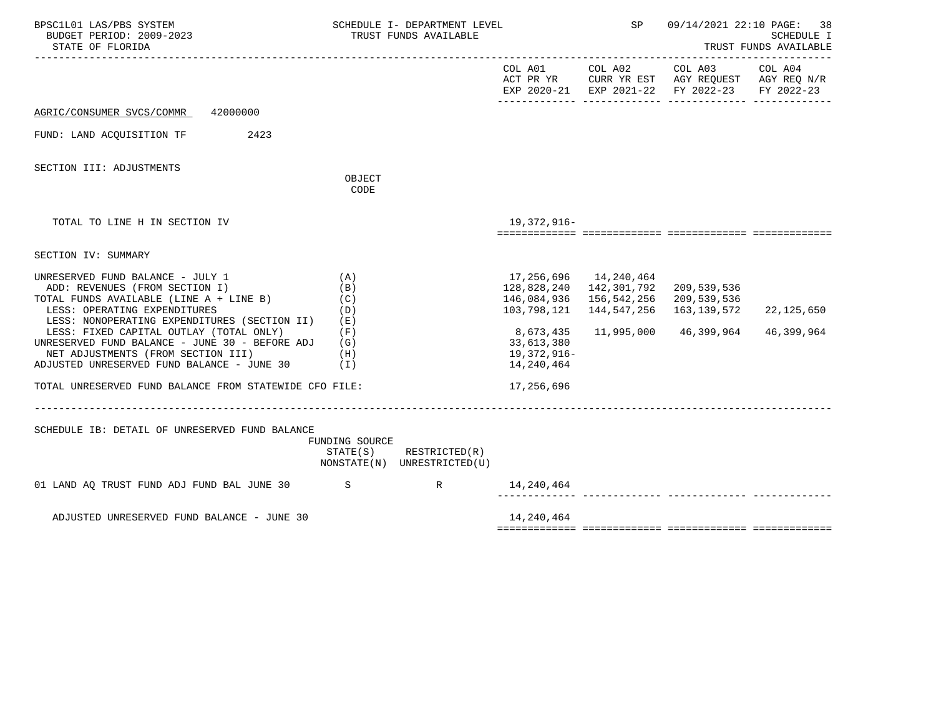| BPSC1L01 LAS/PBS SYSTEM<br>BUDGET PERIOD: 2009-2023<br>STATE OF FLORIDA                                                                                                                                                       |                                 | SCHEDULE I- DEPARTMENT LEVEL<br>TRUST FUNDS AVAILABLE |                                                                         |                                           | SP<br>09/14/2021 22:10 PAGE: 38<br><b>SCHEDULE I</b><br>TRUST FUNDS AVAILABLE                                  |                       |  |
|-------------------------------------------------------------------------------------------------------------------------------------------------------------------------------------------------------------------------------|---------------------------------|-------------------------------------------------------|-------------------------------------------------------------------------|-------------------------------------------|----------------------------------------------------------------------------------------------------------------|-----------------------|--|
|                                                                                                                                                                                                                               |                                 |                                                       |                                                                         |                                           | COL A01 COL A02 COL A03<br>ACT PR YR CURR YR EST AGY REQUEST AGY REQ N/R<br>EXP 2020-21 EXP 2021-22 FY 2022-23 | COL A04<br>FY 2022-23 |  |
| AGRIC/CONSUMER SVCS/COMMR 42000000                                                                                                                                                                                            |                                 |                                                       |                                                                         |                                           |                                                                                                                |                       |  |
| FUND: LAND ACQUISITION TF<br>2423                                                                                                                                                                                             |                                 |                                                       |                                                                         |                                           |                                                                                                                |                       |  |
| SECTION III: ADJUSTMENTS                                                                                                                                                                                                      | OBJECT                          |                                                       |                                                                         |                                           |                                                                                                                |                       |  |
|                                                                                                                                                                                                                               | CODE                            |                                                       |                                                                         |                                           |                                                                                                                |                       |  |
| TOTAL TO LINE H IN SECTION IV                                                                                                                                                                                                 |                                 |                                                       | 19,372,916-                                                             |                                           |                                                                                                                |                       |  |
| SECTION IV: SUMMARY                                                                                                                                                                                                           |                                 |                                                       |                                                                         |                                           |                                                                                                                |                       |  |
| UNRESERVED FUND BALANCE - JULY 1<br>ADD: REVENUES (FROM SECTION I)<br>TOTAL FUNDS AVAILABLE (LINE A + LINE B)<br>LESS: OPERATING EXPENDITURES                                                                                 | (A)<br>(B)<br>(C)<br>(D)        |                                                       | 17, 256, 696  14, 240, 464<br>128,828,240<br>146,084,936<br>103,798,121 | 142,301,792<br>156,542,256<br>144,547,256 | 209,539,536<br>209,539,536<br>163,139,572                                                                      | 22,125,650            |  |
| LESS: NONOPERATING EXPENDITURES (SECTION II)<br>LESS: FIXED CAPITAL OUTLAY (TOTAL ONLY)<br>UNRESERVED FUND BALANCE - JUNE 30 - BEFORE ADJ<br>NET ADJUSTMENTS (FROM SECTION III)<br>ADJUSTED UNRESERVED FUND BALANCE - JUNE 30 | (E)<br>(F)<br>(G)<br>(H)<br>(1) |                                                       | 8,673,435<br>33,613,380<br>19,372,916–<br>14,240,464                    | 11,995,000                                | 46,399,964                                                                                                     | 46,399,964            |  |
| TOTAL UNRESERVED FUND BALANCE FROM STATEWIDE CFO FILE:                                                                                                                                                                        |                                 |                                                       | 17,256,696                                                              |                                           |                                                                                                                |                       |  |
| SCHEDULE IB: DETAIL OF UNRESERVED FUND BALANCE                                                                                                                                                                                | FUNDING SOURCE<br>STATE(S)      | RESTRICTED(R)<br>NONSTATE(N) UNRESTRICTED(U)          |                                                                         |                                           |                                                                                                                |                       |  |
| 01 LAND AQ TRUST FUND ADJ FUND BAL JUNE 30 S S R R                                                                                                                                                                            |                                 |                                                       | 14,240,464                                                              |                                           |                                                                                                                |                       |  |
| ADJUSTED UNRESERVED FUND BALANCE - JUNE 30                                                                                                                                                                                    |                                 |                                                       | 14,240,464                                                              |                                           |                                                                                                                |                       |  |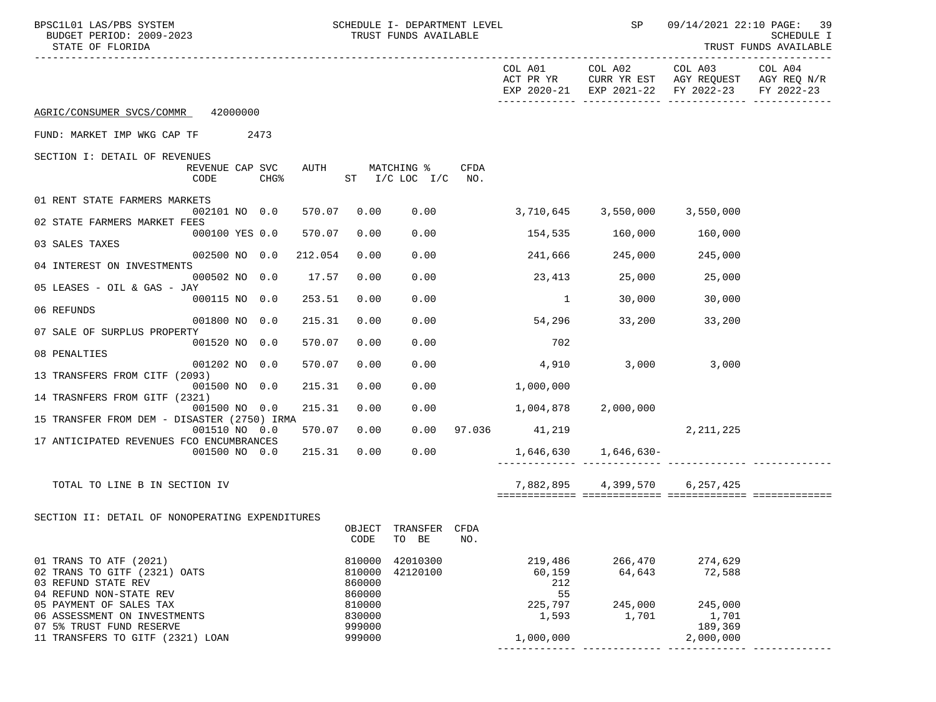| BPSC1L01 LAS/PBS SYSTEM<br>BUDGET PERIOD: 2009-2023<br>STATE OF FLORIDA                                                             |         |                                                | SCHEDULE I- DEPARTMENT LEVEL<br>TRUST FUNDS AVAILABLE |             |                                           | <b>SP</b>                    | 09/14/2021 22:10 PAGE: 39<br>SCHEDULE I<br>TRUST FUNDS AVAILABLE                                                       |            |
|-------------------------------------------------------------------------------------------------------------------------------------|---------|------------------------------------------------|-------------------------------------------------------|-------------|-------------------------------------------|------------------------------|------------------------------------------------------------------------------------------------------------------------|------------|
|                                                                                                                                     |         |                                                |                                                       |             |                                           |                              | COL A01 COL A02 COL A03 COL A04<br>ACT PR YR CURR YR EST AGY REQUEST AGY REQ N/R<br>EXP 2020-21 EXP 2021-22 FY 2022-23 | FY 2022-23 |
| AGRIC/CONSUMER SVCS/COMMR 42000000                                                                                                  |         |                                                |                                                       |             |                                           |                              |                                                                                                                        |            |
| FUND: MARKET IMP WKG CAP TF 2473                                                                                                    |         |                                                |                                                       |             |                                           |                              |                                                                                                                        |            |
| SECTION I: DETAIL OF REVENUES<br>REVENUE CAP SVC<br>CODE<br><b>CHG&amp;</b>                                                         |         |                                                | AUTH MATCHING %<br>ST I/C LOC I/C                     | CFDA<br>NO. |                                           |                              |                                                                                                                        |            |
| 01 RENT STATE FARMERS MARKETS<br>002101 NO 0.0                                                                                      | 570.07  | 0.00                                           |                                                       |             |                                           |                              |                                                                                                                        |            |
| 02 STATE FARMERS MARKET FEES                                                                                                        |         |                                                | 0.00                                                  |             | $3,710,645$ $3,550,000$ $3,550,000$       |                              |                                                                                                                        |            |
| 000100 YES 0.0<br>03 SALES TAXES                                                                                                    | 570.07  | 0.00                                           | 0.00                                                  |             | 154,535 160,000 160,000                   |                              |                                                                                                                        |            |
| 002500 NO 0.0<br>04 INTEREST ON INVESTMENTS                                                                                         | 212.054 | 0.00                                           | 0.00                                                  |             | 241,666 245,000                           |                              | 245,000                                                                                                                |            |
| 000502 NO 0.0<br>05 LEASES - OIL & GAS - JAY                                                                                        | 17.57   | 0.00                                           | 0.00                                                  |             |                                           | 23,413 25,000 25,000         |                                                                                                                        |            |
| 000115 NO 0.0<br>06 REFUNDS                                                                                                         | 253.51  | 0.00                                           | 0.00                                                  |             | $\sim$ 1                                  | 30,000                       | 30,000                                                                                                                 |            |
| 001800 NO 0.0                                                                                                                       | 215.31  | 0.00                                           | 0.00                                                  |             | 54,296                                    |                              | 33,200 33,200                                                                                                          |            |
| 07 SALE OF SURPLUS PROPERTY<br>001520 NO 0.0                                                                                        | 570.07  | 0.00                                           | 0.00                                                  |             | 702                                       |                              |                                                                                                                        |            |
| 08 PENALTIES<br>001202 NO 0.0                                                                                                       | 570.07  | 0.00                                           | 0.00                                                  |             | 4,910                                     |                              | 3,000 3,000                                                                                                            |            |
| 13 TRANSFERS FROM CITF (2093)<br>001500 NO 0.0                                                                                      | 215.31  | 0.00                                           | 0.00                                                  |             | 1,000,000                                 |                              |                                                                                                                        |            |
| 14 TRASNFERS FROM GITF (2321)<br>001500 NO 0.0                                                                                      | 215.31  | 0.00                                           | 0.00                                                  |             | $1,004,878$ $2,000,000$                   |                              |                                                                                                                        |            |
| 15 TRANSFER FROM DEM - DISASTER (2750) IRMA<br>001510 NO 0.0                                                                        | 570.07  | 0.00                                           | 0.00                                                  |             | 97.036 41,219                             |                              | 2, 211, 225                                                                                                            |            |
| 17 ANTICIPATED REVENUES FCO ENCUMBRANCES                                                                                            |         |                                                |                                                       |             |                                           |                              |                                                                                                                        |            |
| 001500 NO 0.0                                                                                                                       | 215.31  | 0.00                                           | 0.00                                                  |             |                                           | 1,646,630 1,646,630-         |                                                                                                                        |            |
| TOTAL TO LINE B IN SECTION IV                                                                                                       |         |                                                |                                                       |             | 7,882,895                                 | 4,399,570                    | 6,257,425                                                                                                              |            |
| SECTION II: DETAIL OF NONOPERATING EXPENDITURES                                                                                     |         |                                                |                                                       |             |                                           |                              |                                                                                                                        |            |
|                                                                                                                                     |         | CODE                                           | OBJECT TRANSFER CFDA<br>TO BE                         | NO.         |                                           |                              |                                                                                                                        |            |
| 01 TRANS TO ATF (2021)<br>02 TRANS TO GITF (2321) OATS<br>03 REFUND STATE REV<br>04 REFUND NON-STATE REV<br>05 PAYMENT OF SALES TAX |         | 810000<br>810000<br>860000<br>860000<br>810000 | 42010300<br>42120100                                  |             | 219,486<br>60,159<br>212<br>55<br>225,797 | 266,470<br>64,643<br>245,000 | 274,629<br>72,588<br>245,000                                                                                           |            |
| 06 ASSESSMENT ON INVESTMENTS<br>07 5% TRUST FUND RESERVE                                                                            |         | 830000<br>999000                               |                                                       |             | 1,593                                     | 1,701                        | 1,701<br>189,369                                                                                                       |            |
| 11 TRANSFERS TO GITF (2321) LOAN                                                                                                    |         | 999000                                         |                                                       |             | 1,000,000                                 |                              | 2,000,000                                                                                                              |            |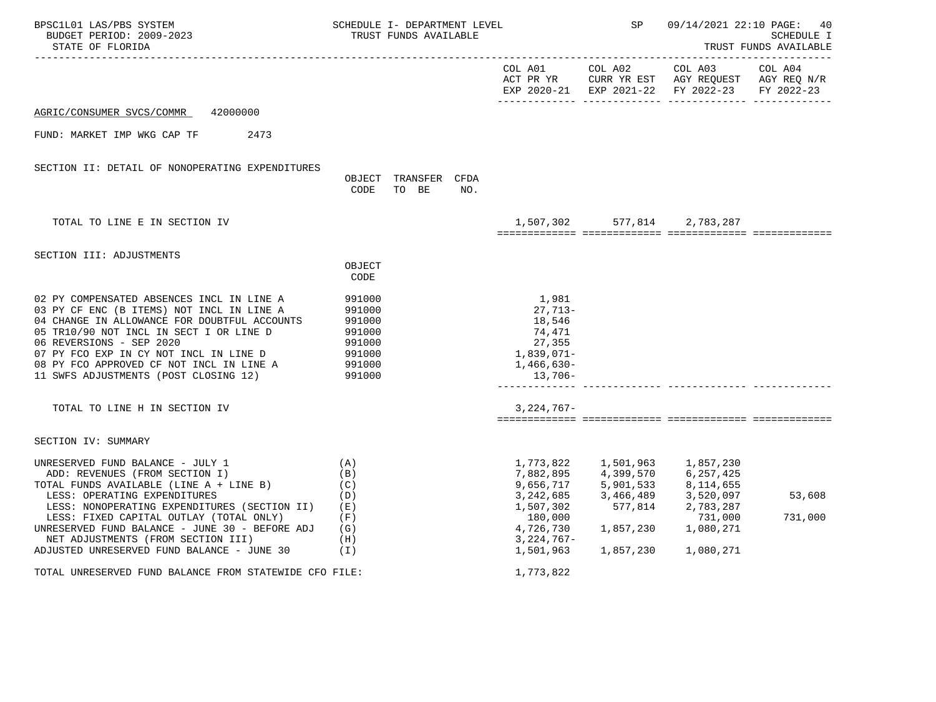| BPSC1L01 LAS/PBS SYSTEM<br>BUDGET PERIOD: 2009-2023<br>STATE OF FLORIDA                                                                                                                                                                                                                                                                                                        |                                                                              | SCHEDULE I- DEPARTMENT LEVEL<br>TRUST FUNDS AVAILABLE |                                                                                                                    | SP                                                                       | 09/14/2021 22:10 PAGE:<br>40<br>SCHEDULE I<br>TRUST FUNDS AVAILABLE                                          |                       |
|--------------------------------------------------------------------------------------------------------------------------------------------------------------------------------------------------------------------------------------------------------------------------------------------------------------------------------------------------------------------------------|------------------------------------------------------------------------------|-------------------------------------------------------|--------------------------------------------------------------------------------------------------------------------|--------------------------------------------------------------------------|--------------------------------------------------------------------------------------------------------------|-----------------------|
|                                                                                                                                                                                                                                                                                                                                                                                |                                                                              |                                                       | COL A01                                                                                                            | COL A02                                                                  | COL A03<br>ACT PR YR CURR YR EST AGY REQUEST AGY REQ N/R<br>EXP 2020-21 EXP 2021-22 FY 2022-23               | COL A04<br>FY 2022-23 |
| AGRIC/CONSUMER SVCS/COMMR<br>42000000                                                                                                                                                                                                                                                                                                                                          |                                                                              |                                                       |                                                                                                                    |                                                                          |                                                                                                              |                       |
| FUND: MARKET IMP WKG CAP TF<br>2473                                                                                                                                                                                                                                                                                                                                            |                                                                              |                                                       |                                                                                                                    |                                                                          |                                                                                                              |                       |
| SECTION II: DETAIL OF NONOPERATING EXPENDITURES                                                                                                                                                                                                                                                                                                                                | CODE                                                                         | OBJECT TRANSFER CFDA<br>TO BE<br>NO.                  |                                                                                                                    |                                                                          |                                                                                                              |                       |
| TOTAL TO LINE E IN SECTION IV                                                                                                                                                                                                                                                                                                                                                  |                                                                              |                                                       |                                                                                                                    | 1,507,302 577,814 2,783,287                                              |                                                                                                              |                       |
| SECTION III: ADJUSTMENTS                                                                                                                                                                                                                                                                                                                                                       | OBJECT<br>CODE                                                               |                                                       |                                                                                                                    |                                                                          |                                                                                                              |                       |
| 02 PY COMPENSATED ABSENCES INCL IN LINE A<br>03 PY CF ENC (B ITEMS) NOT INCL IN LINE A<br>04 CHANGE IN ALLOWANCE FOR DOUBTFUL ACCOUNTS<br>05 TR10/90 NOT INCL IN SECT I OR LINE D<br>06 REVERSIONS - SEP 2020<br>07 PY FCO EXP IN CY NOT INCL IN LINE D<br>08 PY FCO APPROVED CF NOT INCL IN LINE A<br>11 SWFS ADJUSTMENTS (POST CLOSING 12)                                   | 991000<br>991000<br>991000<br>991000<br>991000<br>991000<br>991000<br>991000 |                                                       | 1,981<br>$27,713-$<br>18,546<br>74,471<br>27,355<br>1,839,071–<br>1,466,630-<br>13,706-                            |                                                                          |                                                                                                              |                       |
| TOTAL TO LINE H IN SECTION IV                                                                                                                                                                                                                                                                                                                                                  |                                                                              |                                                       | $3,224,767-$                                                                                                       |                                                                          |                                                                                                              |                       |
| SECTION IV: SUMMARY                                                                                                                                                                                                                                                                                                                                                            |                                                                              |                                                       |                                                                                                                    |                                                                          |                                                                                                              |                       |
| UNRESERVED FUND BALANCE - JULY 1<br>ADD: REVENUES (FROM SECTION I)<br>TOTAL FUNDS AVAILABLE (LINE A + LINE B)<br>LESS: OPERATING EXPENDITURES<br>LESS: NONOPERATING EXPENDITURES (SECTION II)<br>LESS: FIXED CAPITAL OUTLAY (TOTAL ONLY)<br>UNRESERVED FUND BALANCE - JUNE 30 - BEFORE ADJ<br>NET ADJUSTMENTS (FROM SECTION III)<br>ADJUSTED UNRESERVED FUND BALANCE - JUNE 30 | (A)<br>(B)<br>(C)<br>(D)<br>(E)<br>(F)<br>(G)<br>(H)<br>( I )                |                                                       | 1,773,822<br>7,882,895<br>9,656,717<br>3,242,685<br>1,507,302<br>180,000<br>4,726,730<br>$3,224,767-$<br>1,501,963 | 1,501,963<br>4,399,570<br>5,901,533<br>3,466,489<br>577,814<br>1,857,230 | 1,857,230<br>6,257,425<br>8,114,655<br>3,520,097<br>2,783,287<br>731,000<br>1,857,230 1,080,271<br>1,080,271 | 53,608<br>731,000     |
| TOTAL UNRESERVED FUND BALANCE FROM STATEWIDE CFO FILE:                                                                                                                                                                                                                                                                                                                         |                                                                              |                                                       | 1,773,822                                                                                                          |                                                                          |                                                                                                              |                       |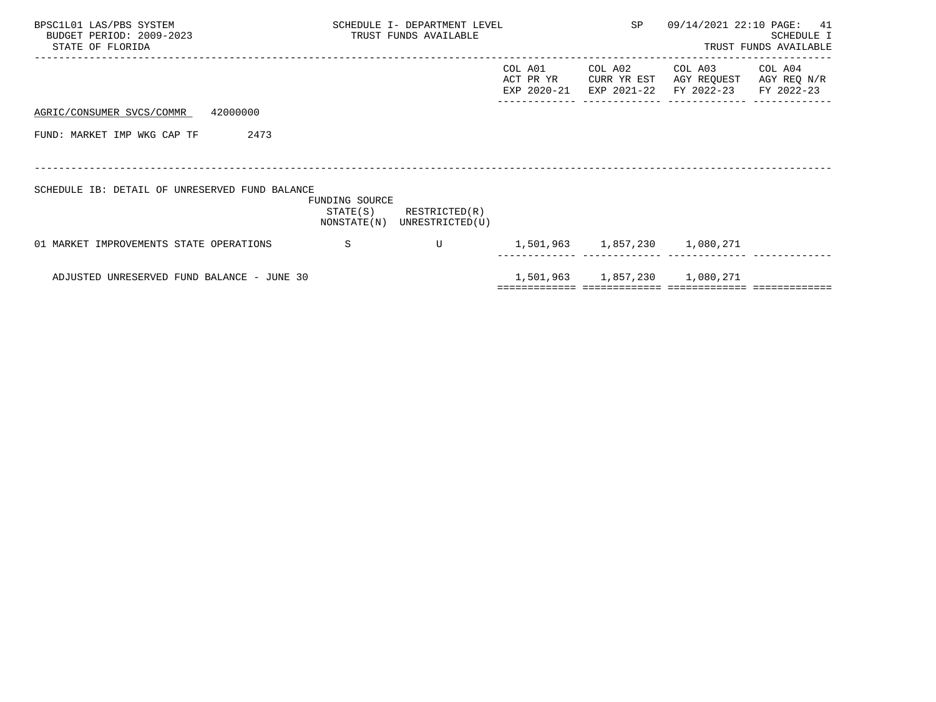| BPSC1L01 LAS/PBS SYSTEM<br>BUDGET PERIOD: 2009-2023<br>STATE OF FLORIDA |                                           | SCHEDULE I- DEPARTMENT LEVEL<br>TRUST FUNDS AVAILABLE |                                     | SP                                    | 09/14/2021 22:10 PAGE:               | 41<br>SCHEDULE I<br>TRUST FUNDS AVAILABLE |
|-------------------------------------------------------------------------|-------------------------------------------|-------------------------------------------------------|-------------------------------------|---------------------------------------|--------------------------------------|-------------------------------------------|
|                                                                         |                                           |                                                       | COL A01<br>ACT PR YR<br>EXP 2020-21 | COL A02<br>CURR YR EST<br>EXP 2021-22 | COL A03<br>AGY REQUEST<br>FY 2022-23 | COL A04<br>AGY REQ N/R<br>FY 2022-23      |
| 42000000<br>AGRIC/CONSUMER SVCS/COMMR                                   |                                           |                                                       |                                     |                                       |                                      |                                           |
| 2473<br>FUND: MARKET IMP WKG CAP TF                                     |                                           |                                                       |                                     |                                       |                                      |                                           |
|                                                                         |                                           |                                                       |                                     |                                       |                                      |                                           |
| SCHEDULE IB: DETAIL OF UNRESERVED FUND BALANCE                          | FUNDING SOURCE<br>STATE(S)<br>NONSTATE(N) | RESTRICTED(R)<br>UNRESTRICTED(U)                      |                                     |                                       |                                      |                                           |
| 01 MARKET IMPROVEMENTS STATE OPERATIONS                                 | -S                                        | U                                                     |                                     | 1,501,963 1,857,230 1,080,271         |                                      |                                           |
| ADJUSTED UNRESERVED FUND BALANCE - JUNE 30                              |                                           |                                                       |                                     | 1,501,963 1,857,230 1,080,271         |                                      |                                           |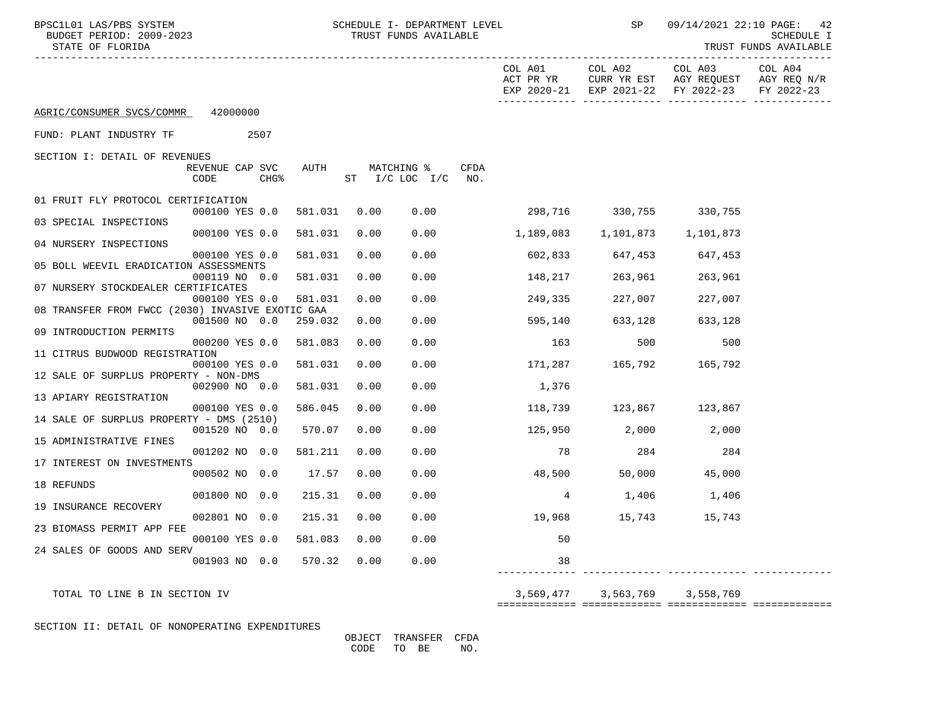| BPSC1L01 LAS/PBS SYSTEM<br>BUDGET PERIOD: 2009-2023<br>STATE OF FLORIDA |                         |                 |         |      | SCHEDULE I- DEPARTMENT LEVEL<br>TRUST FUNDS AVAILABLE |             |                      | SP<br>_____________________________________ | 09/14/2021 22:10 PAGE:                                       | 42<br><b>SCHEDULE I</b><br>TRUST FUNDS AVAILABLE |
|-------------------------------------------------------------------------|-------------------------|-----------------|---------|------|-------------------------------------------------------|-------------|----------------------|---------------------------------------------|--------------------------------------------------------------|--------------------------------------------------|
|                                                                         |                         |                 |         |      |                                                       |             | COL A01<br>ACT PR YR | COL A02<br>EXP 2020-21 EXP 2021-22          | COL A03<br>CURR YR EST AGY REQUEST AGY REQ N/R<br>FY 2022-23 | COL A04<br>FY 2022-23                            |
| AGRIC/CONSUMER SVCS/COMMR                                               | 42000000                |                 |         |      |                                                       |             |                      |                                             |                                                              |                                                  |
| FUND: PLANT INDUSTRY TF                                                 |                         | 2507            |         |      |                                                       |             |                      |                                             |                                                              |                                                  |
| SECTION I: DETAIL OF REVENUES                                           |                         |                 |         |      |                                                       |             |                      |                                             |                                                              |                                                  |
|                                                                         | REVENUE CAP SVC<br>CODE | <b>CHG&amp;</b> | AUTH    |      | MATCHING %<br>ST $I/C$ LOC $I/C$                      | CFDA<br>NO. |                      |                                             |                                                              |                                                  |
| 01 FRUIT FLY PROTOCOL CERTIFICATION                                     |                         |                 |         |      |                                                       |             |                      |                                             |                                                              |                                                  |
| 03 SPECIAL INSPECTIONS                                                  | 000100 YES 0.0          |                 | 581.031 | 0.00 | 0.00                                                  |             |                      | 298,716 330,755 330,755                     |                                                              |                                                  |
|                                                                         | 000100 YES 0.0          |                 | 581.031 | 0.00 | 0.00                                                  |             | 1,189,083            | 1,101,873                                   | 1,101,873                                                    |                                                  |
| 04 NURSERY INSPECTIONS                                                  |                         |                 |         |      |                                                       |             |                      |                                             |                                                              |                                                  |
| 05 BOLL WEEVIL ERADICATION ASSESSMENTS                                  | 000100 YES 0.0          |                 | 581.031 | 0.00 | 0.00                                                  |             | 602,833              | 647,453                                     | 647,453                                                      |                                                  |
|                                                                         | 000119 NO 0.0           |                 | 581.031 | 0.00 | 0.00                                                  |             | 148,217              | 263,961                                     | 263,961                                                      |                                                  |
| 07 NURSERY STOCKDEALER CERTIFICATES                                     |                         |                 |         |      |                                                       |             |                      |                                             |                                                              |                                                  |
| 08 TRANSFER FROM FWCC (2030) INVASIVE EXOTIC GAA                        | 000100 YES 0.0          |                 | 581.031 | 0.00 | 0.00                                                  |             | 249,335              | 227,007                                     | 227,007                                                      |                                                  |
|                                                                         | 001500 NO 0.0           |                 | 259.032 | 0.00 | 0.00                                                  |             | 595,140              | 633,128                                     | 633,128                                                      |                                                  |
| 09 INTRODUCTION PERMITS                                                 |                         |                 |         |      |                                                       |             |                      |                                             |                                                              |                                                  |
|                                                                         | 000200 YES 0.0          |                 | 581.083 | 0.00 | 0.00                                                  |             | 163                  | 500                                         | 500                                                          |                                                  |
| 11 CITRUS BUDWOOD REGISTRATION                                          |                         |                 |         |      |                                                       |             |                      |                                             |                                                              |                                                  |
| 12 SALE OF SURPLUS PROPERTY - NON-DMS                                   | 000100 YES 0.0          |                 | 581.031 | 0.00 | 0.00                                                  |             | 171,287              | 165,792                                     | 165,792                                                      |                                                  |
|                                                                         | 002900 NO 0.0           |                 | 581.031 | 0.00 | 0.00                                                  |             | 1,376                |                                             |                                                              |                                                  |
| 13 APIARY REGISTRATION                                                  |                         |                 |         |      |                                                       |             |                      |                                             |                                                              |                                                  |
|                                                                         | 000100 YES 0.0          |                 | 586.045 | 0.00 | 0.00                                                  |             | 118,739              |                                             | 123,867 123,867                                              |                                                  |
| 14 SALE OF SURPLUS PROPERTY - DMS (2510)                                |                         |                 |         | 0.00 |                                                       |             | 125,950              | 2,000                                       |                                                              |                                                  |
| 15 ADMINISTRATIVE FINES                                                 | 001520 NO 0.0           |                 | 570.07  |      | 0.00                                                  |             |                      |                                             | 2,000                                                        |                                                  |
|                                                                         | 001202 NO 0.0           |                 | 581.211 | 0.00 | 0.00                                                  |             | 78                   | 284                                         | 284                                                          |                                                  |
| 17 INTEREST ON INVESTMENTS                                              |                         |                 |         |      |                                                       |             |                      |                                             |                                                              |                                                  |
|                                                                         | 000502 NO 0.0           |                 | 17.57   | 0.00 | 0.00                                                  |             | 48,500               | 50,000                                      | 45,000                                                       |                                                  |
| 18 REFUNDS                                                              | 001800 NO 0.0           |                 | 215.31  | 0.00 | 0.00                                                  |             | 4                    | 1,406                                       | 1,406                                                        |                                                  |
| 19 INSURANCE RECOVERY                                                   |                         |                 |         |      |                                                       |             |                      |                                             |                                                              |                                                  |
|                                                                         | 002801 NO 0.0           |                 | 215.31  | 0.00 | 0.00                                                  |             | 19,968               |                                             | 15,743 15,743                                                |                                                  |
| 23 BIOMASS PERMIT APP FEE                                               |                         |                 |         |      |                                                       |             |                      |                                             |                                                              |                                                  |
|                                                                         | 000100 YES 0.0          |                 | 581.083 | 0.00 | 0.00                                                  |             | 50                   |                                             |                                                              |                                                  |
| 24 SALES OF GOODS AND SERV                                              | 001903 NO 0.0           |                 | 570.32  | 0.00 | 0.00                                                  |             | 38                   |                                             |                                                              |                                                  |
|                                                                         |                         |                 |         |      |                                                       |             |                      |                                             |                                                              |                                                  |
|                                                                         |                         |                 |         |      |                                                       |             |                      |                                             |                                                              |                                                  |

TOTAL TO LINE B IN SECTION IV 3,569,477 3,569,769 3,558,769 3,558,769 ============= ============= ============= =============

SECTION II: DETAIL OF NONOPERATING EXPENDITURES

 OBJECT TRANSFER CFDA CODE TO BE NO.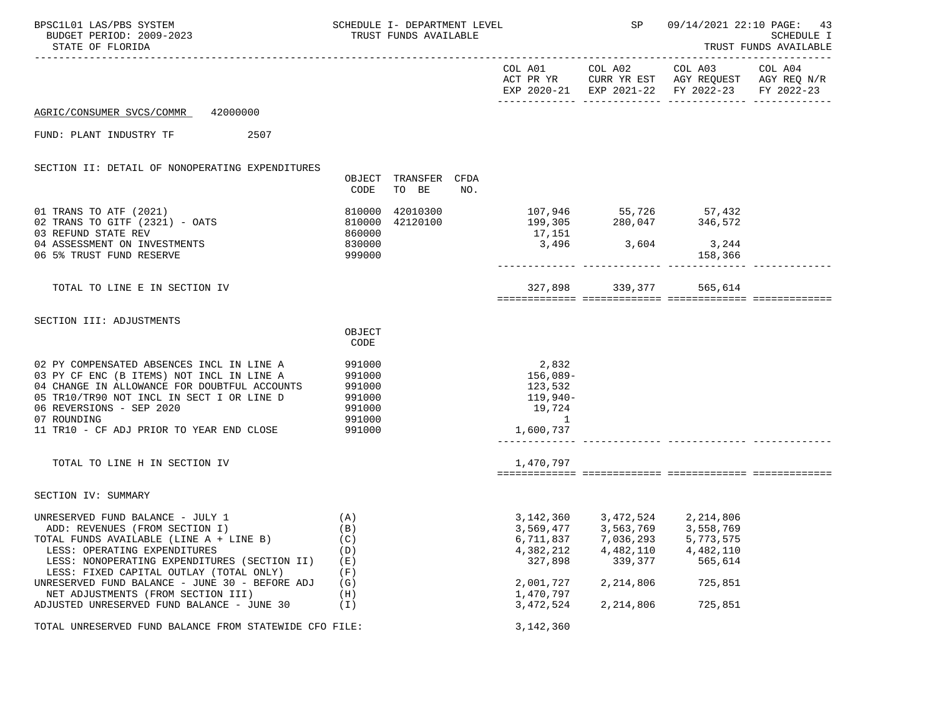| BPSC1L01 LAS/PBS SYSTEM<br>BUDGET PERIOD: 2009-2023<br>STATE OF FLORIDA                                                                                                                                                                                                                    |                                                                    | SCHEDULE I- DEPARTMENT LEVEL<br>TRUST FUNDS AVAILABLE |     |                                                                             | SP                                                                                                 |                                                                                                                        | 09/14/2021 22:10 PAGE: 43<br><b>SCHEDULE I</b><br>TRUST FUNDS AVAILABLE |
|--------------------------------------------------------------------------------------------------------------------------------------------------------------------------------------------------------------------------------------------------------------------------------------------|--------------------------------------------------------------------|-------------------------------------------------------|-----|-----------------------------------------------------------------------------|----------------------------------------------------------------------------------------------------|------------------------------------------------------------------------------------------------------------------------|-------------------------------------------------------------------------|
|                                                                                                                                                                                                                                                                                            |                                                                    |                                                       |     |                                                                             |                                                                                                    | COL A01 COL A02 COL A03 COL A04<br>ACT PR YR CURR YR EST AGY REQUEST AGY REQ N/R<br>EXP 2020-21 EXP 2021-22 FY 2022-23 | FY 2022-23                                                              |
| 42000000<br>AGRIC/CONSUMER SVCS/COMMR                                                                                                                                                                                                                                                      |                                                                    |                                                       |     |                                                                             |                                                                                                    |                                                                                                                        |                                                                         |
| 2507<br>FUND: PLANT INDUSTRY TF                                                                                                                                                                                                                                                            |                                                                    |                                                       |     |                                                                             |                                                                                                    |                                                                                                                        |                                                                         |
| SECTION II: DETAIL OF NONOPERATING EXPENDITURES                                                                                                                                                                                                                                            |                                                                    |                                                       |     |                                                                             |                                                                                                    |                                                                                                                        |                                                                         |
|                                                                                                                                                                                                                                                                                            | CODE                                                               | OBJECT TRANSFER CFDA<br>TO BE                         | NO. |                                                                             |                                                                                                    |                                                                                                                        |                                                                         |
| 01 TRANS TO ATF (2021)<br>02 TRANS TO GITF (2321) - OATS<br>03 REFUND STATE REV                                                                                                                                                                                                            | 810000<br>860000                                                   | 810000 42010300<br>42120100                           |     | 17,151                                                                      | 107,946 55,726 57,432<br>199,305 280,047 346,572                                                   |                                                                                                                        |                                                                         |
| 04 ASSESSMENT ON INVESTMENTS<br>06 5% TRUST FUND RESERVE                                                                                                                                                                                                                                   | 830000<br>999000                                                   |                                                       |     | 3,496                                                                       | 3,604 3,244                                                                                        | 158,366                                                                                                                |                                                                         |
| TOTAL TO LINE E IN SECTION IV                                                                                                                                                                                                                                                              |                                                                    |                                                       |     |                                                                             | 327,898 339,377 565,614                                                                            |                                                                                                                        |                                                                         |
| SECTION III: ADJUSTMENTS                                                                                                                                                                                                                                                                   | OBJECT<br>CODE                                                     |                                                       |     |                                                                             |                                                                                                    |                                                                                                                        |                                                                         |
| 02 PY COMPENSATED ABSENCES INCL IN LINE A<br>03 PY CF ENC (B ITEMS) NOT INCL IN LINE A<br>04 CHANGE IN ALLOWANCE FOR DOUBTFUL ACCOUNTS<br>05 TR10/TR90 NOT INCL IN SECT I OR LINE D<br>06 REVERSIONS - SEP 2020<br>07 ROUNDING<br>11 TR10 - CF ADJ PRIOR TO YEAR END CLOSE                 | 991000<br>991000<br>991000<br>991000<br>991000<br>991000<br>991000 |                                                       |     | 2,832<br>156,089-<br>123,532<br>119,940-<br>19,724<br>$\sim$ 1<br>1,600,737 |                                                                                                    |                                                                                                                        |                                                                         |
|                                                                                                                                                                                                                                                                                            |                                                                    |                                                       |     |                                                                             |                                                                                                    |                                                                                                                        |                                                                         |
| TOTAL TO LINE H IN SECTION IV                                                                                                                                                                                                                                                              |                                                                    |                                                       |     | 1,470,797                                                                   |                                                                                                    |                                                                                                                        |                                                                         |
| SECTION IV: SUMMARY                                                                                                                                                                                                                                                                        |                                                                    |                                                       |     |                                                                             |                                                                                                    |                                                                                                                        |                                                                         |
| UNRESERVED FUND BALANCE - JULY 1<br>ADD: REVENUES (FROM SECTION I)<br>TOTAL FUNDS AVAILABLE (LINE A + LINE B)<br>LESS: OPERATING EXPENDITURES<br>LESS: NONOPERATING EXPENDITURES (SECTION II)<br>LESS: FIXED CAPITAL OUTLAY (TOTAL ONLY)<br>UNRESERVED FUND BALANCE - JUNE 30 - BEFORE ADJ | (A)<br>(B)<br>(C)<br>(D)<br>(E)<br>(F)<br>(G)                      |                                                       |     | 3,569,477<br>6,711,837<br>4,382,212<br>327,898<br>2,001,727                 | 3, 142, 360 3, 472, 524 2, 214, 806<br>3,563,769<br>7,036,293<br>4,482,110<br>339,377<br>2,214,806 | 3,558,769<br>5,773,575<br>4,482,110<br>565,614<br>725,851                                                              |                                                                         |
| NET ADJUSTMENTS (FROM SECTION III)<br>ADJUSTED UNRESERVED FUND BALANCE - JUNE 30                                                                                                                                                                                                           | (H)<br>(I)                                                         |                                                       |     | 1,470,797<br>3,472,524                                                      | 2,214,806                                                                                          | 725,851                                                                                                                |                                                                         |
| TOTAL UNRESERVED FUND BALANCE FROM STATEWIDE CFO FILE:                                                                                                                                                                                                                                     |                                                                    |                                                       |     | 3,142,360                                                                   |                                                                                                    |                                                                                                                        |                                                                         |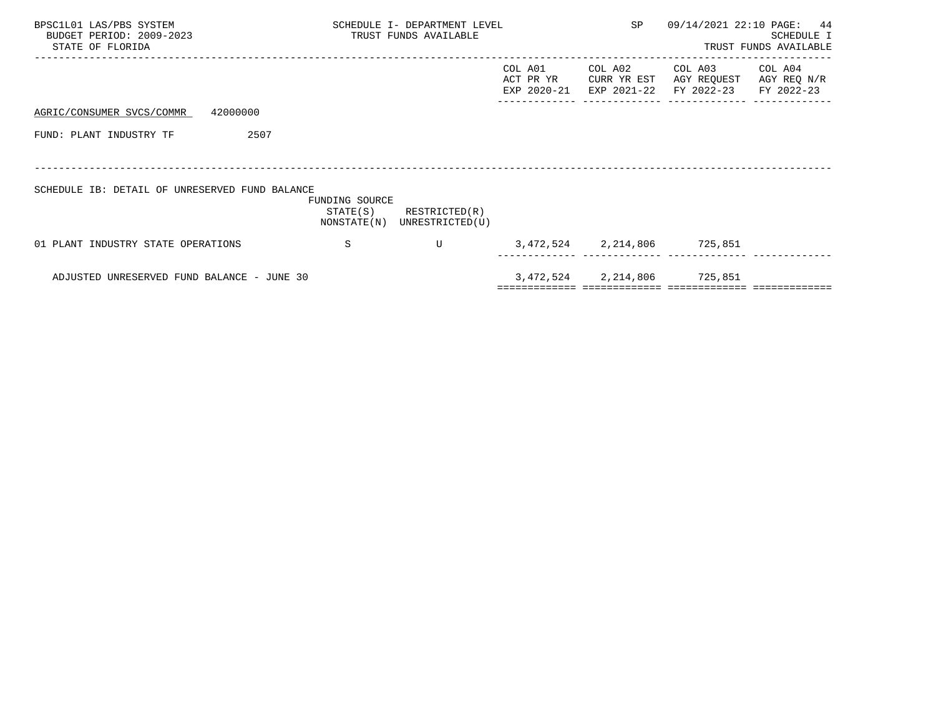| BPSC1L01 LAS/PBS SYSTEM<br>BUDGET PERIOD: 2009-2023<br>STATE OF FLORIDA |                | SCHEDULE I- DEPARTMENT LEVEL<br>TRUST FUNDS AVAILABLE      | SP                                  |                                       | 09/14/2021 22:10 PAGE: 44<br>SCHEDULE I<br>TRUST FUNDS AVAILABLE |                                      |
|-------------------------------------------------------------------------|----------------|------------------------------------------------------------|-------------------------------------|---------------------------------------|------------------------------------------------------------------|--------------------------------------|
|                                                                         |                |                                                            | COL A01<br>ACT PR YR<br>EXP 2020-21 | COL A02<br>CURR YR EST<br>EXP 2021-22 | COL A03<br>AGY REQUEST<br>FY 2022-23                             | COL A04<br>AGY REQ N/R<br>FY 2022-23 |
| 42000000<br>AGRIC/CONSUMER SVCS/COMMR                                   |                |                                                            |                                     |                                       |                                                                  |                                      |
| 2507<br>FUND: PLANT INDUSTRY TF                                         |                |                                                            |                                     |                                       |                                                                  |                                      |
|                                                                         |                |                                                            |                                     |                                       |                                                                  |                                      |
| SCHEDULE IB: DETAIL OF UNRESERVED FUND BALANCE                          | FUNDING SOURCE | $STATE(S)$ RESTRICTED $(R)$<br>NONSTATE(N) UNRESTRICTED(U) |                                     |                                       |                                                                  |                                      |
| 01 PLANT INDUSTRY STATE OPERATIONS                                      | S              | U                                                          |                                     | 3,472,524 2,214,806 725,851           |                                                                  |                                      |
| ADJUSTED UNRESERVED FUND BALANCE - JUNE 30                              |                |                                                            |                                     | 3,472,524 2,214,806 725,851           |                                                                  |                                      |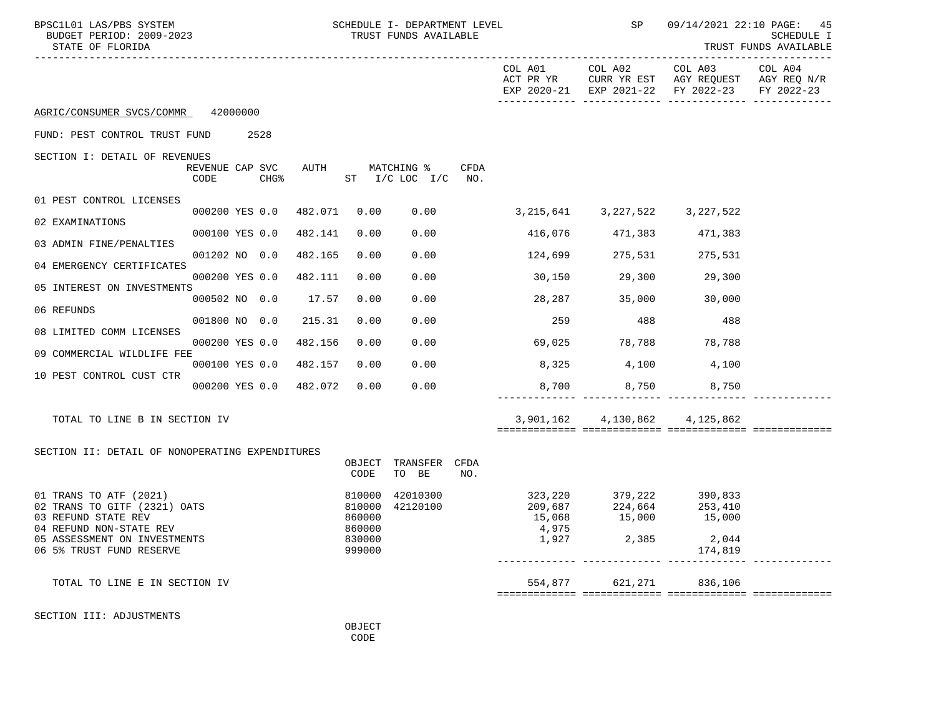| BPSC1L01 LAS/PBS SYSTEM<br>BUDGET PERIOD: 2009-2023<br>STATE OF FLORIDA                                                                  |                                             |         |                                                | SCHEDULE I- DEPARTMENT LEVEL<br>TRUST FUNDS AVAILABLE |                    |                                     | SP                                                           |                                       | 09/14/2021 22:10 PAGE:<br>45<br>SCHEDULE I<br>TRUST FUNDS AVAILABLE |
|------------------------------------------------------------------------------------------------------------------------------------------|---------------------------------------------|---------|------------------------------------------------|-------------------------------------------------------|--------------------|-------------------------------------|--------------------------------------------------------------|---------------------------------------|---------------------------------------------------------------------|
|                                                                                                                                          |                                             |         |                                                |                                                       |                    | COL A01<br>ACT PR YR                | COL A02<br>CURR YR EST<br>EXP 2020-21 EXP 2021-22 FY 2022-23 | COL A03                               | COL A04<br>AGY REQUEST AGY REQ N/R<br>FY 2022-23                    |
| AGRIC/CONSUMER SVCS/COMMR                                                                                                                | 42000000                                    |         |                                                |                                                       |                    |                                     |                                                              |                                       |                                                                     |
| FUND: PEST CONTROL TRUST FUND                                                                                                            | 2528                                        |         |                                                |                                                       |                    |                                     |                                                              |                                       |                                                                     |
| SECTION I: DETAIL OF REVENUES                                                                                                            | REVENUE CAP SVC<br>CODE<br>CHG <sup>8</sup> | AUTH    |                                                | MATCHING %<br>ST I/C LOC I/C                          | <b>CFDA</b><br>NO. |                                     |                                                              |                                       |                                                                     |
| 01 PEST CONTROL LICENSES                                                                                                                 | 000200 YES 0.0                              | 482.071 | 0.00                                           | 0.00                                                  |                    |                                     | 3, 215, 641 3, 227, 522                                      | 3,227,522                             |                                                                     |
| 02 EXAMINATIONS                                                                                                                          | 000100 YES 0.0                              | 482.141 | 0.00                                           | 0.00                                                  |                    | 416,076                             | 471,383                                                      | 471,383                               |                                                                     |
| 03 ADMIN FINE/PENALTIES                                                                                                                  | 001202 NO 0.0                               | 482.165 | 0.00                                           | 0.00                                                  |                    | 124,699                             | 275,531                                                      | 275,531                               |                                                                     |
| 04 EMERGENCY CERTIFICATES                                                                                                                | 000200 YES 0.0                              | 482.111 | 0.00                                           | 0.00                                                  |                    | 30,150                              | 29,300                                                       | 29,300                                |                                                                     |
| 05 INTEREST ON INVESTMENTS                                                                                                               | 000502 NO 0.0                               | 17.57   | 0.00                                           | 0.00                                                  |                    | 28,287                              | 35,000                                                       | 30,000                                |                                                                     |
| 06 REFUNDS                                                                                                                               | 001800 NO 0.0                               | 215.31  | 0.00                                           | 0.00                                                  |                    | 259                                 | 488                                                          | 488                                   |                                                                     |
| 08 LIMITED COMM LICENSES                                                                                                                 | 000200 YES 0.0                              | 482.156 | 0.00                                           | 0.00                                                  |                    | 69,025                              | 78,788                                                       | 78,788                                |                                                                     |
| 09 COMMERCIAL WILDLIFE FEE                                                                                                               | 000100 YES 0.0                              | 482.157 | 0.00                                           | 0.00                                                  |                    | 8,325                               | 4,100                                                        | 4,100                                 |                                                                     |
| 10 PEST CONTROL CUST CTR                                                                                                                 | 000200 YES 0.0                              | 482.072 | 0.00                                           | 0.00                                                  |                    |                                     | 8,700                                                        | 8,750<br>8,750                        |                                                                     |
| TOTAL TO LINE B IN SECTION IV                                                                                                            |                                             |         |                                                |                                                       |                    | 3,901,162                           | 4,130,862                                                    | 4,125,862                             |                                                                     |
| SECTION II: DETAIL OF NONOPERATING EXPENDITURES                                                                                          |                                             |         | OBJECT<br>CODE                                 | TRANSFER CFDA<br>TO BE                                | NO.                |                                     |                                                              |                                       |                                                                     |
| 01 TRANS TO ATF (2021)<br>02 TRANS TO GITF (2321) OATS<br>03 REFUND STATE REV<br>04 REFUND NON-STATE REV<br>05 ASSESSMENT ON INVESTMENTS |                                             |         | 810000<br>810000<br>860000<br>860000<br>830000 | 42010300<br>42120100                                  |                    | 209,687<br>15,068<br>4,975<br>1,927 | 323,220 379,222<br>224,664<br>15,000<br>2,385                | 390,833<br>253,410<br>15,000<br>2,044 |                                                                     |
| 06 5% TRUST FUND RESERVE                                                                                                                 |                                             |         | 999000                                         |                                                       |                    |                                     |                                                              | 174,819                               |                                                                     |
| TOTAL TO LINE E IN SECTION IV                                                                                                            |                                             |         |                                                |                                                       |                    | 554,877                             | 621,271                                                      | 836,106                               |                                                                     |
| CECTION TII' ADJICTMENTS                                                                                                                 |                                             |         |                                                |                                                       |                    |                                     |                                                              |                                       |                                                                     |

SECTION III: ADJUSTMENTS

 OBJECT **CODE**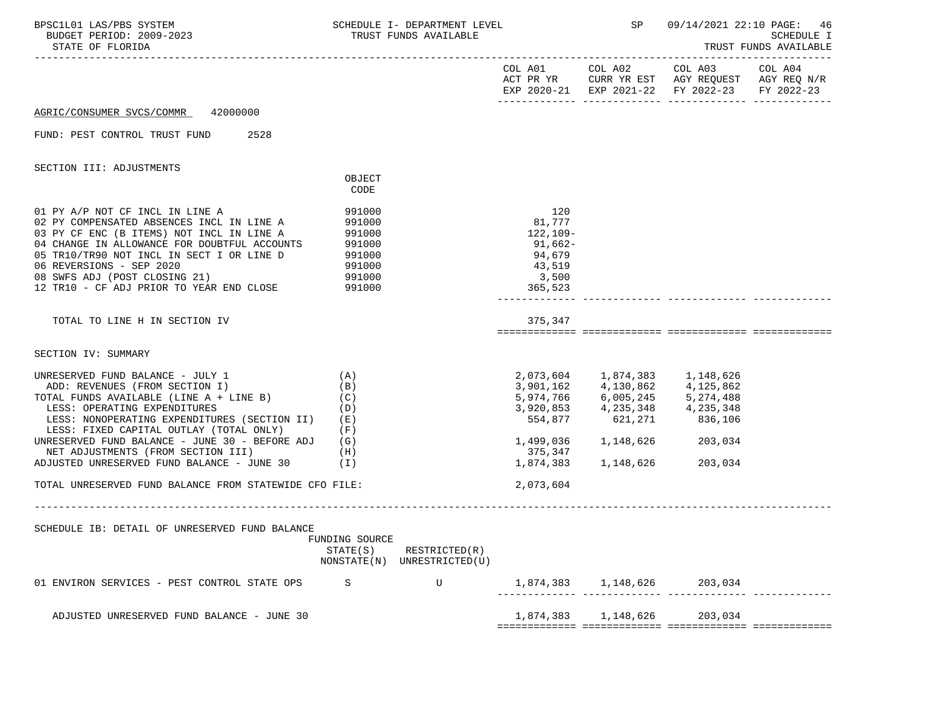| BPSC1L01 LAS/PBS SYSTEM<br>BUDGET PERIOD: 2009-2023<br>STATE OF FLORIDA                                                                                                                                                                                                                                                                                                                      | SCHEDULE I- DEPARTMENT LEVEL<br>TRUST FUNDS AVAILABLE                        |                                                                              |                                                                                                                                                                                            | SP 09/14/2021 22:10 PAGE: 46                                                                                              | SCHEDULE I<br>TRUST FUNDS AVAILABLE |
|----------------------------------------------------------------------------------------------------------------------------------------------------------------------------------------------------------------------------------------------------------------------------------------------------------------------------------------------------------------------------------------------|------------------------------------------------------------------------------|------------------------------------------------------------------------------|--------------------------------------------------------------------------------------------------------------------------------------------------------------------------------------------|---------------------------------------------------------------------------------------------------------------------------|-------------------------------------|
|                                                                                                                                                                                                                                                                                                                                                                                              |                                                                              |                                                                              |                                                                                                                                                                                            | COL A01 COL A02 COL A03<br>ACT PR YR CURR YR EST AGY REQUEST AGY REQ N/R<br>EXP 2020-21 EXP 2021-22 FY 2022-23 FY 2022-23 | COL A04                             |
| AGRIC/CONSUMER SVCS/COMMR 42000000                                                                                                                                                                                                                                                                                                                                                           |                                                                              |                                                                              |                                                                                                                                                                                            |                                                                                                                           |                                     |
| FUND: PEST CONTROL TRUST FUND 2528                                                                                                                                                                                                                                                                                                                                                           |                                                                              |                                                                              |                                                                                                                                                                                            |                                                                                                                           |                                     |
| SECTION III: ADJUSTMENTS                                                                                                                                                                                                                                                                                                                                                                     |                                                                              |                                                                              |                                                                                                                                                                                            |                                                                                                                           |                                     |
|                                                                                                                                                                                                                                                                                                                                                                                              | OBJECT<br>CODE                                                               |                                                                              |                                                                                                                                                                                            |                                                                                                                           |                                     |
| 01 PY A/P NOT CF INCL IN LINE A<br>02 PY COMPENSATED ABSENCES INCL IN LINE A<br>03 PY CF ENC (B ITEMS) NOT INCL IN LINE A<br>04 CHANGE IN ALLOWANCE FOR DOUBTFUL ACCOUNTS<br>05 TR10/TR90 NOT INCL IN SECT I OR LINE D<br>06 REVERSIONS - SEP 2020<br>08 SWFS ADJ (POST CLOSING 21)<br>12 TR10 - CF ADJ PRIOR TO YEAR END CLOSE                                                              | 991000<br>991000<br>991000<br>991000<br>991000<br>991000<br>991000<br>991000 | 120<br>81,777<br>122,109-<br>91,662-<br>94,679<br>43,519<br>3,500<br>365,523 |                                                                                                                                                                                            |                                                                                                                           |                                     |
| TOTAL TO LINE H IN SECTION IV                                                                                                                                                                                                                                                                                                                                                                |                                                                              | 375,347                                                                      |                                                                                                                                                                                            |                                                                                                                           |                                     |
| SECTION IV: SUMMARY                                                                                                                                                                                                                                                                                                                                                                          |                                                                              |                                                                              |                                                                                                                                                                                            |                                                                                                                           |                                     |
| UNRESERVED FUND BALANCE - JULY 1<br>ADD: REVENUES (FROM SECTION I)<br>TOTAL FUNDS AVAILABLE (LINE A + LINE B)<br>LESS: OPERATING EXPENDITURES<br>LESS: NONOPERATING EXPENDITURES (SECTION II) (E)<br>LESS: FIXED CAPITAL OUTLAY (TOTAL ONLY)<br>UNRESERVED FUND BALANCE - JUNE 30 - BEFORE ADJ $(G)$<br>NET ADJUSTMENTS (FROM SECTION III) (H)<br>ADJUSTED UNRESERVED FUND BALANCE - JUNE 30 | (A)<br>(B)<br>(C)<br>(D)<br>(F)<br>(1)                                       | 375,347<br>1,874,383                                                         | 2,073,604 1,874,383 1,148,626<br>3,901,162 4,130,862 4,125,862<br>5,974,766 6,005,245 5,274,488<br>3,920,853 4,235,348 4,235,348<br>554,877 621,271 836,106<br>1,499,036 1,148,626 203,034 | 1,148,626 203,034                                                                                                         |                                     |
| TOTAL UNRESERVED FUND BALANCE FROM STATEWIDE CFO FILE:                                                                                                                                                                                                                                                                                                                                       |                                                                              | 2,073,604                                                                    |                                                                                                                                                                                            |                                                                                                                           |                                     |
| SCHEDULE IB: DETAIL OF UNRESERVED FUND BALANCE                                                                                                                                                                                                                                                                                                                                               | FUNDING SOURCE<br>STATE(S)<br>RESTRICTED(R)<br>NONSTATE(N) UNRESTRICTED(U)   |                                                                              |                                                                                                                                                                                            |                                                                                                                           |                                     |
| 01 ENVIRON SERVICES - PEST CONTROL STATE OPS                                                                                                                                                                                                                                                                                                                                                 | S<br>U                                                                       |                                                                              | 1,874,383 1,148,626                                                                                                                                                                        | 203,034                                                                                                                   |                                     |
| ADJUSTED UNRESERVED FUND BALANCE - JUNE 30                                                                                                                                                                                                                                                                                                                                                   |                                                                              |                                                                              | 1,874,383 1,148,626                                                                                                                                                                        | 203,034                                                                                                                   |                                     |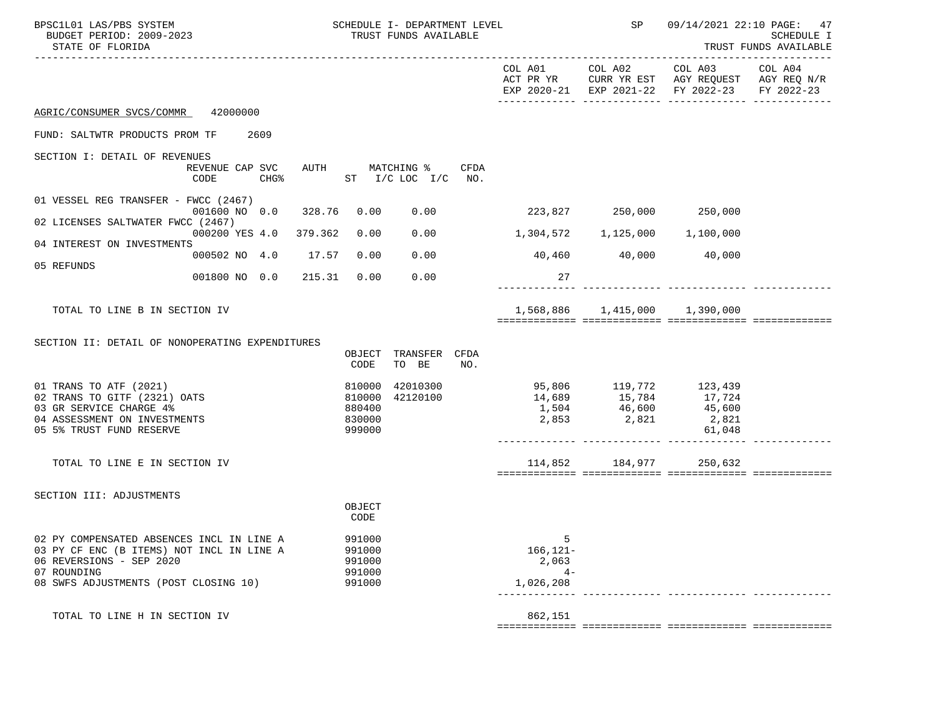| BPSC1L01 LAS/PBS SYSTEM<br>BUDGET PERIOD: 2009-2023<br>STATE OF FLORIDA                                                                                                    |                                                | SCHEDULE I- DEPARTMENT LEVEL<br>TRUST FUNDS AVAILABLE |      |                                                 | SP                      |                                                                                                                                 | 09/14/2021 22:10 PAGE: 47<br>SCHEDULE I<br>TRUST FUNDS AVAILABLE |
|----------------------------------------------------------------------------------------------------------------------------------------------------------------------------|------------------------------------------------|-------------------------------------------------------|------|-------------------------------------------------|-------------------------|---------------------------------------------------------------------------------------------------------------------------------|------------------------------------------------------------------|
|                                                                                                                                                                            |                                                |                                                       |      |                                                 | COL A01 COL A02         | COL A03 COL A04<br>ACT PR YR $\,$ CURR YR EST $\,$ AGY REQUEST $\,$ AGY REQ $\,$ N/R $\,$<br>EXP 2020-21 EXP 2021-22 FY 2022-23 | FY 2022-23                                                       |
| AGRIC/CONSUMER SVCS/COMMR<br>42000000                                                                                                                                      |                                                |                                                       |      |                                                 |                         |                                                                                                                                 |                                                                  |
| FUND: SALTWTR PRODUCTS PROM TF<br>2609                                                                                                                                     |                                                |                                                       |      |                                                 |                         |                                                                                                                                 |                                                                  |
| SECTION I: DETAIL OF REVENUES<br>REVENUE CAP SVC<br>CODE<br>$CHG\$                                                                                                         |                                                | AUTH MATCHING %<br>ST $I/C$ LOC $I/C$ NO.             | CFDA |                                                 |                         |                                                                                                                                 |                                                                  |
| 01 VESSEL REG TRANSFER - FWCC (2467)<br>001600 NO 0.0 328.76                                                                                                               | 0.00                                           | 0.00                                                  |      |                                                 | 223,827 250,000 250,000 |                                                                                                                                 |                                                                  |
| 02 LICENSES SALTWATER FWCC (2467)<br>000200 YES 4.0 379.362<br>04 INTEREST ON INVESTMENTS                                                                                  | 0.00                                           | 0.00                                                  |      | $1,304,572$ $1,125,000$ $1,100,000$             |                         |                                                                                                                                 |                                                                  |
| 000502 NO 4.0 17.57<br>05 REFUNDS                                                                                                                                          | 0.00                                           | 0.00                                                  |      |                                                 | 40,460 40,000 40,000    |                                                                                                                                 |                                                                  |
| 001800 NO 0.0                                                                                                                                                              | 215.31 0.00                                    | 0.00                                                  |      | 27                                              |                         |                                                                                                                                 |                                                                  |
| TOTAL TO LINE B IN SECTION IV                                                                                                                                              |                                                |                                                       |      |                                                 |                         | 1,568,886 1,415,000 1,390,000                                                                                                   |                                                                  |
| SECTION II: DETAIL OF NONOPERATING EXPENDITURES                                                                                                                            |                                                |                                                       |      |                                                 |                         |                                                                                                                                 |                                                                  |
|                                                                                                                                                                            | CODE                                           | OBJECT TRANSFER CFDA<br>TO BE                         | NO.  |                                                 |                         |                                                                                                                                 |                                                                  |
| 01 TRANS TO ATF (2021)<br>02 TRANS TO GITF (2321) OATS<br>03 GR SERVICE CHARGE 4%<br>04 ASSESSMENT ON INVESTMENTS<br>05 5% TRUST FUND RESERVE                              | 810000<br>810000<br>880400<br>830000<br>999000 | 42010300<br>42120100                                  |      | $14,689$ $15,784$ $17,724$<br>1,504<br>2,853    |                         | 95,806 119,772 123,439<br>46,600<br>2,821<br>2,821<br>2,821<br>61,048                                                           |                                                                  |
| TOTAL TO LINE E IN SECTION IV                                                                                                                                              |                                                |                                                       |      |                                                 |                         | 114,852 184,977 250,632                                                                                                         |                                                                  |
| SECTION III: ADJUSTMENTS                                                                                                                                                   | OBJECT<br>CODE                                 |                                                       |      |                                                 |                         |                                                                                                                                 |                                                                  |
| 02 PY COMPENSATED ABSENCES INCL IN LINE A<br>03 PY CF ENC (B ITEMS) NOT INCL IN LINE A<br>06 REVERSIONS - SEP 2020<br>07 ROUNDING<br>08 SWFS ADJUSTMENTS (POST CLOSING 10) | 991000<br>991000<br>991000<br>991000<br>991000 |                                                       |      | 5<br>$166, 121 -$<br>2,063<br>$4-$<br>1,026,208 |                         |                                                                                                                                 |                                                                  |
| TOTAL TO LINE H IN SECTION IV                                                                                                                                              |                                                |                                                       |      | 862,151                                         |                         |                                                                                                                                 |                                                                  |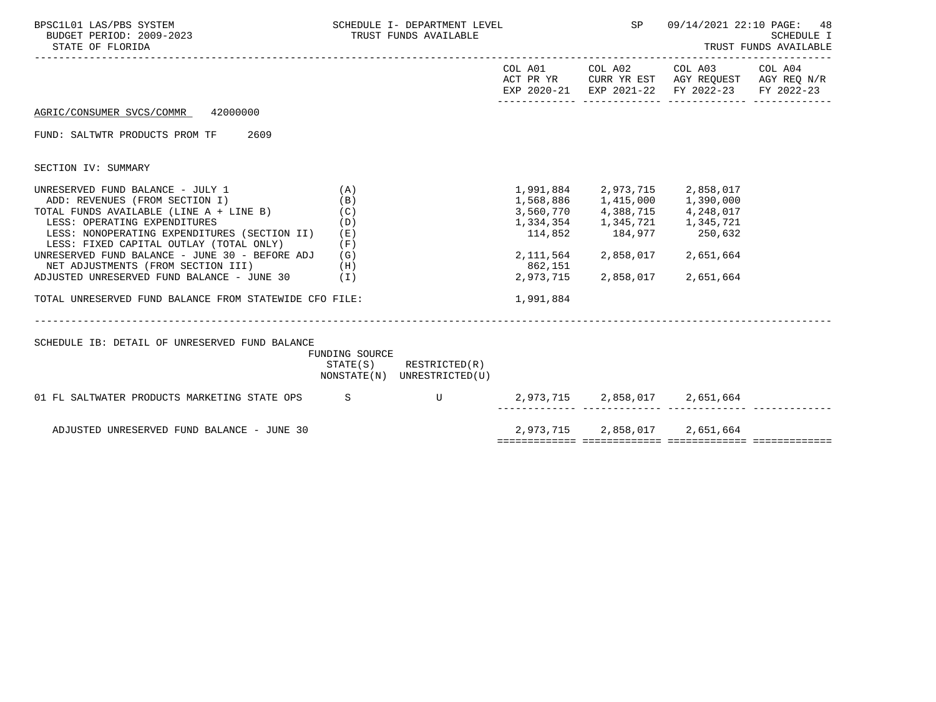| BPSC1L01 LAS/PBS SYSTEM<br>BUDGET PERIOD: 2009-2023<br>STATE OF FLORIDA                                                                                                                                                                                                                                                                                                                                                                                  | SCHEDULE I- DEPARTMENT LEVEL<br>TRUST FUNDS AVAILABLE |                                                            |                                                                  | <b>SP</b>                                                                 | 09/14/2021 22:10 PAGE:                                                                                                                                                                      | 48<br>SCHEDULE I<br>TRUST FUNDS AVAILABLE |
|----------------------------------------------------------------------------------------------------------------------------------------------------------------------------------------------------------------------------------------------------------------------------------------------------------------------------------------------------------------------------------------------------------------------------------------------------------|-------------------------------------------------------|------------------------------------------------------------|------------------------------------------------------------------|---------------------------------------------------------------------------|---------------------------------------------------------------------------------------------------------------------------------------------------------------------------------------------|-------------------------------------------|
|                                                                                                                                                                                                                                                                                                                                                                                                                                                          |                                                       |                                                            |                                                                  |                                                                           | COL A01 COL A02 COL A03 COL A04<br>ACT PR YR CURR YR EST AGY REQUEST AGY REQ N/R<br>EXP 2020-21 EXP 2021-22 FY 2022-23                                                                      | FY 2022-23                                |
| AGRIC/CONSUMER SVCS/COMMR 42000000                                                                                                                                                                                                                                                                                                                                                                                                                       |                                                       |                                                            |                                                                  |                                                                           |                                                                                                                                                                                             |                                           |
| FUND: SALTWTR PRODUCTS PROM TF<br>2609                                                                                                                                                                                                                                                                                                                                                                                                                   |                                                       |                                                            |                                                                  |                                                                           |                                                                                                                                                                                             |                                           |
| SECTION IV: SUMMARY                                                                                                                                                                                                                                                                                                                                                                                                                                      |                                                       |                                                            |                                                                  |                                                                           |                                                                                                                                                                                             |                                           |
| UNRESERVED FUND BALANCE - JULY 1<br>ADD: REVENUES (FROM SECTION I)<br>TOTAL FUNDS AVAILABLE (LINE A + LINE B)<br>LESS: OPERATING EXPENDITURES<br>LESS: NONOPERATING EXPENDITURES (SECTION II) (E)<br>LESS: FIXED CAPITAL OUTLAY (TOTAL ONLY)<br>UNRESERVED FUND BALANCE - JUNE 30 - BEFORE ADJ (G)<br>NET ADJUSTMENTS (FROM SECTION III) (H)<br>ADJUSTED UNRESERVED FUND BALANCE - JUNE 30 (I)<br>TOTAL UNRESERVED FUND BALANCE FROM STATEWIDE CFO FILE: | (A)<br>(B)<br>(C)<br>(D)<br>(F)                       |                                                            | 114,852<br>2,111,564 2,858,017 2,651,664<br>862,151<br>1,991,884 | 1,991,884 2,973,715 2,858,017<br>$184,977$ 250,632<br>2,973,715 2,858,017 | $\begin{array}{lllllll} 1, 568, 886 & & 1, 415, 000 & & 1, 390, 000 \\ 3, 560, 770 & & 4, 388, 715 & & 4, 248, 017 \\ 1, 334, 354 & & 1, 345, 721 & & 1, 345, 721 \end{array}$<br>2,651,664 |                                           |
| SCHEDULE IB: DETAIL OF UNRESERVED FUND BALANCE                                                                                                                                                                                                                                                                                                                                                                                                           | FUNDING SOURCE                                        | $STATE(S)$ RESTRICTED $(R)$<br>NONSTATE(N) UNRESTRICTED(U) |                                                                  |                                                                           |                                                                                                                                                                                             |                                           |
| 01 FL SALTWATER PRODUCTS MARKETING STATE OPS SSESS SURFALL TO A U                                                                                                                                                                                                                                                                                                                                                                                        |                                                       |                                                            |                                                                  |                                                                           | 2,973,715 2,858,017 2,651,664                                                                                                                                                               |                                           |
| ADJUSTED UNRESERVED FUND BALANCE - JUNE 30                                                                                                                                                                                                                                                                                                                                                                                                               |                                                       |                                                            |                                                                  |                                                                           | 2,973,715 2,858,017 2,651,664                                                                                                                                                               |                                           |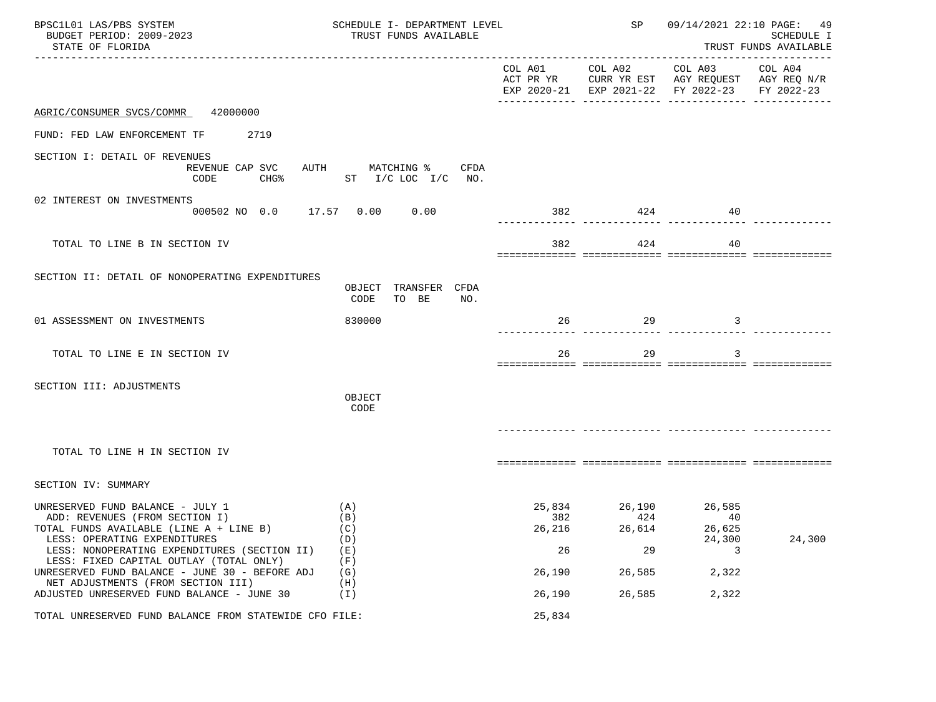| BPSC1L01 LAS/PBS SYSTEM<br>BUDGET PERIOD: 2009-2023<br>STATE OF FLORIDA                                                                                                                       | SCHEDULE I- DEPARTMENT LEVEL<br>TRUST FUNDS AVAILABLE |                     | SP                                          |                                                                                                | 09/14/2021 22:10 PAGE: 49<br><b>SCHEDULE I</b><br>TRUST FUNDS AVAILABLE |
|-----------------------------------------------------------------------------------------------------------------------------------------------------------------------------------------------|-------------------------------------------------------|---------------------|---------------------------------------------|------------------------------------------------------------------------------------------------|-------------------------------------------------------------------------|
|                                                                                                                                                                                               |                                                       | COL A01             | COL A02                                     | COL A03<br>ACT PR YR CURR YR EST AGY REQUEST AGY REQ N/R<br>EXP 2020-21 EXP 2021-22 FY 2022-23 | COL A04<br>FY 2022-23                                                   |
| AGRIC/CONSUMER SVCS/COMMR 42000000                                                                                                                                                            |                                                       |                     |                                             |                                                                                                |                                                                         |
| FUND: FED LAW ENFORCEMENT TF 2719                                                                                                                                                             |                                                       |                     |                                             |                                                                                                |                                                                         |
| SECTION I: DETAIL OF REVENUES<br>REVENUE CAP SVC<br>AUTH<br>CODE<br>CHG <sup>8</sup>                                                                                                          | MATCHING %<br>CFDA<br>$ST$ $I/C$ $LOC$ $I/C$ $NO$ .   |                     |                                             |                                                                                                |                                                                         |
| 02 INTEREST ON INVESTMENTS<br>000502 NO 0.0 17.57 0.00 0.00                                                                                                                                   |                                                       | 382                 | 424                                         | 40                                                                                             |                                                                         |
| TOTAL TO LINE B IN SECTION IV                                                                                                                                                                 |                                                       | 382                 | 424                                         | 40                                                                                             |                                                                         |
| SECTION II: DETAIL OF NONOPERATING EXPENDITURES                                                                                                                                               | OBJECT TRANSFER CFDA<br>CODE<br>TO BE<br>NO.          |                     |                                             |                                                                                                |                                                                         |
| 01 ASSESSMENT ON INVESTMENTS                                                                                                                                                                  | 830000                                                | 26                  | 29                                          | 3                                                                                              |                                                                         |
| TOTAL TO LINE E IN SECTION IV                                                                                                                                                                 |                                                       | 26                  | 29                                          | 3                                                                                              |                                                                         |
| SECTION III: ADJUSTMENTS                                                                                                                                                                      | OBJECT<br>CODE                                        |                     |                                             |                                                                                                |                                                                         |
| TOTAL TO LINE H IN SECTION IV                                                                                                                                                                 |                                                       |                     |                                             |                                                                                                |                                                                         |
| SECTION IV: SUMMARY                                                                                                                                                                           |                                                       |                     |                                             |                                                                                                |                                                                         |
| UNRESERVED FUND BALANCE - JULY 1<br>ADD: REVENUES (FROM SECTION I)<br>TOTAL FUNDS AVAILABLE (LINE A + LINE B)<br>LESS: OPERATING EXPENDITURES<br>LESS: NONOPERATING EXPENDITURES (SECTION II) | (A)<br>(B)<br>(C)<br>(D)<br>(E)                       | 382<br>26,216<br>26 | 25,834 26,190 26,585<br>424<br>26,614<br>29 | 40<br>26,625<br>24,300<br>3                                                                    | 24,300                                                                  |
| LESS: FIXED CAPITAL OUTLAY (TOTAL ONLY)<br>UNRESERVED FUND BALANCE - JUNE 30 - BEFORE ADJ<br>NET ADJUSTMENTS (FROM SECTION III)                                                               | (F)<br>(G)                                            | 26,190              | 26,585                                      | 2,322                                                                                          |                                                                         |
| ADJUSTED UNRESERVED FUND BALANCE - JUNE 30                                                                                                                                                    | (H)<br>(I)                                            | 26,190              | 26,585                                      | 2,322                                                                                          |                                                                         |
| TOTAL UNRESERVED FUND BALANCE FROM STATEWIDE CFO FILE:                                                                                                                                        |                                                       | 25,834              |                                             |                                                                                                |                                                                         |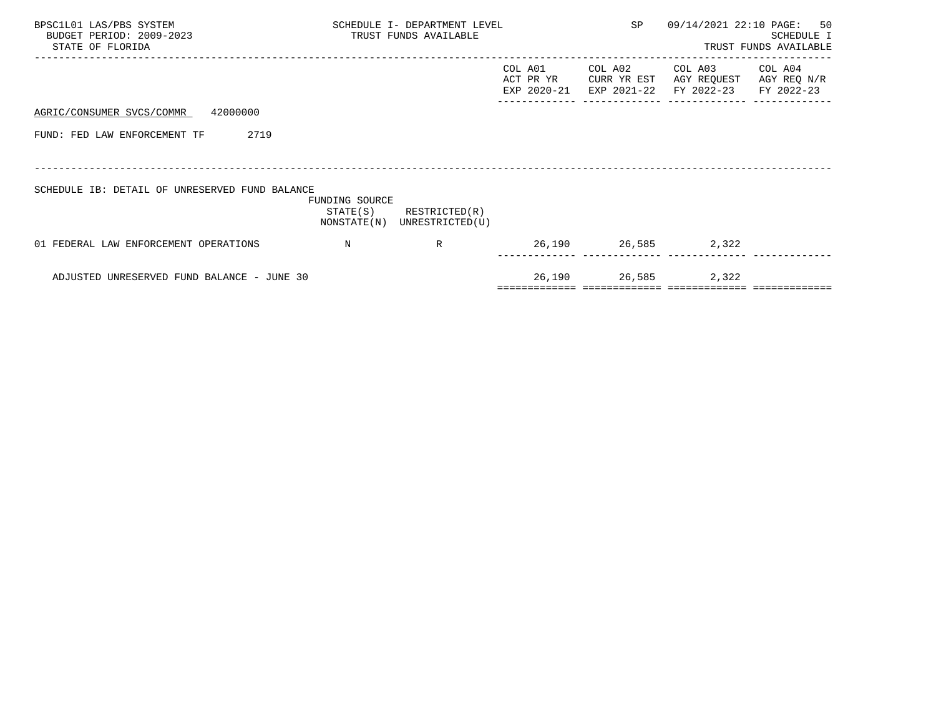| BPSC1L01 LAS/PBS SYSTEM<br>BUDGET PERIOD: 2009-2023<br>STATE OF FLORIDA |                            | SCHEDULE I- DEPARTMENT LEVEL<br>TRUST FUNDS AVAILABLE |                                     | SP                                    |                                      | 09/14/2021 22:10 PAGE: 50<br>SCHEDULE I<br>TRUST FUNDS AVAILABLE |
|-------------------------------------------------------------------------|----------------------------|-------------------------------------------------------|-------------------------------------|---------------------------------------|--------------------------------------|------------------------------------------------------------------|
|                                                                         |                            |                                                       | COL A01<br>ACT PR YR<br>EXP 2020-21 | COL A02<br>CURR YR EST<br>EXP 2021-22 | COL A03<br>AGY REQUEST<br>FY 2022-23 | COL A04<br>AGY REQ N/R<br>FY 2022-23                             |
| 42000000<br>AGRIC/CONSUMER SVCS/COMMR                                   |                            |                                                       |                                     |                                       |                                      |                                                                  |
| FUND: FED LAW ENFORCEMENT TF<br>2719                                    |                            |                                                       |                                     |                                       |                                      |                                                                  |
|                                                                         |                            |                                                       |                                     |                                       |                                      |                                                                  |
| SCHEDULE IB: DETAIL OF UNRESERVED FUND BALANCE                          | FUNDING SOURCE<br>STATE(S) | RESTRICTED(R)<br>NONSTATE(N) UNRESTRICTED(U)          |                                     |                                       |                                      |                                                                  |
| 01 FEDERAL LAW ENFORCEMENT OPERATIONS                                   | N                          | R                                                     |                                     | 26,190 26,585 2,322                   |                                      |                                                                  |
| ADJUSTED UNRESERVED FUND BALANCE - JUNE 30                              |                            |                                                       | 26,190                              | 26,585 2,322                          |                                      |                                                                  |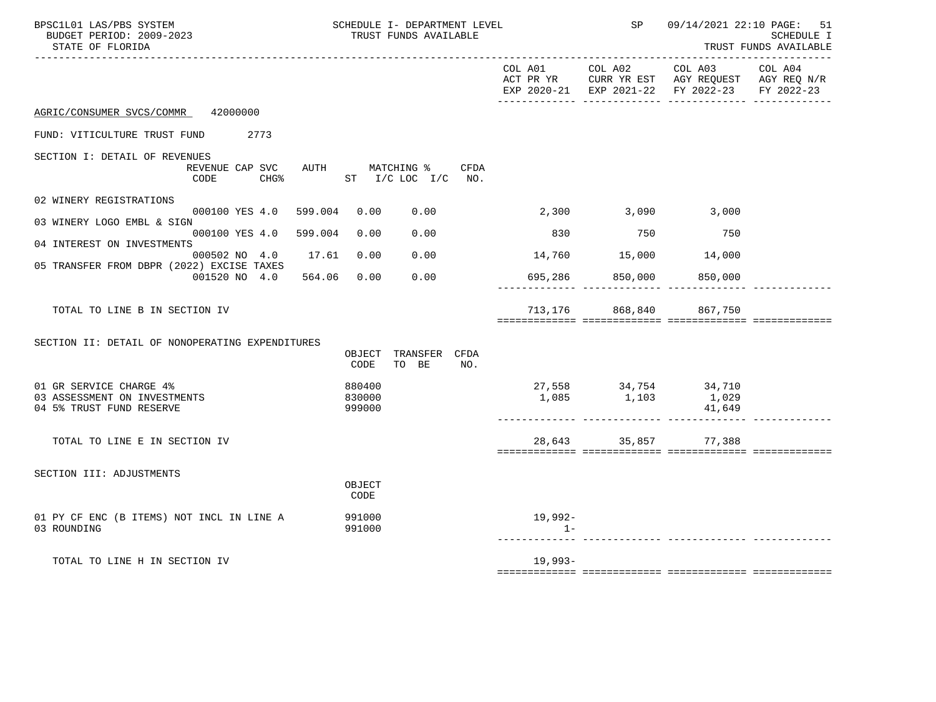| BPSC1L01 LAS/PBS SYSTEM<br>BUDGET PERIOD: 2009-2023<br>STATE OF FLORIDA | SCHEDULE I- DEPARTMENT LEVEL<br>TRUST FUNDS AVAILABLE |                               |      |                  | SP                |                                                                                                                   | 09/14/2021 22:10 PAGE: 51<br>SCHEDULE I<br>TRUST FUNDS AVAILABLE |
|-------------------------------------------------------------------------|-------------------------------------------------------|-------------------------------|------|------------------|-------------------|-------------------------------------------------------------------------------------------------------------------|------------------------------------------------------------------|
|                                                                         |                                                       |                               |      |                  | COL A01 COL A02   | COL A03 COL A04<br>ACT PR YR CURR YR EST AGY REQUEST AGY REQ N/R<br>EXP 2020-21 EXP 2021-22 FY 2022-23 FY 2022-23 |                                                                  |
| AGRIC/CONSUMER SVCS/COMMR 42000000                                      |                                                       |                               |      |                  |                   |                                                                                                                   |                                                                  |
| FUND: VITICULTURE TRUST FUND 2773                                       |                                                       |                               |      |                  |                   |                                                                                                                   |                                                                  |
| SECTION I: DETAIL OF REVENUES                                           |                                                       |                               |      |                  |                   |                                                                                                                   |                                                                  |
| REVENUE CAP SVC<br>CHG% ST I/C LOC I/C NO.<br>CODE                      |                                                       | AUTH MATCHING %               | CFDA |                  |                   |                                                                                                                   |                                                                  |
| 02 WINERY REGISTRATIONS                                                 |                                                       |                               |      |                  |                   |                                                                                                                   |                                                                  |
| 000100 YES 4.0 599.004<br>03 WINERY LOGO EMBL & SIGN                    | 0.00                                                  | 0.00                          |      |                  | 2,300 3,090 3,000 |                                                                                                                   |                                                                  |
| 000100 YES 4.0 599.004<br>04 INTEREST ON INVESTMENTS                    | 0.00                                                  | 0.00                          |      | 830              | 750               | 750                                                                                                               |                                                                  |
| 17.61<br>000502 NO 4.0                                                  | 0.00                                                  | 0.00                          |      |                  |                   | 14,760 15,000 14,000                                                                                              |                                                                  |
| 05 TRANSFER FROM DBPR (2022) EXCISE TAXES<br>001520 NO 4.0              | 564.06 0.00                                           | 0.00                          |      |                  |                   | 695,286 850,000 850,000                                                                                           |                                                                  |
| TOTAL TO LINE B IN SECTION IV                                           |                                                       |                               |      |                  |                   | 713,176 868,840 867,750                                                                                           |                                                                  |
| SECTION II: DETAIL OF NONOPERATING EXPENDITURES                         | CODE                                                  | OBJECT TRANSFER CFDA<br>TO BE | NO.  |                  |                   |                                                                                                                   |                                                                  |
| 01 GR SERVICE CHARGE 4%                                                 | 880400                                                |                               |      |                  |                   | 27,558 34,754 34,710<br>1,085 1,103 1,029                                                                         |                                                                  |
| 03 ASSESSMENT ON INVESTMENTS<br>04 5% TRUST FUND RESERVE                | 830000<br>999000                                      |                               |      |                  |                   | 41,649                                                                                                            |                                                                  |
| TOTAL TO LINE E IN SECTION IV                                           |                                                       |                               |      |                  |                   | 28,643 35,857 77,388                                                                                              |                                                                  |
|                                                                         |                                                       |                               |      |                  |                   |                                                                                                                   |                                                                  |
| SECTION III: ADJUSTMENTS                                                | OBJECT<br>CODE                                        |                               |      |                  |                   |                                                                                                                   |                                                                  |
| 01 PY CF ENC (B ITEMS) NOT INCL IN LINE A<br>03 ROUNDING                | 991000<br>991000                                      |                               |      | 19,992-<br>$1 -$ |                   |                                                                                                                   |                                                                  |
| TOTAL TO LINE H IN SECTION IV                                           |                                                       |                               |      | 19,993-          |                   |                                                                                                                   |                                                                  |
|                                                                         |                                                       |                               |      |                  |                   |                                                                                                                   |                                                                  |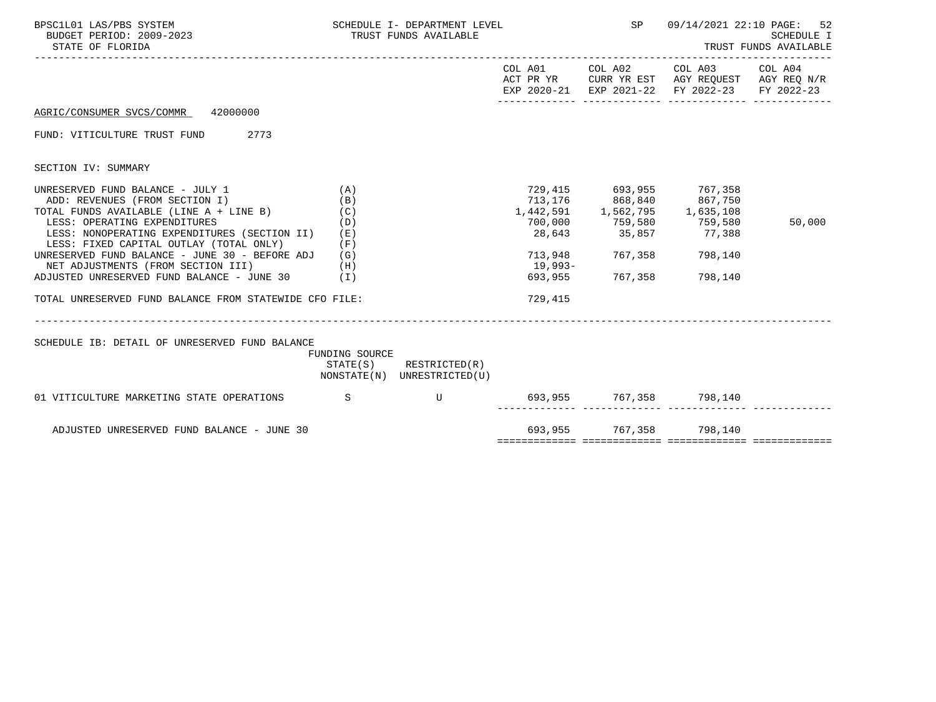| BPSC1L01 LAS/PBS SYSTEM<br>BUDGET PERIOD: 2009-2023<br>STATE OF FLORIDA                                                                                                                                                                  |                                        | SCHEDULE I- DEPARTMENT LEVEL<br>TRUST FUNDS AVAILABLE                                    |                                                                                                                                                                                                            | SP                         |                                                                                                        | 09/14/2021 22:10 PAGE: 52<br><b>SCHEDULE I</b><br>TRUST FUNDS AVAILABLE |
|------------------------------------------------------------------------------------------------------------------------------------------------------------------------------------------------------------------------------------------|----------------------------------------|------------------------------------------------------------------------------------------|------------------------------------------------------------------------------------------------------------------------------------------------------------------------------------------------------------|----------------------------|--------------------------------------------------------------------------------------------------------|-------------------------------------------------------------------------|
|                                                                                                                                                                                                                                          |                                        |                                                                                          |                                                                                                                                                                                                            | COL A01 COL A02            | COL A03 COL A04<br>ACT PR YR CURR YR EST AGY REQUEST AGY REQ N/R<br>EXP 2020-21 EXP 2021-22 FY 2022-23 | FY 2022-23                                                              |
| AGRIC/CONSUMER SVCS/COMMR 42000000                                                                                                                                                                                                       |                                        |                                                                                          |                                                                                                                                                                                                            |                            |                                                                                                        |                                                                         |
| FUND: VITICULTURE TRUST FUND<br>2773                                                                                                                                                                                                     |                                        |                                                                                          |                                                                                                                                                                                                            |                            |                                                                                                        |                                                                         |
| SECTION IV: SUMMARY                                                                                                                                                                                                                      |                                        |                                                                                          |                                                                                                                                                                                                            |                            |                                                                                                        |                                                                         |
| UNRESERVED FUND BALANCE - JULY 1<br>ADD: REVENUES (FROM SECTION I)<br>TOTAL FUNDS AVAILABLE (LINE A + LINE B)<br>LESS: OPERATING EXPENDITURES<br>LESS: NONOPERATING EXPENDITURES (SECTION II)<br>LESS: FIXED CAPITAL OUTLAY (TOTAL ONLY) | (A)<br>(B)<br>(C)<br>(D)<br>(E)<br>(F) |                                                                                          | $\begin{array}{cccc} 713\,, 176 & 868\,, 840 & 867\,, 750 \\ 1\,, 442\,, 591 & 1\,, 562\,, 795 & 1\,, 635\,, 108 \\ 700\,, 000 & 759\,, 580 & 759\,, 580 \\ 28\,, 643 & 35\,, 857 & 77\,, 388 \end{array}$ | 729,415 693,955 767,358    |                                                                                                        | 50,000                                                                  |
| UNRESERVED FUND BALANCE - JUNE 30 - BEFORE ADJ (G)<br>NET ADJUSTMENTS (FROM SECTION III)<br>(H)<br>ADJUSTED UNRESERVED FUND BALANCE - JUNE 30                                                                                            | (I)                                    |                                                                                          | 19,993-<br>693,955                                                                                                                                                                                         | 713,948 767,358<br>767,358 | 798,140<br>798,140                                                                                     |                                                                         |
| TOTAL UNRESERVED FUND BALANCE FROM STATEWIDE CFO FILE:                                                                                                                                                                                   |                                        |                                                                                          | 729,415                                                                                                                                                                                                    |                            |                                                                                                        |                                                                         |
| SCHEDULE IB: DETAIL OF UNRESERVED FUND BALANCE                                                                                                                                                                                           | FUNDING SOURCE                         | __________________________<br>$STATE(S)$ RESTRICTED $(R)$<br>NONSTATE(N) UNRESTRICTED(U) |                                                                                                                                                                                                            |                            |                                                                                                        |                                                                         |
| 01 VITICULTURE MARKETING STATE OPERATIONS S                                                                                                                                                                                              |                                        | <b>U</b>                                                                                 | $693,955$ $767,358$ 798,140                                                                                                                                                                                |                            |                                                                                                        |                                                                         |
| ADJUSTED UNRESERVED FUND BALANCE - JUNE 30                                                                                                                                                                                               |                                        |                                                                                          |                                                                                                                                                                                                            | 693,955 767,358 798,140    |                                                                                                        |                                                                         |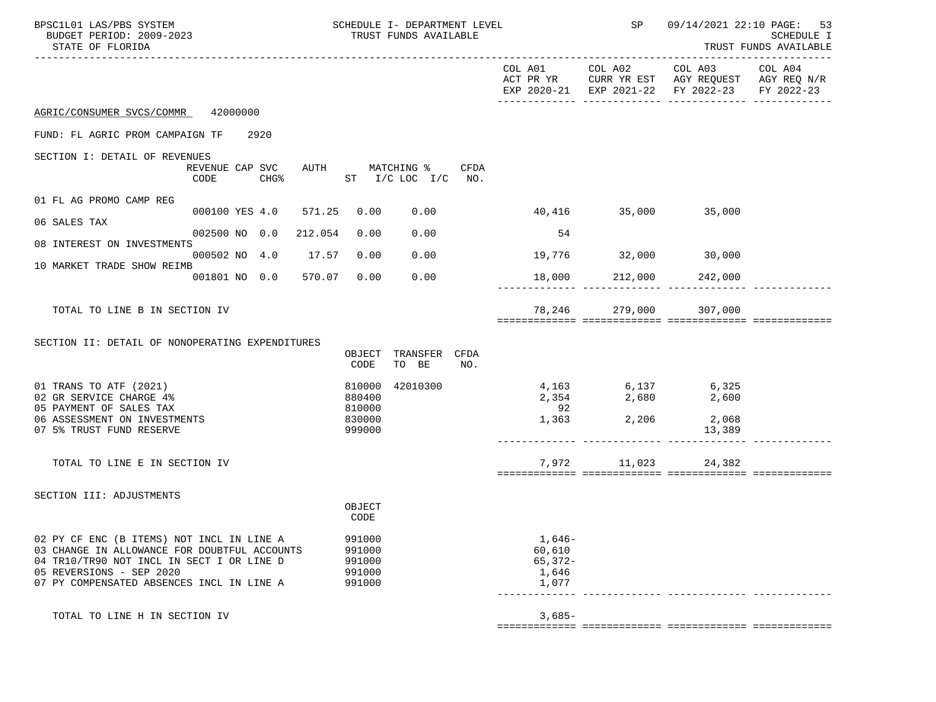| BPSC1L01 LAS/PBS SYSTEM<br>BUDGET PERIOD: 2009-2023<br>STATE OF FLORIDA                                                                                                                                         |                                                  | SCHEDULE I- DEPARTMENT LEVEL<br>TRUST FUNDS AVAILABLE |      |                                                 | SP                                           |                                                                                                | 09/14/2021 22:10 PAGE: 53<br><b>SCHEDULE I</b><br>TRUST FUNDS AVAILABLE |
|-----------------------------------------------------------------------------------------------------------------------------------------------------------------------------------------------------------------|--------------------------------------------------|-------------------------------------------------------|------|-------------------------------------------------|----------------------------------------------|------------------------------------------------------------------------------------------------|-------------------------------------------------------------------------|
|                                                                                                                                                                                                                 |                                                  |                                                       |      |                                                 | COL A01 COL A02                              | COL A03<br>ACT PR YR CURR YR EST AGY REQUEST AGY REQ N/R<br>EXP 2020-21 EXP 2021-22 FY 2022-23 | COL A04<br>FY 2022-23                                                   |
| 42000000<br>AGRIC/CONSUMER SVCS/COMMR                                                                                                                                                                           |                                                  |                                                       |      |                                                 |                                              |                                                                                                |                                                                         |
| FUND: FL AGRIC PROM CAMPAIGN TF<br>2920                                                                                                                                                                         |                                                  |                                                       |      |                                                 |                                              |                                                                                                |                                                                         |
| SECTION I: DETAIL OF REVENUES<br>REVENUE CAP SVC<br>CODE<br>CHG%                                                                                                                                                | AUTH MATCHING %<br>$ST$ $I/C$ $LOC$ $I/C$ $NO$ . |                                                       | CFDA |                                                 |                                              |                                                                                                |                                                                         |
| 01 FL AG PROMO CAMP REG<br>000100 YES 4.0 571.25                                                                                                                                                                | 0.00                                             | 0.00                                                  |      |                                                 | 40,416 35,000 35,000                         |                                                                                                |                                                                         |
| 06 SALES TAX<br>002500 NO 0.0                                                                                                                                                                                   | 212.054<br>0.00                                  | 0.00                                                  |      | 54                                              |                                              |                                                                                                |                                                                         |
| 08 INTEREST ON INVESTMENTS<br>000502 NO 4.0 17.57                                                                                                                                                               | 0.00                                             | 0.00                                                  |      |                                                 | 19,776 32,000 30,000                         |                                                                                                |                                                                         |
| 10 MARKET TRADE SHOW REIMB<br>001801 NO 0.0                                                                                                                                                                     | 570.07 0.00                                      | 0.00                                                  |      |                                                 | 18,000 212,000                               | 242,000                                                                                        |                                                                         |
| TOTAL TO LINE B IN SECTION IV                                                                                                                                                                                   |                                                  |                                                       |      |                                                 | 78,246 279,000                               | 307,000                                                                                        |                                                                         |
| SECTION II: DETAIL OF NONOPERATING EXPENDITURES                                                                                                                                                                 | OBJECT<br>CODE                                   | TRANSFER CFDA<br>TO BE                                | NO.  |                                                 |                                              |                                                                                                |                                                                         |
| 01 TRANS TO ATF (2021)<br>02 GR SERVICE CHARGE 4%<br>05 PAYMENT OF SALES TAX                                                                                                                                    | 810000<br>880400<br>810000                       | 42010300                                              |      | 92                                              | 4, 163 6, 137 6, 325<br>2, 354 2, 680 2, 600 |                                                                                                |                                                                         |
| 06 ASSESSMENT ON INVESTMENTS<br>07 5% TRUST FUND RESERVE                                                                                                                                                        | 830000<br>999000                                 |                                                       |      |                                                 | 1,363                                        | 2,206 2,068<br>13,389                                                                          |                                                                         |
| TOTAL TO LINE E IN SECTION IV                                                                                                                                                                                   |                                                  |                                                       |      |                                                 | 7,972 11,023 24,382                          |                                                                                                |                                                                         |
| SECTION III: ADJUSTMENTS                                                                                                                                                                                        | OBJECT<br>CODE                                   |                                                       |      |                                                 |                                              |                                                                                                |                                                                         |
| 02 PY CF ENC (B ITEMS) NOT INCL IN LINE A<br>03 CHANGE IN ALLOWANCE FOR DOUBTFUL ACCOUNTS<br>04 TR10/TR90 NOT INCL IN SECT I OR LINE D<br>05 REVERSIONS - SEP 2020<br>07 PY COMPENSATED ABSENCES INCL IN LINE A | 991000<br>991000<br>991000<br>991000<br>991000   |                                                       |      | 1,646-<br>60,610<br>$65,372-$<br>1,646<br>1,077 |                                              |                                                                                                |                                                                         |
| TOTAL TO LINE H IN SECTION IV                                                                                                                                                                                   |                                                  |                                                       |      | $3,685-$                                        |                                              |                                                                                                |                                                                         |